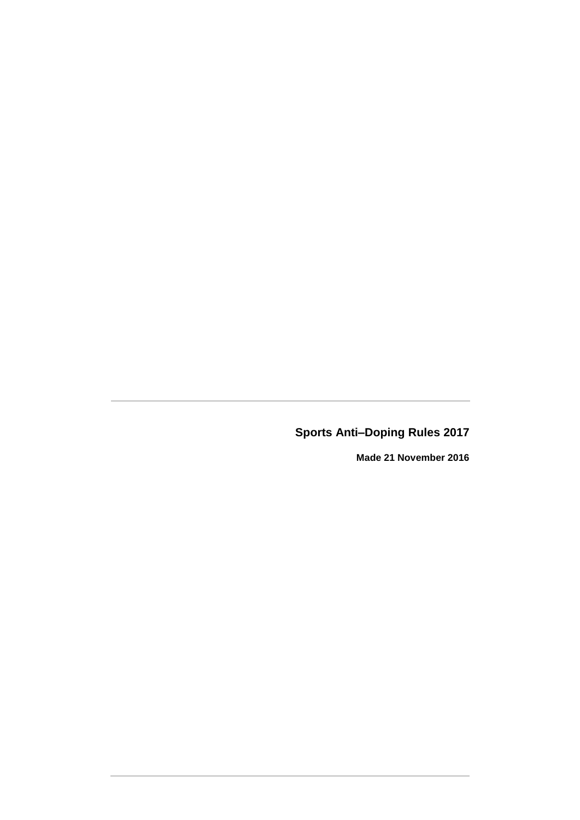**Sports Anti–Doping Rules 2017**

**Made 21 November 2016**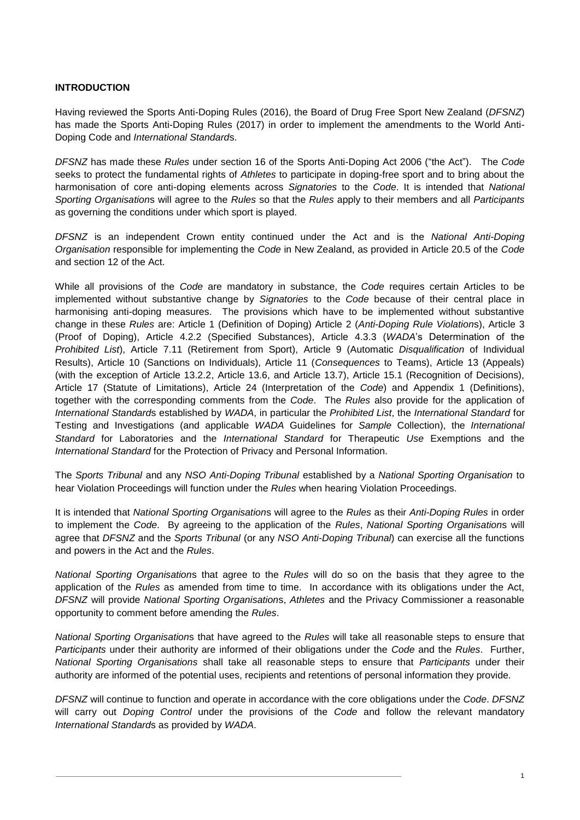# **INTRODUCTION**

Having reviewed the Sports Anti-Doping Rules (2016), the Board of Drug Free Sport New Zealand (*DFSNZ*) has made the Sports Anti-Doping Rules (2017) in order to implement the amendments to the World Anti-Doping Code and *International Standard*s.

*DFSNZ* has made these *Rules* under section 16 of the Sports Anti-Doping Act 2006 ("the Act"). The *Code* seeks to protect the fundamental rights of *Athletes* to participate in doping-free sport and to bring about the harmonisation of core anti-doping elements across *Signatories* to the *Code*. It is intended that *National Sporting Organisation*s will agree to the *Rules* so that the *Rules* apply to their members and all *Participants* as governing the conditions under which sport is played.

*DFSNZ* is an independent Crown entity continued under the Act and is the *National Anti-Doping Organisation* responsible for implementing the *Code* in New Zealand, as provided in Article 20.5 of the *Code* and section 12 of the Act.

While all provisions of the *Code* are mandatory in substance, the *Code* requires certain Articles to be implemented without substantive change by *Signatories* to the *Code* because of their central place in harmonising anti-doping measures. The provisions which have to be implemented without substantive change in these *Rules* are: Article 1 (Definition of Doping) Article 2 (*Anti-Doping Rule Violation*s), Article 3 (Proof of Doping), Article 4.2.2 (Specified Substances), Article 4.3.3 (*WADA*'s Determination of the *Prohibited List*), Article 7.11 (Retirement from Sport), Article 9 (Automatic *Disqualification* of Individual Results), Article 10 (Sanctions on Individuals), Article 11 (*Consequences* to Teams), Article 13 (Appeals) (with the exception of Article 13.2.2, Article 13.6, and Article 13.7), Article 15.1 (Recognition of Decisions), Article 17 (Statute of Limitations), Article 24 (Interpretation of the *Code*) and Appendix 1 (Definitions), together with the corresponding comments from the *Code*. The *Rules* also provide for the application of *International Standard*s established by *WADA*, in particular the *Prohibited List*, the *International Standard* for Testing and Investigations (and applicable *WADA* Guidelines for *Sample* Collection), the *International Standard* for Laboratories and the *International Standard* for Therapeutic *Use* Exemptions and the *International Standard* for the Protection of Privacy and Personal Information.

The *Sports Tribunal* and any *NSO Anti-Doping Tribunal* established by a *National Sporting Organisation* to hear Violation Proceedings will function under the *Rules* when hearing Violation Proceedings.

It is intended that *National Sporting Organisation*s will agree to the *Rules* as their *Anti-Doping Rules* in order to implement the *Code*. By agreeing to the application of the *Rules*, *National Sporting Organisation*s will agree that *DFSNZ* and the *Sports Tribunal* (or any *NSO Anti-Doping Tribunal*) can exercise all the functions and powers in the Act and the *Rules*.

*National Sporting Organisation*s that agree to the *Rules* will do so on the basis that they agree to the application of the *Rules* as amended from time to time. In accordance with its obligations under the Act, *DFSNZ* will provide *National Sporting Organisation*s, *Athletes* and the Privacy Commissioner a reasonable opportunity to comment before amending the *Rules*.

*National Sporting Organisation*s that have agreed to the *Rules* will take all reasonable steps to ensure that *Participants* under their authority are informed of their obligations under the *Code* and the *Rules*. Further, *National Sporting Organisations* shall take all reasonable steps to ensure that *Participants* under their authority are informed of the potential uses, recipients and retentions of personal information they provide.

*DFSNZ* will continue to function and operate in accordance with the core obligations under the *Code*. *DFSNZ* will carry out *Doping Control* under the provisions of the *Code* and follow the relevant mandatory *International Standard*s as provided by *WADA*.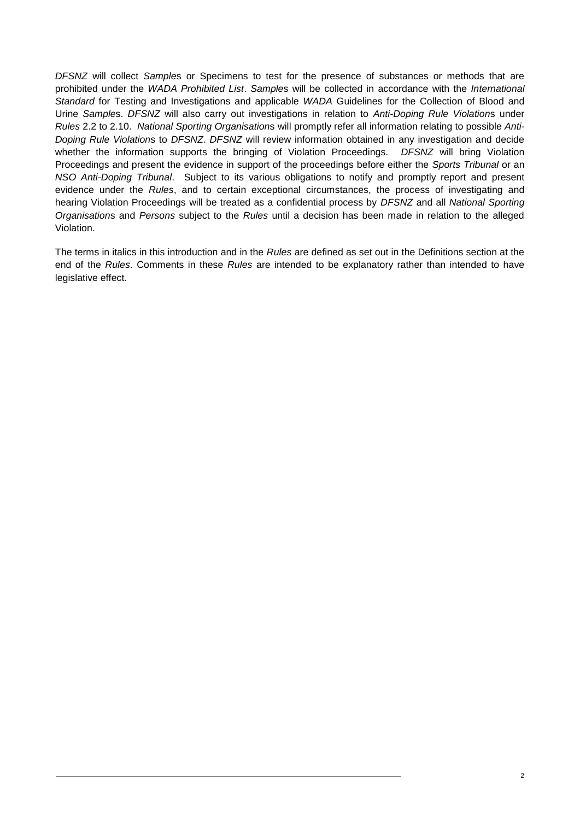*DFSNZ* will collect *Sample*s or Specimens to test for the presence of substances or methods that are prohibited under the *WADA Prohibited List*. *Sample*s will be collected in accordance with the *International Standard* for Testing and Investigations and applicable *WADA* Guidelines for the Collection of Blood and Urine *Sample*s. *DFSNZ* will also carry out investigations in relation to *Anti-Doping Rule Violation*s under *Rules* [2.2](#page-7-0) to [2.10.](#page-9-0) *National Sporting Organisation*s will promptly refer all information relating to possible *Anti-Doping Rule Violation*s to *DFSNZ*. *DFSNZ* will review information obtained in any investigation and decide whether the information supports the bringing of Violation Proceedings. *DFSNZ* will bring Violation Proceedings and present the evidence in support of the proceedings before either the *Sports Tribunal* or an *NSO Anti-Doping Tribunal*. Subject to its various obligations to notify and promptly report and present evidence under the *Rules*, and to certain exceptional circumstances, the process of investigating and hearing Violation Proceedings will be treated as a confidential process by *DFSNZ* and all *National Sporting Organisation*s and *Persons* subject to the *Rules* until a decision has been made in relation to the alleged Violation.

The terms in italics in this introduction and in the *Rules* are defined as set out in the Definitions section at the end of the *Rules*. Comments in these *Rules* are intended to be explanatory rather than intended to have legislative effect.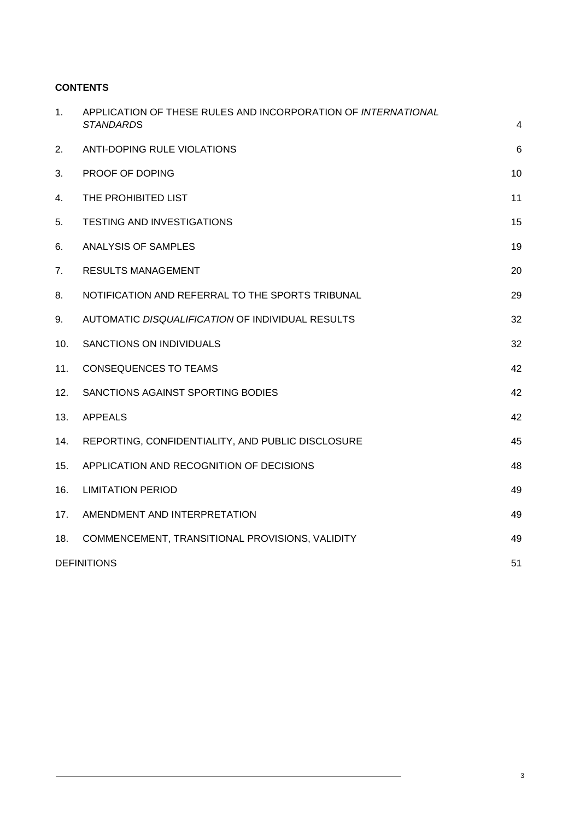# **CONTENTS**

| 1.  | APPLICATION OF THESE RULES AND INCORPORATION OF INTERNATIONAL<br><b>STANDARDS</b> | 4  |
|-----|-----------------------------------------------------------------------------------|----|
| 2.  | ANTI-DOPING RULE VIOLATIONS                                                       | 6  |
| 3.  | PROOF OF DOPING                                                                   | 10 |
| 4.  | THE PROHIBITED LIST                                                               | 11 |
| 5.  | TESTING AND INVESTIGATIONS                                                        | 15 |
| 6.  | ANALYSIS OF SAMPLES                                                               | 19 |
| 7.  | <b>RESULTS MANAGEMENT</b>                                                         | 20 |
| 8.  | NOTIFICATION AND REFERRAL TO THE SPORTS TRIBUNAL                                  | 29 |
| 9.  | AUTOMATIC DISQUALIFICATION OF INDIVIDUAL RESULTS                                  | 32 |
| 10. | SANCTIONS ON INDIVIDUALS                                                          | 32 |
| 11. | <b>CONSEQUENCES TO TEAMS</b>                                                      | 42 |
| 12. | SANCTIONS AGAINST SPORTING BODIES                                                 | 42 |
| 13. | <b>APPEALS</b>                                                                    | 42 |
| 14. | REPORTING, CONFIDENTIALITY, AND PUBLIC DISCLOSURE                                 | 45 |
| 15. | APPLICATION AND RECOGNITION OF DECISIONS                                          | 48 |
| 16. | <b>LIMITATION PERIOD</b>                                                          | 49 |
| 17. | AMENDMENT AND INTERPRETATION                                                      | 49 |
| 18. | COMMENCEMENT, TRANSITIONAL PROVISIONS, VALIDITY                                   | 49 |
|     | <b>DEFINITIONS</b>                                                                | 51 |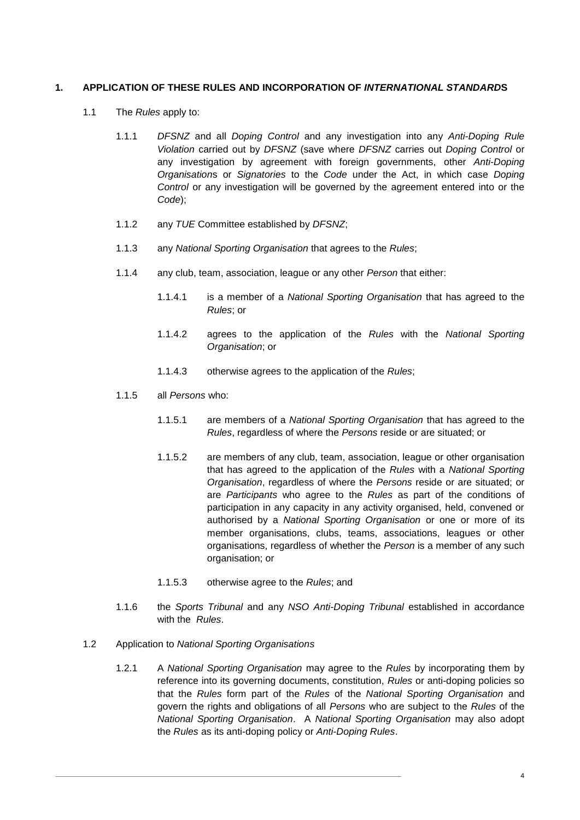# <span id="page-4-0"></span>**1. APPLICATION OF THESE RULES AND INCORPORATION OF** *INTERNATIONAL STANDARD***S**

- 1.1 The *Rules* apply to:
	- 1.1.1 *DFSNZ* and all *Doping Control* and any investigation into any *Anti-Doping Rule Violation* carried out by *DFSNZ* (save where *DFSNZ* carries out *Doping Control* or any investigation by agreement with foreign governments, other *Anti-Doping Organisation*s or *Signatories* to the *Code* under the Act, in which case *Doping Control* or any investigation will be governed by the agreement entered into or the *Code*);
	- 1.1.2 any *TUE* Committee established by *DFSNZ*;
	- 1.1.3 any *National Sporting Organisation* that agrees to the *Rules*;
	- 1.1.4 any club, team, association, league or any other *Person* that either:
		- 1.1.4.1 is a member of a *National Sporting Organisation* that has agreed to the *Rules*; or
		- 1.1.4.2 agrees to the application of the *Rules* with the *National Sporting Organisation*; or
		- 1.1.4.3 otherwise agrees to the application of the *Rules*;
	- 1.1.5 all *Persons* who:
		- 1.1.5.1 are members of a *National Sporting Organisation* that has agreed to the *Rules*, regardless of where the *Persons* reside or are situated; or
		- 1.1.5.2 are members of any club, team, association, league or other organisation that has agreed to the application of the *Rules* with a *National Sporting Organisation*, regardless of where the *Persons* reside or are situated; or are *Participants* who agree to the *Rules* as part of the conditions of participation in any capacity in any activity organised, held, convened or authorised by a *National Sporting Organisation* or one or more of its member organisations, clubs, teams, associations, leagues or other organisations, regardless of whether the *Person* is a member of any such organisation; or
		- 1.1.5.3 otherwise agree to the *Rules*; and
	- 1.1.6 the *Sports Tribunal* and any *NSO Anti-Doping Tribunal* established in accordance with the *Rules*.
- 1.2 Application to *National Sporting Organisations*
	- 1.2.1 A *National Sporting Organisation* may agree to the *Rules* by incorporating them by reference into its governing documents, constitution, *Rules* or anti-doping policies so that the *Rules* form part of the *Rules* of the *National Sporting Organisation* and govern the rights and obligations of all *Persons* who are subject to the *Rules* of the *National Sporting Organisation*. A *National Sporting Organisation* may also adopt the *Rules* as its anti-doping policy or *Anti-Doping Rules*.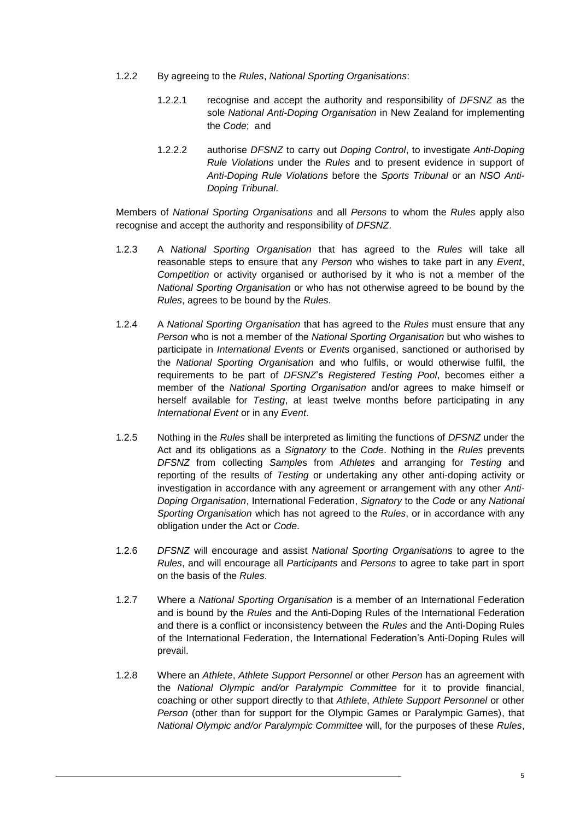- 1.2.2 By agreeing to the *Rules*, *National Sporting Organisations*:
	- 1.2.2.1 recognise and accept the authority and responsibility of *DFSNZ* as the sole *National Anti-Doping Organisation* in New Zealand for implementing the *Code*; and
	- 1.2.2.2 authorise *DFSNZ* to carry out *Doping Control*, to investigate *Anti-Doping Rule Violations* under the *Rules* and to present evidence in support of *Anti-Doping Rule Violations* before the *Sports Tribunal* or an *NSO Anti-Doping Tribunal*.

Members of *National Sporting Organisations* and all *Persons* to whom the *Rules* apply also recognise and accept the authority and responsibility of *DFSNZ*.

- 1.2.3 A *National Sporting Organisation* that has agreed to the *Rules* will take all reasonable steps to ensure that any *Person* who wishes to take part in any *Event*, *Competition* or activity organised or authorised by it who is not a member of the *National Sporting Organisation* or who has not otherwise agreed to be bound by the *Rules*, agrees to be bound by the *Rules*.
- 1.2.4 A *National Sporting Organisation* that has agreed to the *Rules* must ensure that any *Person* who is not a member of the *National Sporting Organisation* but who wishes to participate in *International Event*s or *Event*s organised, sanctioned or authorised by the *National Sporting Organisation* and who fulfils, or would otherwise fulfil, the requirements to be part of *DFSNZ*'s *Registered Testing Pool*, becomes either a member of the *National Sporting Organisation* and/or agrees to make himself or herself available for *Testing*, at least twelve months before participating in any *International Event* or in any *Event*.
- 1.2.5 Nothing in the *Rules* shall be interpreted as limiting the functions of *DFSNZ* under the Act and its obligations as a *Signatory* to the *Code*. Nothing in the *Rules* prevents *DFSNZ* from collecting *Sample*s from *Athletes* and arranging for *Testing* and reporting of the results of *Testing* or undertaking any other anti-doping activity or investigation in accordance with any agreement or arrangement with any other *Anti-Doping Organisation*, International Federation, *Signatory* to the *Code* or any *National Sporting Organisation* which has not agreed to the *Rules*, or in accordance with any obligation under the Act or *Code*.
- 1.2.6 *DFSNZ* will encourage and assist *National Sporting Organisation*s to agree to the *Rules*, and will encourage all *Participants* and *Persons* to agree to take part in sport on the basis of the *Rules*.
- 1.2.7 Where a *National Sporting Organisation* is a member of an International Federation and is bound by the *Rules* and the Anti-Doping Rules of the International Federation and there is a conflict or inconsistency between the *Rules* and the Anti-Doping Rules of the International Federation, the International Federation's Anti-Doping Rules will prevail.
- 1.2.8 Where an *Athlete*, *Athlete Support Personnel* or other *Person* has an agreement with the *National Olympic and/or Paralympic Committee* for it to provide financial, coaching or other support directly to that *Athlete*, *Athlete Support Personnel* or other *Person* (other than for support for the Olympic Games or Paralympic Games), that *National Olympic and/or Paralympic Committee* will, for the purposes of these *Rules*,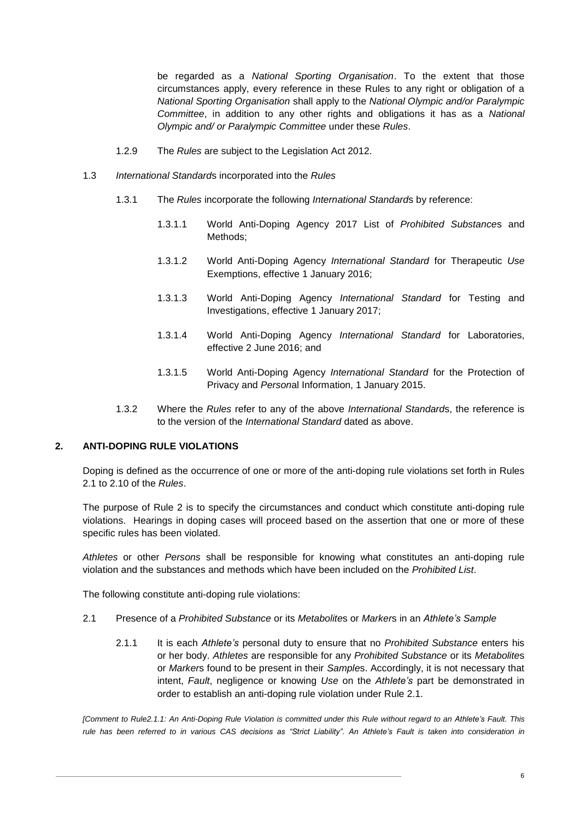be regarded as a *National Sporting Organisation*. To the extent that those circumstances apply, every reference in these Rules to any right or obligation of a *National Sporting Organisation* shall apply to the *National Olympic and/or Paralympic Committee*, in addition to any other rights and obligations it has as a *National Olympic and/ or Paralympic Committee* under these *Rules*.

- 1.2.9 The *Rules* are subject to the Legislation Act 2012.
- 1.3 *International Standard*s incorporated into the *Rules*
	- 1.3.1 The *Rules* incorporate the following *International Standard*s by reference:
		- 1.3.1.1 World Anti-Doping Agency 2017 List of *Prohibited Substance*s and Methods;
		- 1.3.1.2 World Anti-Doping Agency *International Standard* for Therapeutic *Use* Exemptions, effective 1 January 2016;
		- 1.3.1.3 World Anti-Doping Agency *International Standard* for Testing and Investigations, effective 1 January 2017;
		- 1.3.1.4 World Anti-Doping Agency *International Standard* for Laboratories, effective 2 June 2016; and
		- 1.3.1.5 World Anti-Doping Agency *International Standard* for the Protection of Privacy and *Person*al Information, 1 January 2015.
	- 1.3.2 Where the *Rules* refer to any of the above *International Standard*s, the reference is to the version of the *International Standard* dated as above.

# <span id="page-6-0"></span>**2. ANTI-DOPING RULE VIOLATIONS**

Doping is defined as the occurrence of one or more of the anti-doping rule violations set forth in Rules [2.1](#page-6-1) to [2.10](#page-9-0) of the *Rules*.

The purpose of Rule [2](#page-6-0) is to specify the circumstances and conduct which constitute anti-doping rule violations. Hearings in doping cases will proceed based on the assertion that one or more of these specific rules has been violated.

*Athletes* or other *Persons* shall be responsible for knowing what constitutes an anti-doping rule violation and the substances and methods which have been included on the *Prohibited List*.

<span id="page-6-1"></span>The following constitute anti-doping rule violations:

- <span id="page-6-2"></span>2.1 Presence of a *Prohibited Substance* or its *Metabolite*s or *Marker*s in an *Athlete's Sample*
	- 2.1.1 It is each *Athlete's* personal duty to ensure that no *Prohibited Substance* enters his or her body. *Athletes* are responsible for any *Prohibited Substance* or its *Metabolite*s or *Marker*s found to be present in their *Sample*s. Accordingly, it is not necessary that intent, *Fault*, negligence or knowing *Use* on the *Athlete's* part be demonstrated in order to establish an anti-doping rule violation under Rule [2.1.](#page-6-1)

*[Comment to Rul[e2.1.1:](#page-6-2) An Anti-Doping Rule Violation is committed under this Rule without regard to an Athlete's Fault. This rule has been referred to in various CAS decisions as "Strict Liability". An Athlete's Fault is taken into consideration in*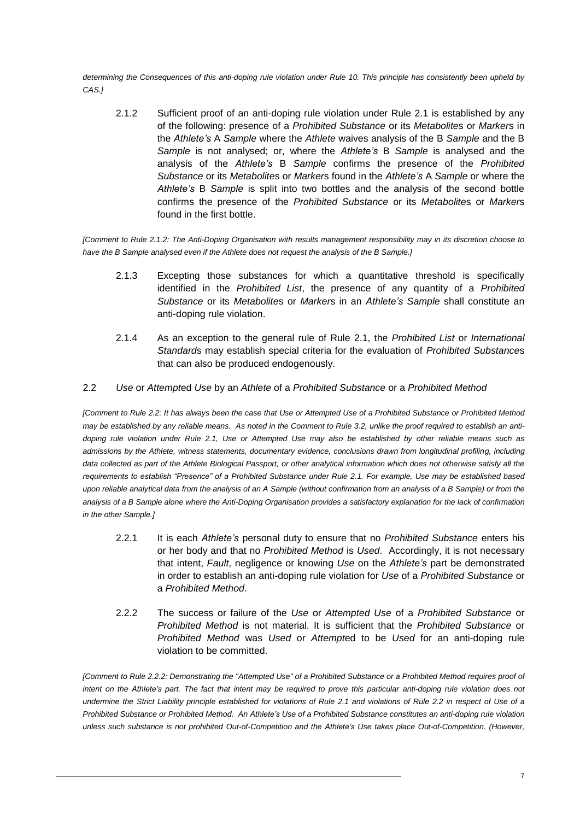<span id="page-7-1"></span>*determining the Consequences of this anti-doping rule violation under Rule [10.](#page-32-1) This principle has consistently been upheld by CAS.]*

2.1.2 Sufficient proof of an anti-doping rule violation under Rule [2.1](#page-6-1) is established by any of the following: presence of a *Prohibited Substance* or its *Metabolite*s or *Marker*s in the *Athlete's* A *Sample* where the *Athlete* waives analysis of the B *Sample* and the B *Sample* is not analysed; or, where the *Athlete's* B *Sample* is analysed and the analysis of the *Athlete's* B *Sample* confirms the presence of the *Prohibited Substance* or its *Metabolite*s or *Marker*s found in the *Athlete's* A *Sample* or where the *Athlete's* B *Sample* is split into two bottles and the analysis of the second bottle confirms the presence of the *Prohibited Substance* or its *Metabolite*s or *Marker*s found in the first bottle.

*[Comment to Rule [2.1.2:](#page-7-1) The Anti-Doping Organisation with results management responsibility may in its discretion choose to have the B Sample analysed even if the Athlete does not request the analysis of the B Sample.]*

- 2.1.3 Excepting those substances for which a quantitative threshold is specifically identified in the *Prohibited List*, the presence of any quantity of a *Prohibited Substance* or its *Metabolite*s or *Marker*s in an *Athlete's Sample* shall constitute an anti-doping rule violation.
- 2.1.4 As an exception to the general rule of Rule [2.1,](#page-6-1) the *Prohibited List* or *International Standard*s may establish special criteria for the evaluation of *Prohibited Substance*s that can also be produced endogenously.
- <span id="page-7-0"></span>2.2 *Use* or *Attempt*ed *Use* by an *Athlete* of a *Prohibited Substance* or a *Prohibited Method*

*[Comment to Rule [2.2:](#page-7-0) It has always been the case that Use or Attempted Use of a Prohibited Substance or Prohibited Method may be established by any reliable means. As noted in the Comment to Rul[e 3.2,](#page-10-1) unlike the proof required to establish an antidoping rule violation under Rule [2.1,](#page-6-1) Use or Attempted Use may also be established by other reliable means such as admissions by the Athlete, witness statements, documentary evidence, conclusions drawn from longitudinal profiling, including data collected as part of the Athlete Biological Passport, or other analytical information which does not otherwise satisfy all the requirements to establish "Presence" of a Prohibited Substance under Rule 2.1. For example, Use may be established based upon reliable analytical data from the analysis of an A Sample (without confirmation from an analysis of a B Sample) or from the analysis of a B Sample alone where the Anti-Doping Organisation provides a satisfactory explanation for the lack of confirmation in the other Sample.]*

- 2.2.1 It is each *Athlete's* personal duty to ensure that no *Prohibited Substance* enters his or her body and that no *Prohibited Method* is *Used*. Accordingly, it is not necessary that intent, *Fault*, negligence or knowing *Use* on the *Athlete's* part be demonstrated in order to establish an anti-doping rule violation for *Use* of a *Prohibited Substance* or a *Prohibited Method*.
- <span id="page-7-2"></span>2.2.2 The success or failure of the *Use* or *Attempted Use* of a *Prohibited Substance* or *Prohibited Method* is not material. It is sufficient that the *Prohibited Substance* or *Prohibited Method* was *Used* or *Attempt*ed to be *Used* for an anti-doping rule violation to be committed.

*[Comment to Rule [2.2.2:](#page-7-2) Demonstrating the "Attempted Use" of a Prohibited Substance or a Prohibited Method requires proof of intent on the Athlete's part. The fact that intent may be required to prove this particular anti-doping rule violation does not undermine the Strict Liability principle established for violations of Rule [2.1](#page-6-1) and violations of Rule [2.2](#page-7-0) in respect of Use of a Prohibited Substance or Prohibited Method. An Athlete's Use of a Prohibited Substance constitutes an anti-doping rule violation unless such substance is not prohibited Out-of-Competition and the Athlete's Use takes place Out-of-Competition. (However,*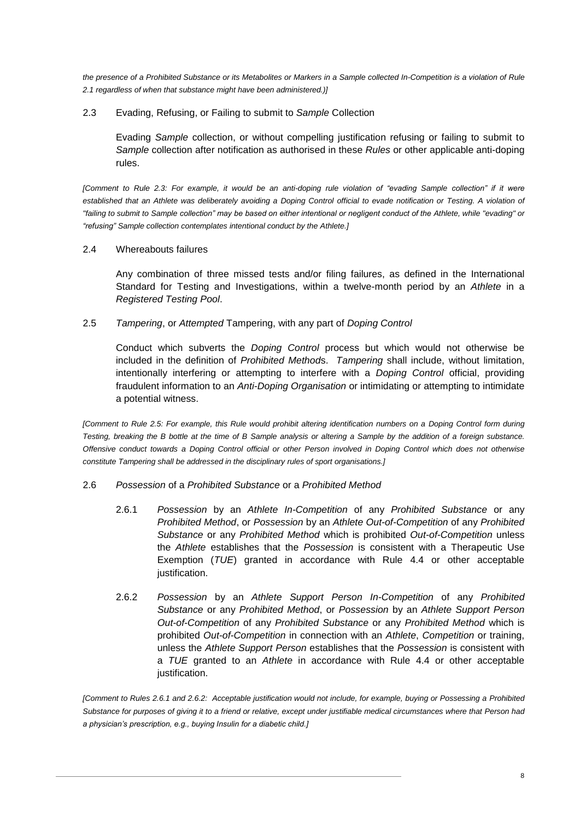*the presence of a Prohibited Substance or its Metabolites or Markers in a Sample collected In-Competition is a violation of Rule [2.1](#page-6-1) regardless of when that substance might have been administered.)]*

### <span id="page-8-0"></span>2.3 Evading, Refusing, or Failing to submit to *Sample* Collection

Evading *Sample* collection, or without compelling justification refusing or failing to submit to *Sample* collection after notification as authorised in these *Rules* or other applicable anti-doping rules.

*[Comment to Rule [2.3:](#page-8-0) For example, it would be an anti-doping rule violation of "evading Sample collection" if it were established that an Athlete was deliberately avoiding a Doping Control official to evade notification or Testing. A violation of "failing to submit to Sample collection" may be based on either intentional or negligent conduct of the Athlete, while "evading" or "refusing" Sample collection contemplates intentional conduct by the Athlete.]*

### <span id="page-8-3"></span>2.4 Whereabouts failures

Any combination of three missed tests and/or filing failures, as defined in the International Standard for Testing and Investigations, within a twelve-month period by an *Athlete* in a *Registered Testing Pool*.

### <span id="page-8-5"></span>2.5 *Tampering*, or *Attempted* Tampering, with any part of *Doping Control*

Conduct which subverts the *Doping Control* process but which would not otherwise be included in the definition of *Prohibited Method*s. *Tampering* shall include, without limitation, intentionally interfering or attempting to interfere with a *Doping Control* official, providing fraudulent information to an *Anti-Doping Organisation* or intimidating or attempting to intimidate a potential witness.

*[Comment to Rule 2.5: For example, this Rule would prohibit altering identification numbers on a Doping Control form during Testing, breaking the B bottle at the time of B Sample analysis or altering a Sample by the addition of a foreign substance. Offensive conduct towards a Doping Control official or other Person involved in Doping Control which does not otherwise constitute Tampering shall be addressed in the disciplinary rules of sport organisations.]*

### <span id="page-8-4"></span><span id="page-8-1"></span>2.6 *Possession* of a *Prohibited Substance* or a *Prohibited Method*

- 2.6.1 *Possession* by an *Athlete In-Competition* of any *Prohibited Substance* or any *Prohibited Method*, or *Possession* by an *Athlete Out-of-Competition* of any *Prohibited Substance* or any *Prohibited Method* which is prohibited *Out-of-Competition* unless the *Athlete* establishes that the *Possession* is consistent with a Therapeutic Use Exemption (*TUE*) granted in accordance with Rule [4.4](#page-12-0) or other acceptable justification.
- <span id="page-8-2"></span>2.6.2 *Possession* by an *Athlete Support Person In-Competition* of any *Prohibited Substance* or any *Prohibited Method*, or *Possession* by an *Athlete Support Person Out-of-Competition* of any *Prohibited Substance* or any *Prohibited Method* which is prohibited *Out-of-Competition* in connection with an *Athlete*, *Competition* or training, unless the *Athlete Support Person* establishes that the *Possession* is consistent with a *TUE* granted to an *Athlete* in accordance with Rule [4.4](#page-12-0) or other acceptable justification.

*[Comment to Rules [2.6.1](#page-8-1) and [2.6.2:](#page-8-2) Acceptable justification would not include, for example, buying or Possessing a Prohibited Substance for purposes of giving it to a friend or relative, except under justifiable medical circumstances where that Person had a physician's prescription, e.g., buying Insulin for a diabetic child.]*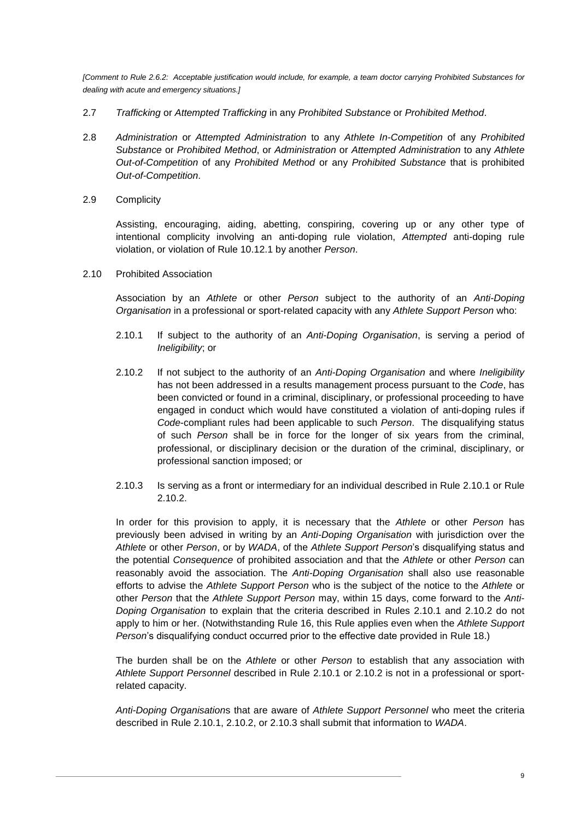*[Comment to Rule [2.6.2:](#page-8-2) Acceptable justification would include, for example, a team doctor carrying Prohibited Substances for dealing with acute and emergency situations.]*

- <span id="page-9-5"></span><span id="page-9-4"></span>2.7 *Trafficking* or *Attempted Trafficking* in any *Prohibited Substance* or *Prohibited Method*.
- 2.8 *Administration* or *Attempted Administration* to any *Athlete In-Competition* of any *Prohibited Substance* or *Prohibited Method*, or *Administration* or *Attempted Administration* to any *Athlete Out-of-Competition* of any *Prohibited Method* or any *Prohibited Substance* that is prohibited *Out-of-Competition*.
- <span id="page-9-6"></span>2.9 Complicity

Assisting, encouraging, aiding, abetting, conspiring, covering up or any other type of intentional complicity involving an anti-doping rule violation, *Attempted* anti-doping rule violation, or violation of Rule [10.12.1](#page-40-0) by another *Person*.

<span id="page-9-1"></span><span id="page-9-0"></span>2.10 Prohibited Association

Association by an *Athlete* or other *Person* subject to the authority of an *Anti-Doping Organisation* in a professional or sport-related capacity with any *Athlete Support Person* who:

- 2.10.1 If subject to the authority of an *Anti-Doping Organisation*, is serving a period of *Ineligibility*; or
- <span id="page-9-2"></span>2.10.2 If not subject to the authority of an *Anti-Doping Organisation* and where *Ineligibility* has not been addressed in a results management process pursuant to the *Code*, has been convicted or found in a criminal, disciplinary, or professional proceeding to have engaged in conduct which would have constituted a violation of anti-doping rules if *Code*-compliant rules had been applicable to such *Person*. The disqualifying status of such *Person* shall be in force for the longer of six years from the criminal, professional, or disciplinary decision or the duration of the criminal, disciplinary, or professional sanction imposed; or
- <span id="page-9-3"></span>2.10.3 Is serving as a front or intermediary for an individual described in Rule [2.10.1](#page-9-1) or Rule [2.10.2.](#page-9-2)

In order for this provision to apply, it is necessary that the *Athlete* or other *Person* has previously been advised in writing by an *Anti-Doping Organisation* with jurisdiction over the *Athlete* or other *Person*, or by *WADA*, of the *Athlete Support Person*'s disqualifying status and the potential *Consequence* of prohibited association and that the *Athlete* or other *Person* can reasonably avoid the association. The *Anti-Doping Organisation* shall also use reasonable efforts to advise the *Athlete Support Person* who is the subject of the notice to the *Athlete* or other *Person* that the *Athlete Support Person* may, within 15 days, come forward to the *Anti-Doping Organisation* to explain that the criteria described in Rules 2.10.1 and 2.10.2 do not apply to him or her. (Notwithstanding Rule [16,](#page-49-0) this Rule applies even when the *Athlete Support Person*'s disqualifying conduct occurred prior to the effective date provided in Rule [18.](#page-49-2))

The burden shall be on the *Athlete* or other *Person* to establish that any association with *Athlete Support Personnel* described in Rule [2.10.1](#page-9-1) or [2.10.2](#page-9-2) is not in a professional or sportrelated capacity.

*Anti-Doping Organisation*s that are aware of *Athlete Support Personnel* who meet the criteria described in Rule [2.10.1,](#page-9-1) [2.10.2,](#page-9-2) or [2.10.3](#page-9-3) shall submit that information to *WADA*.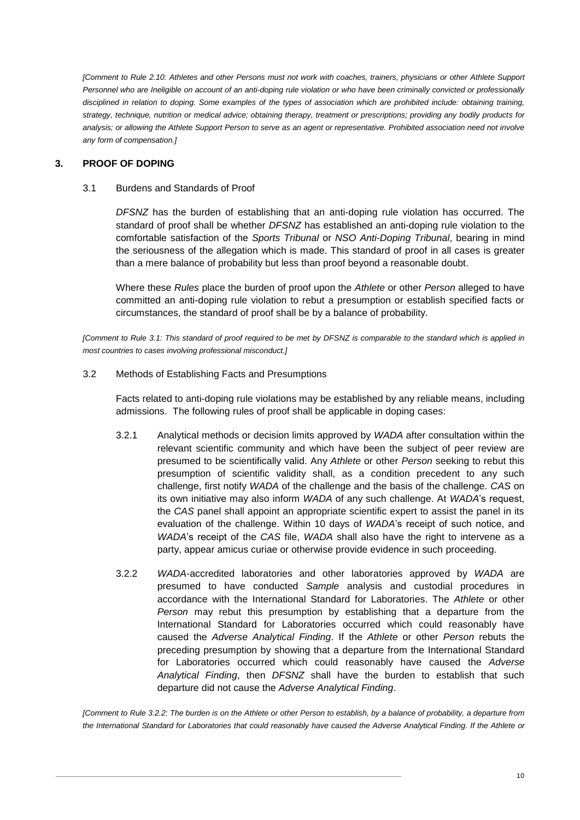*[Comment to Rule [2.10:](#page-9-0) Athletes and other Persons must not work with coaches, trainers, physicians or other Athlete Support Personnel who are Ineligible on account of an anti-doping rule violation or who have been criminally convicted or professionally disciplined in relation to doping. Some examples of the types of association which are prohibited include: obtaining training, strategy, technique, nutrition or medical advice; obtaining therapy, treatment or prescriptions; providing any bodily products for analysis; or allowing the Athlete Support Person to serve as an agent or representative. Prohibited association need not involve any form of compensation.]*

# <span id="page-10-2"></span><span id="page-10-0"></span>**3. PROOF OF DOPING**

### 3.1 Burdens and Standards of Proof

*DFSNZ* has the burden of establishing that an anti-doping rule violation has occurred. The standard of proof shall be whether *DFSNZ* has established an anti-doping rule violation to the comfortable satisfaction of the *Sports Tribunal* or *NSO Anti-Doping Tribunal*, bearing in mind the seriousness of the allegation which is made. This standard of proof in all cases is greater than a mere balance of probability but less than proof beyond a reasonable doubt.

Where these *Rules* place the burden of proof upon the *Athlete* or other *Person* alleged to have committed an anti-doping rule violation to rebut a presumption or establish specified facts or circumstances, the standard of proof shall be by a balance of probability.

*[Comment to Rule [3.1:](#page-10-2) This standard of proof required to be met by DFSNZ is comparable to the standard which is applied in most countries to cases involving professional misconduct.]*

<span id="page-10-1"></span>3.2 Methods of Establishing Facts and Presumptions

Facts related to anti-doping rule violations may be established by any reliable means, including admissions. The following rules of proof shall be applicable in doping cases:

- 3.2.1 Analytical methods or decision limits approved by *WADA* after consultation within the relevant scientific community and which have been the subject of peer review are presumed to be scientifically valid. Any *Athlete* or other *Person* seeking to rebut this presumption of scientific validity shall, as a condition precedent to any such challenge, first notify *WADA* of the challenge and the basis of the challenge. *CAS* on its own initiative may also inform *WADA* of any such challenge. At *WADA*'s request, the *CAS* panel shall appoint an appropriate scientific expert to assist the panel in its evaluation of the challenge. Within 10 days of *WADA*'s receipt of such notice, and *WADA*'s receipt of the *CAS* file, *WADA* shall also have the right to intervene as a party, appear amicus curiae or otherwise provide evidence in such proceeding.
- <span id="page-10-3"></span>3.2.2 *WADA*-accredited laboratories and other laboratories approved by *WADA* are presumed to have conducted *Sample* analysis and custodial procedures in accordance with the International Standard for Laboratories. The *Athlete* or other *Person* may rebut this presumption by establishing that a departure from the International Standard for Laboratories occurred which could reasonably have caused the *Adverse Analytical Finding*. If the *Athlete* or other *Person* rebuts the preceding presumption by showing that a departure from the International Standard for Laboratories occurred which could reasonably have caused the *Adverse Analytical Finding*, then *DFSNZ* shall have the burden to establish that such departure did not cause the *Adverse Analytical Finding*.

*[Comment to Rule [3.2.2:](#page-10-3) The burden is on the Athlete or other Person to establish, by a balance of probability, a departure from the International Standard for Laboratories that could reasonably have caused the Adverse Analytical Finding. If the Athlete or*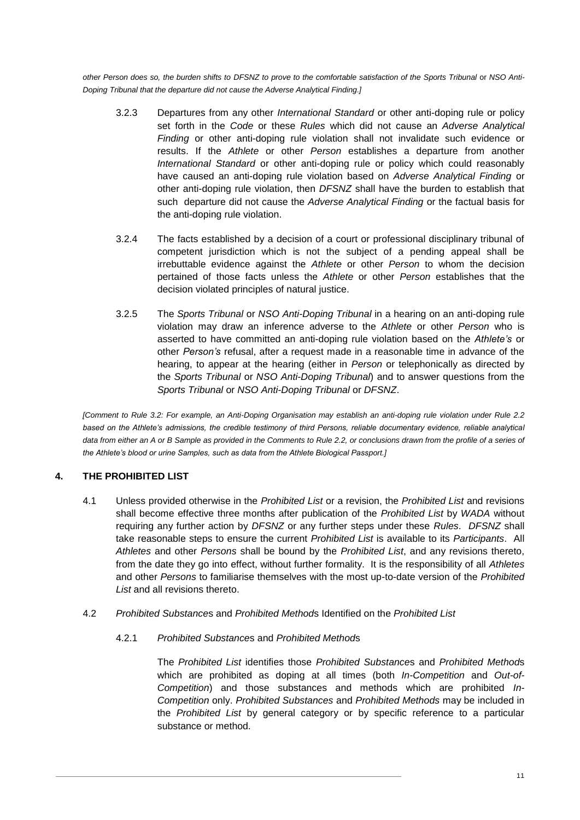<span id="page-11-2"></span>*other Person does so, the burden shifts to DFSNZ to prove to the comfortable satisfaction of the Sports Tribunal* or *NSO Anti-Doping Tribunal that the departure did not cause the Adverse Analytical Finding.]*

- 3.2.3 Departures from any other *International Standard* or other anti-doping rule or policy set forth in the *Code* or these *Rules* which did not cause an *Adverse Analytical Finding* or other anti-doping rule violation shall not invalidate such evidence or results. If the *Athlete* or other *Person* establishes a departure from another *International Standard* or other anti-doping rule or policy which could reasonably have caused an anti-doping rule violation based on *Adverse Analytical Finding* or other anti-doping rule violation, then *DFSNZ* shall have the burden to establish that such departure did not cause the *Adverse Analytical Finding* or the factual basis for the anti-doping rule violation.
- 3.2.4 The facts established by a decision of a court or professional disciplinary tribunal of competent jurisdiction which is not the subject of a pending appeal shall be irrebuttable evidence against the *Athlete* or other *Person* to whom the decision pertained of those facts unless the *Athlete* or other *Person* establishes that the decision violated principles of natural justice.
- 3.2.5 The *Sports Tribunal* or *NSO Anti-Doping Tribunal* in a hearing on an anti-doping rule violation may draw an inference adverse to the *Athlete* or other *Person* who is asserted to have committed an anti-doping rule violation based on the *Athlete's* or other *Person's* refusal, after a request made in a reasonable time in advance of the hearing, to appear at the hearing (either in *Person* or telephonically as directed by the *Sports Tribunal* or *NSO Anti-Doping Tribunal*) and to answer questions from the *Sports Tribunal* or *NSO Anti-Doping Tribunal* or *DFSNZ*.

*[Comment to Rule [3.2:](#page-10-1) For example, an Anti-Doping Organisation may establish an anti-doping rule violation under Rule [2.2](#page-7-0) based on the Athlete's admissions, the credible testimony of third Persons, reliable documentary evidence, reliable analytical data from either an A or B Sample as provided in the Comments to Rul[e 2.2,](#page-7-0) or conclusions drawn from the profile of a series of the Athlete's blood or urine Samples, such as data from the Athlete Biological Passport.]*

# <span id="page-11-0"></span>**4. THE PROHIBITED LIST**

- 4.1 Unless provided otherwise in the *Prohibited List* or a revision, the *Prohibited List* and revisions shall become effective three months after publication of the *Prohibited List* by *WADA* without requiring any further action by *DFSNZ* or any further steps under these *Rules*. *DFSNZ* shall take reasonable steps to ensure the current *Prohibited List* is available to its *Participants*. All *Athletes* and other *Persons* shall be bound by the *Prohibited List*, and any revisions thereto, from the date they go into effect, without further formality. It is the responsibility of all *Athletes* and other *Persons* to familiarise themselves with the most up-to-date version of the *Prohibited List* and all revisions thereto.
- <span id="page-11-1"></span>4.2 *Prohibited Substance*s and *Prohibited Method*s Identified on the *Prohibited List*

# 4.2.1 *Prohibited Substance*s and *Prohibited Method*s

The *Prohibited List* identifies those *Prohibited Substance*s and *Prohibited Method*s which are prohibited as doping at all times (both *In-Competition* and *Out-of-Competition*) and those substances and methods which are prohibited *In-Competition* only. *Prohibited Substances* and *Prohibited Methods* may be included in the *Prohibited List* by general category or by specific reference to a particular substance or method.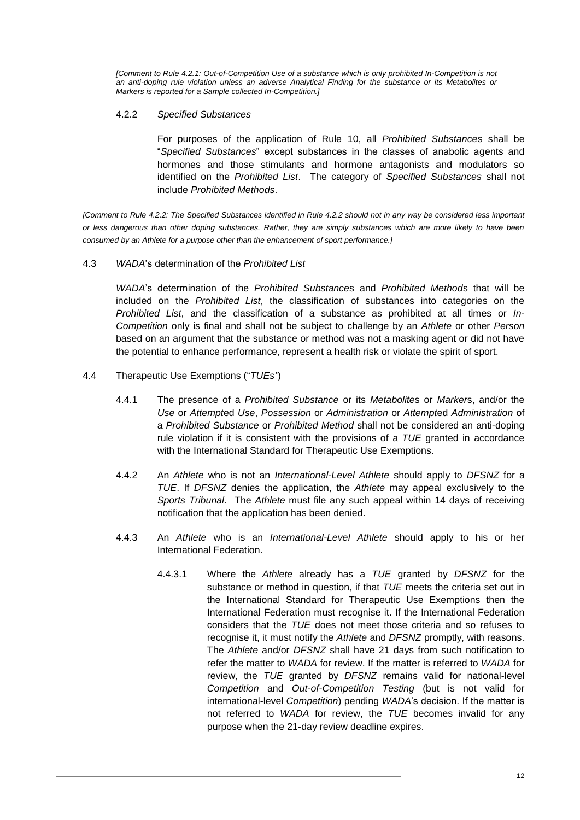*[Comment to Rule [4.2.1:](#page-11-1) Out-of-Competition Use of a substance which is only prohibited In-Competition is not an anti-doping rule violation unless an adverse Analytical Finding for the substance or its Metabolites or Markers is reported for a Sample collected In-Competition.]*

#### <span id="page-12-1"></span>4.2.2 *Specified Substances*

For purposes of the application of Rule [10,](#page-32-1) all *Prohibited Substance*s shall be "*Specified Substances*" except substances in the classes of anabolic agents and hormones and those stimulants and hormone antagonists and modulators so identified on the *Prohibited List*. The category of *Specified Substances* shall not include *Prohibited Methods*.

*[Comment to Rule [4.2.2:](#page-12-1) The Specified Substances identified in Rule [4.2.2](#page-12-1) should not in any way be considered less important or less dangerous than other doping substances. Rather, they are simply substances which are more likely to have been consumed by an Athlete for a purpose other than the enhancement of sport performance.]*

4.3 *WADA*'s determination of the *Prohibited List*

*WADA*'s determination of the *Prohibited Substance*s and *Prohibited Method*s that will be included on the *Prohibited List*, the classification of substances into categories on the *Prohibited List*, and the classification of a substance as prohibited at all times or *In-Competition* only is final and shall not be subject to challenge by an *Athlete* or other *Person* based on an argument that the substance or method was not a masking agent or did not have the potential to enhance performance, represent a health risk or violate the spirit of sport.

- <span id="page-12-2"></span><span id="page-12-0"></span>4.4 Therapeutic Use Exemptions ("*TUEs"*)
	- 4.4.1 The presence of a *Prohibited Substance* or its *Metabolite*s or *Marker*s, and/or the *Use* or *Attempt*ed *Use*, *Possession* or *Administration* or *Attempt*ed *Administration* of a *Prohibited Substance* or *Prohibited Method* shall not be considered an anti-doping rule violation if it is consistent with the provisions of a *TUE* granted in accordance with the International Standard for Therapeutic Use Exemptions.
	- 4.4.2 An *Athlete* who is not an *International-Level Athlete* should apply to *DFSNZ* for a *TUE*. If *DFSNZ* denies the application, the *Athlete* may appeal exclusively to the *Sports Tribunal*. The *Athlete* must file any such appeal within 14 days of receiving notification that the application has been denied.
	- 4.4.3 An *Athlete* who is an *International-Level Athlete* should apply to his or her International Federation.
		- 4.4.3.1 Where the *Athlete* already has a *TUE* granted by *DFSNZ* for the substance or method in question, if that *TUE* meets the criteria set out in the International Standard for Therapeutic Use Exemptions then the International Federation must recognise it. If the International Federation considers that the *TUE* does not meet those criteria and so refuses to recognise it, it must notify the *Athlete* and *DFSNZ* promptly, with reasons. The *Athlete* and/or *DFSNZ* shall have 21 days from such notification to refer the matter to *WADA* for review. If the matter is referred to *WADA* for review, the *TUE* granted by *DFSNZ* remains valid for national-level *Competition* and *Out-of-Competition Testing* (but is not valid for international-level *Competition*) pending *WADA*'s decision. If the matter is not referred to *WADA* for review, the *TUE* becomes invalid for any purpose when the 21-day review deadline expires.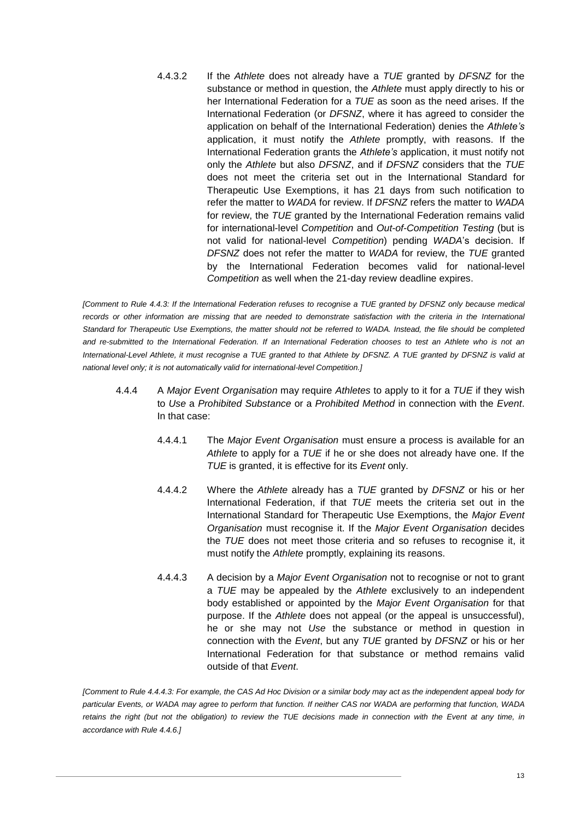4.4.3.2 If the *Athlete* does not already have a *TUE* granted by *DFSNZ* for the substance or method in question, the *Athlete* must apply directly to his or her International Federation for a *TUE* as soon as the need arises. If the International Federation (or *DFSNZ*, where it has agreed to consider the application on behalf of the International Federation) denies the *Athlete's* application, it must notify the *Athlete* promptly, with reasons. If the International Federation grants the *Athlete's* application, it must notify not only the *Athlete* but also *DFSNZ*, and if *DFSNZ* considers that the *TUE* does not meet the criteria set out in the International Standard for Therapeutic Use Exemptions, it has 21 days from such notification to refer the matter to *WADA* for review. If *DFSNZ* refers the matter to *WADA* for review, the *TUE* granted by the International Federation remains valid for international-level *Competition* and *Out-of-Competition Testing* (but is not valid for national-level *Competition*) pending *WADA*'s decision. If *DFSNZ* does not refer the matter to *WADA* for review, the *TUE* granted by the International Federation becomes valid for national-level *Competition* as well when the 21-day review deadline expires.

*[Comment to Rule [4.4.3:](#page-12-2) If the International Federation refuses to recognise a TUE granted by DFSNZ only because medical*  records or other information are missing that are needed to demonstrate satisfaction with the criteria in the International *Standard for Therapeutic Use Exemptions, the matter should not be referred to WADA. Instead, the file should be completed and re-submitted to the International Federation. If an International Federation chooses to test an Athlete who is not an International-Level Athlete, it must recognise a TUE granted to that Athlete by DFSNZ. A TUE granted by DFSNZ is valid at national level only; it is not automatically valid for international-level Competition.]*

- 4.4.4 A *Major Event Organisation* may require *Athletes* to apply to it for a *TUE* if they wish to *Use* a *Prohibited Substance* or a *Prohibited Method* in connection with the *Event*. In that case:
	- 4.4.4.1 The *Major Event Organisation* must ensure a process is available for an *Athlete* to apply for a *TUE* if he or she does not already have one. If the *TUE* is granted, it is effective for its *Event* only.
	- 4.4.4.2 Where the *Athlete* already has a *TUE* granted by *DFSNZ* or his or her International Federation, if that *TUE* meets the criteria set out in the International Standard for Therapeutic Use Exemptions, the *Major Event Organisation* must recognise it. If the *Major Event Organisation* decides the *TUE* does not meet those criteria and so refuses to recognise it, it must notify the *Athlete* promptly, explaining its reasons.
	- 4.4.4.3 A decision by a *Major Event Organisation* not to recognise or not to grant a *TUE* may be appealed by the *Athlete* exclusively to an independent body established or appointed by the *Major Event Organisation* for that purpose. If the *Athlete* does not appeal (or the appeal is unsuccessful), he or she may not *Use* the substance or method in question in connection with the *Event*, but any *TUE* granted by *DFSNZ* or his or her International Federation for that substance or method remains valid outside of that *Event*.

*[Comment to Rule 4.4.4.3: For example, the CAS Ad Hoc Division or a similar body may act as the independent appeal body for particular Events, or WADA may agree to perform that function. If neither CAS nor WADA are performing that function, WADA retains the right (but not the obligation) to review the TUE decisions made in connection with the Event at any time, in accordance with Rule [4.4.6.\]](#page-14-0)*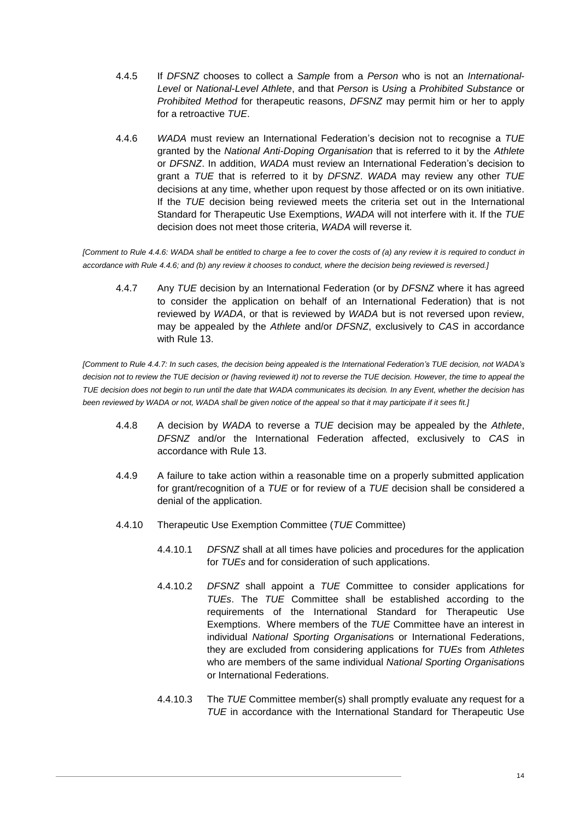- 4.4.5 If *DFSNZ* chooses to collect a *Sample* from a *Person* who is not an *International*-*Level* or *National*-*Level Athlete*, and that *Person* is *Using* a *Prohibited Substance* or *Prohibited Method* for therapeutic reasons, *DFSNZ* may permit him or her to apply for a retroactive *TUE*.
- <span id="page-14-0"></span>4.4.6 *WADA* must review an International Federation's decision not to recognise a *TUE* granted by the *National Anti-Doping Organisation* that is referred to it by the *Athlete* or *DFSNZ*. In addition, *WADA* must review an International Federation's decision to grant a *TUE* that is referred to it by *DFSNZ*. *WADA* may review any other *TUE* decisions at any time, whether upon request by those affected or on its own initiative. If the *TUE* decision being reviewed meets the criteria set out in the International Standard for Therapeutic Use Exemptions, *WADA* will not interfere with it. If the *TUE* decision does not meet those criteria, *WADA* will reverse it.

<span id="page-14-1"></span>*[Comment to Rul[e 4.4.6:](#page-14-0) WADA shall be entitled to charge a fee to cover the costs of (a) any review it is required to conduct in accordance with Rule [4.4.6;](#page-14-0) and (b) any review it chooses to conduct, where the decision being reviewed is reversed.]*

4.4.7 Any *TUE* decision by an International Federation (or by *DFSNZ* where it has agreed to consider the application on behalf of an International Federation) that is not reviewed by *WADA*, or that is reviewed by *WADA* but is not reversed upon review, may be appealed by the *Athlete* and/or *DFSNZ*, exclusively to *CAS* in accordance with Rule [13.](#page-42-2)

*[Comment to Rule [4.4.7:](#page-14-1) In such cases, the decision being appealed is the International Federation's TUE decision, not WADA's decision not to review the TUE decision or (having reviewed it) not to reverse the TUE decision. However, the time to appeal the TUE decision does not begin to run until the date that WADA communicates its decision. In any Event, whether the decision has been reviewed by WADA or not, WADA shall be given notice of the appeal so that it may participate if it sees fit.]*

- 4.4.8 A decision by *WADA* to reverse a *TUE* decision may be appealed by the *Athlete*, *DFSNZ* and/or the International Federation affected, exclusively to *CAS* in accordance with Rule [13.](#page-42-2)
- 4.4.9 A failure to take action within a reasonable time on a properly submitted application for grant/recognition of a *TUE* or for review of a *TUE* decision shall be considered a denial of the application.
- 4.4.10 Therapeutic Use Exemption Committee (*TUE* Committee)
	- 4.4.10.1 *DFSNZ* shall at all times have policies and procedures for the application for *TUEs* and for consideration of such applications.
	- 4.4.10.2 *DFSNZ* shall appoint a *TUE* Committee to consider applications for *TUEs*. The *TUE* Committee shall be established according to the requirements of the International Standard for Therapeutic Use Exemptions. Where members of the *TUE* Committee have an interest in individual *National Sporting Organisation*s or International Federations, they are excluded from considering applications for *TUEs* from *Athletes* who are members of the same individual *National Sporting Organisation*s or International Federations.
	- 4.4.10.3 The *TUE* Committee member(s) shall promptly evaluate any request for a *TUE* in accordance with the International Standard for Therapeutic Use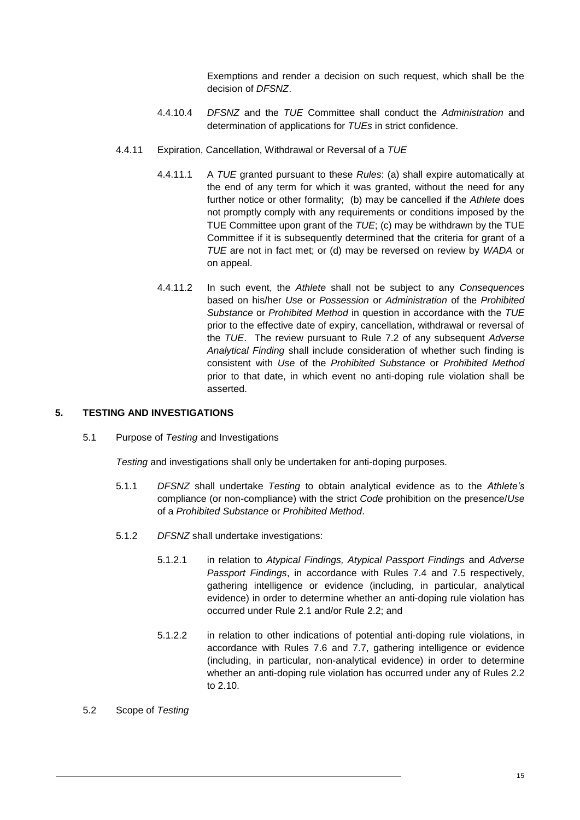Exemptions and render a decision on such request, which shall be the decision of *DFSNZ*.

- 4.4.10.4 *DFSNZ* and the *TUE* Committee shall conduct the *Administration* and determination of applications for *TUEs* in strict confidence.
- 4.4.11 Expiration, Cancellation, Withdrawal or Reversal of a *TUE*
	- 4.4.11.1 A *TUE* granted pursuant to these *Rules*: (a) shall expire automatically at the end of any term for which it was granted, without the need for any further notice or other formality; (b) may be cancelled if the *Athlete* does not promptly comply with any requirements or conditions imposed by the TUE Committee upon grant of the *TUE*; (c) may be withdrawn by the TUE Committee if it is subsequently determined that the criteria for grant of a *TUE* are not in fact met; or (d) may be reversed on review by *WADA* or on appeal.
	- 4.4.11.2 In such event, the *Athlete* shall not be subject to any *Consequences* based on his/her *Use* or *Possession* or *Administration* of the *Prohibited Substance* or *Prohibited Method* in question in accordance with the *TUE* prior to the effective date of expiry, cancellation, withdrawal or reversal of the *TUE*. The review pursuant to Rule [7.2](#page-22-0) of any subsequent *Adverse Analytical Finding* shall include consideration of whether such finding is consistent with *Use* of the *Prohibited Substance* or *Prohibited Method*  prior to that date, in which event no anti-doping rule violation shall be asserted.

### <span id="page-15-0"></span>**5. TESTING AND INVESTIGATIONS**

5.1 Purpose of *Testing* and Investigations

*Testing* and investigations shall only be undertaken for anti-doping purposes.

- 5.1.1 *DFSNZ* shall undertake *Testing* to obtain analytical evidence as to the *Athlete's* compliance (or non-compliance) with the strict *Code* prohibition on the presence/*Use* of a *Prohibited Substance* or *Prohibited Method*.
- 5.1.2 *DFSNZ* shall undertake investigations:
	- 5.1.2.1 in relation to *Atypical Findings, Atypical Passport Findings* and *Adverse Passport Findings*, in accordance with Rules [7.4](#page-23-0) and [7.5](#page-23-1) respectively, gathering intelligence or evidence (including, in particular, analytical evidence) in order to determine whether an anti-doping rule violation has occurred under Rule [2.1](#page-6-1) and/or Rule [2.2;](#page-7-0) and
	- 5.1.2.2 in relation to other indications of potential anti-doping rule violations, in accordance with Rules [7.6](#page-24-0) and [7.7,](#page-24-1) gathering intelligence or evidence (including, in particular, non-analytical evidence) in order to determine whether an anti-doping rule violation has occurred under any of Rules [2.2](#page-7-0) to [2.10.](#page-9-0)
- <span id="page-15-1"></span>5.2 Scope of *Testing*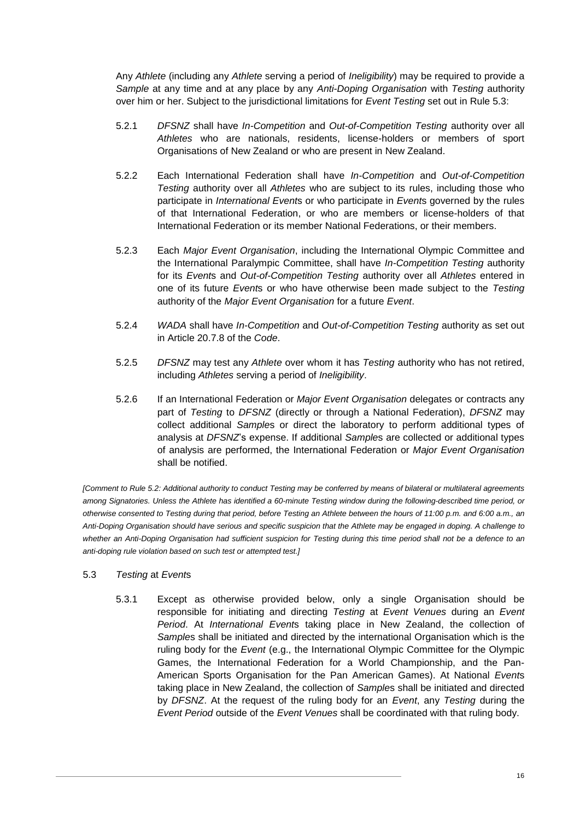Any *Athlete* (including any *Athlete* serving a period of *Ineligibility*) may be required to provide a *Sample* at any time and at any place by any *Anti-Doping Organisation* with *Testing* authority over him or her. Subject to the jurisdictional limitations for *Event Testing* set out in Rule [5.3:](#page-16-0)

- 5.2.1 *DFSNZ* shall have *In-Competition* and *Out-of-Competition Testing* authority over all *Athletes* who are nationals, residents, license-holders or members of sport Organisations of New Zealand or who are present in New Zealand.
- 5.2.2 Each International Federation shall have *In-Competition* and *Out-of-Competition Testing* authority over all *Athletes* who are subject to its rules, including those who participate in *International Event*s or who participate in *Event*s governed by the rules of that International Federation, or who are members or license-holders of that International Federation or its member National Federations, or their members.
- 5.2.3 Each *Major Event Organisation*, including the International Olympic Committee and the International Paralympic Committee, shall have *In-Competition Testing* authority for its *Event*s and *Out-of-Competition Testing* authority over all *Athletes* entered in one of its future *Event*s or who have otherwise been made subject to the *Testing* authority of the *Major Event Organisation* for a future *Event*.
- 5.2.4 *WADA* shall have *In-Competition* and *Out-of-Competition Testing* authority as set out in Article 20.7.8 of the *Code*.
- 5.2.5 *DFSNZ* may test any *Athlete* over whom it has *Testing* authority who has not retired, including *Athletes* serving a period of *Ineligibility*.
- <span id="page-16-2"></span>5.2.6 If an International Federation or *Major Event Organisation* delegates or contracts any part of *Testing* to *DFSNZ* (directly or through a National Federation), *DFSNZ* may collect additional *Sample*s or direct the laboratory to perform additional types of analysis at *DFSNZ*'s expense. If additional *Sample*s are collected or additional types of analysis are performed, the International Federation or *Major Event Organisation* shall be notified.

*[Comment to Rule [5.2:](#page-15-1) Additional authority to conduct Testing may be conferred by means of bilateral or multilateral agreements among Signatories. Unless the Athlete has identified a 60-minute Testing window during the following-described time period, or otherwise consented to Testing during that period, before Testing an Athlete between the hours of 11:00 p.m. and 6:00 a.m., an Anti-Doping Organisation should have serious and specific suspicion that the Athlete may be engaged in doping. A challenge to whether an Anti-Doping Organisation had sufficient suspicion for Testing during this time period shall not be a defence to an anti-doping rule violation based on such test or attempted test.]*

- <span id="page-16-1"></span><span id="page-16-0"></span>5.3 *Testing* at *Event*s
	- 5.3.1 Except as otherwise provided below, only a single Organisation should be responsible for initiating and directing *Testing* at *Event Venues* during an *Event Period*. At *International Event*s taking place in New Zealand, the collection of *Sample*s shall be initiated and directed by the international Organisation which is the ruling body for the *Event* (e.g., the International Olympic Committee for the Olympic Games, the International Federation for a World Championship, and the Pan-American Sports Organisation for the Pan American Games). At National *Event*s taking place in New Zealand, the collection of *Sample*s shall be initiated and directed by *DFSNZ*. At the request of the ruling body for an *Event*, any *Testing* during the *Event Period* outside of the *Event Venues* shall be coordinated with that ruling body.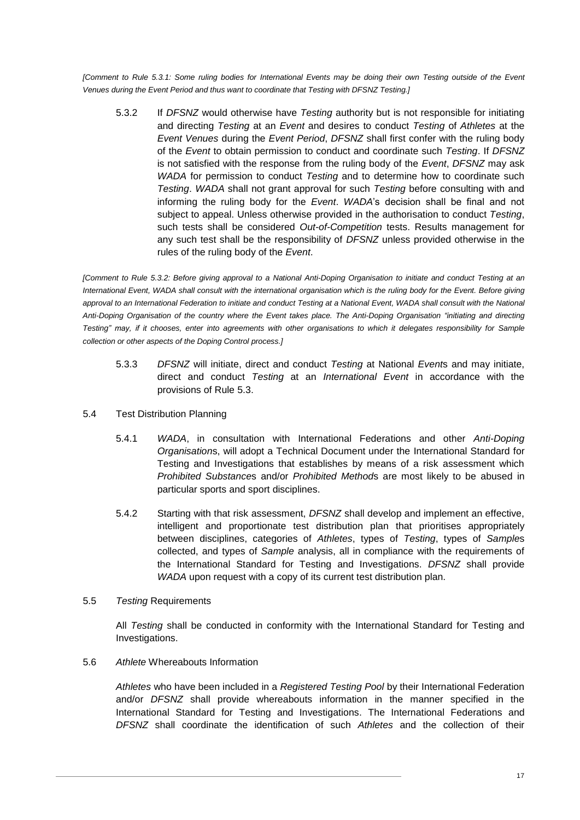<span id="page-17-0"></span>*[Comment to Rule [5.3.1:](#page-16-1) Some ruling bodies for International Events may be doing their own Testing outside of the Event Venues during the Event Period and thus want to coordinate that Testing with DFSNZ Testing.]*

5.3.2 If *DFSNZ* would otherwise have *Testing* authority but is not responsible for initiating and directing *Testing* at an *Event* and desires to conduct *Testing* of *Athletes* at the *Event Venues* during the *Event Period*, *DFSNZ* shall first confer with the ruling body of the *Event* to obtain permission to conduct and coordinate such *Testing*. If *DFSNZ* is not satisfied with the response from the ruling body of the *Event*, *DFSNZ* may ask *WADA* for permission to conduct *Testing* and to determine how to coordinate such *Testing*. *WADA* shall not grant approval for such *Testing* before consulting with and informing the ruling body for the *Event*. *WADA*'s decision shall be final and not subject to appeal. Unless otherwise provided in the authorisation to conduct *Testing*, such tests shall be considered *Out-of-Competition* tests. Results management for any such test shall be the responsibility of *DFSNZ* unless provided otherwise in the rules of the ruling body of the *Event*.

*[Comment to Rule [5.3.2:](#page-17-0) Before giving approval to a National Anti-Doping Organisation to initiate and conduct Testing at an International Event, WADA shall consult with the international organisation which is the ruling body for the Event. Before giving approval to an International Federation to initiate and conduct Testing at a National Event, WADA shall consult with the National Anti-Doping Organisation of the country where the Event takes place. The Anti-Doping Organisation "initiating and directing Testing" may, if it chooses, enter into agreements with other organisations to which it delegates responsibility for Sample collection or other aspects of the Doping Control process.]*

- 5.3.3 *DFSNZ* will initiate, direct and conduct *Testing* at National *Event*s and may initiate, direct and conduct *Testing* at an *International Event* in accordance with the provisions of Rule [5.3.](#page-16-0)
- <span id="page-17-1"></span>5.4 Test Distribution Planning
	- 5.4.1 *WADA*, in consultation with International Federations and other *Anti-Doping Organisation*s, will adopt a Technical Document under the International Standard for Testing and Investigations that establishes by means of a risk assessment which *Prohibited Substance*s and/or *Prohibited Method*s are most likely to be abused in particular sports and sport disciplines.
	- 5.4.2 Starting with that risk assessment, *DFSNZ* shall develop and implement an effective, intelligent and proportionate test distribution plan that prioritises appropriately between disciplines, categories of *Athletes*, types of *Testing*, types of *Sample*s collected, and types of *Sample* analysis, all in compliance with the requirements of the International Standard for Testing and Investigations. *DFSNZ* shall provide *WADA* upon request with a copy of its current test distribution plan.
- 5.5 *Testing* Requirements

All *Testing* shall be conducted in conformity with the International Standard for Testing and Investigations.

<span id="page-17-2"></span>5.6 *Athlete* Whereabouts Information

*Athletes* who have been included in a *Registered Testing Pool* by their International Federation and/or *DFSNZ* shall provide whereabouts information in the manner specified in the International Standard for Testing and Investigations. The International Federations and *DFSNZ* shall coordinate the identification of such *Athletes* and the collection of their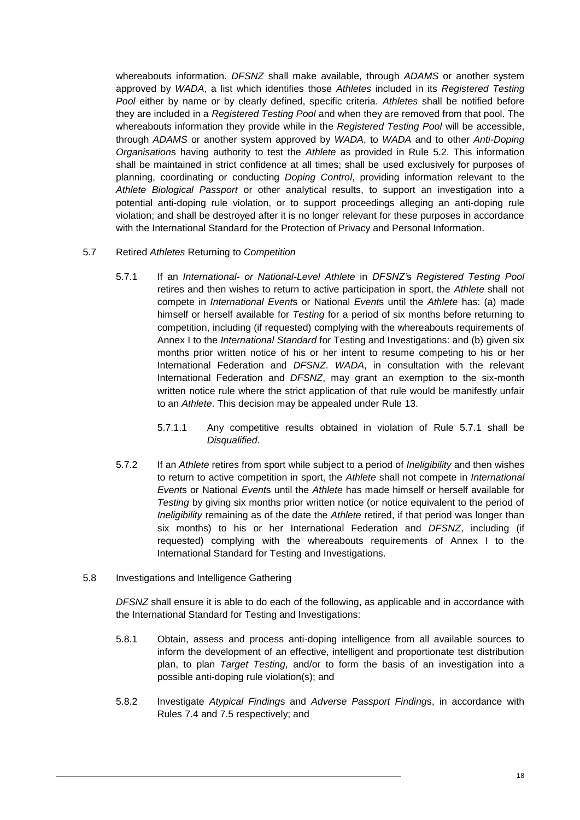whereabouts information. *DFSNZ* shall make available, through *ADAMS* or another system approved by *WADA*, a list which identifies those *Athletes* included in its *Registered Testing Pool* either by name or by clearly defined, specific criteria. *Athletes* shall be notified before they are included in a *Registered Testing Pool* and when they are removed from that pool. The whereabouts information they provide while in the *Registered Testing Pool* will be accessible, through *ADAMS* or another system approved by *WADA*, to *WADA* and to other *Anti-Doping Organisation*s having authority to test the *Athlete* as provided in Rule [5.2.](#page-15-1) This information shall be maintained in strict confidence at all times; shall be used exclusively for purposes of planning, coordinating or conducting *Doping Control*, providing information relevant to the *Athlete Biological Passport* or other analytical results, to support an investigation into a potential anti-doping rule violation, or to support proceedings alleging an anti-doping rule violation; and shall be destroyed after it is no longer relevant for these purposes in accordance with the International Standard for the Protection of Privacy and Personal Information.

- <span id="page-18-0"></span>5.7 Retired *Athletes* Returning to *Competition*
	- 5.7.1 If an *International- or National-Level Athlete* in *DFSNZ'*s *Registered Testing Pool* retires and then wishes to return to active participation in sport, the *Athlete* shall not compete in *International Event*s or National *Event*s until the *Athlete* has: (a) made himself or herself available for *Testing* for a period of six months before returning to competition, including (if requested) complying with the whereabouts requirements of Annex I to the *International Standard* for Testing and Investigations: and (b) given six months prior written notice of his or her intent to resume competing to his or her International Federation and *DFSNZ*. *WADA*, in consultation with the relevant International Federation and *DFSNZ*, may grant an exemption to the six-month written notice rule where the strict application of that rule would be manifestly unfair to an *Athlete*. This decision may be appealed under Rule [13.](#page-42-2)
		- 5.7.1.1 Any competitive results obtained in violation of Rule [5.7.1](#page-18-0) shall be *Disqualified*.
	- 5.7.2 If an *Athlete* retires from sport while subject to a period of *Ineligibility* and then wishes to return to active competition in sport, the *Athlete* shall not compete in *International Event*s or National *Event*s until the *Athlete* has made himself or herself available for *Testing* by giving six months prior written notice (or notice equivalent to the period of *Ineligibility* remaining as of the date the *Athlete* retired, if that period was longer than six months) to his or her International Federation and *DFSNZ*, including (if requested) complying with the whereabouts requirements of Annex I to the International Standard for Testing and Investigations.
- 5.8 Investigations and Intelligence Gathering

*DFSNZ* shall ensure it is able to do each of the following, as applicable and in accordance with the International Standard for Testing and Investigations:

- 5.8.1 Obtain, assess and process anti-doping intelligence from all available sources to inform the development of an effective, intelligent and proportionate test distribution plan, to plan *Target Testing*, and/or to form the basis of an investigation into a possible anti-doping rule violation(s); and
- 5.8.2 Investigate *Atypical Finding*s and *Adverse Passport Finding*s, in accordance with Rules [7.4](#page-23-0) and [7.5](#page-23-1) respectively; and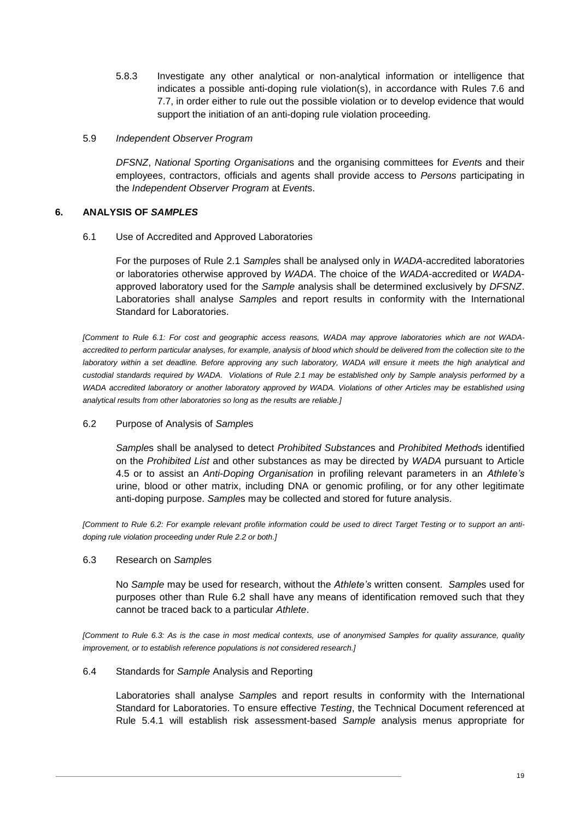- 5.8.3 Investigate any other analytical or non-analytical information or intelligence that indicates a possible anti-doping rule violation(s), in accordance with Rules [7.6](#page-24-0) and [7.7,](#page-24-1) in order either to rule out the possible violation or to develop evidence that would support the initiation of an anti-doping rule violation proceeding.
- 5.9 *Independent Observer Program*

*DFSNZ*, *National Sporting Organisation*s and the organising committees for *Event*s and their employees, contractors, officials and agents shall provide access to *Persons* participating in the *Independent Observer Program* at *Event*s.

# <span id="page-19-1"></span><span id="page-19-0"></span>**6. ANALYSIS OF** *SAMPLES*

6.1 Use of Accredited and Approved Laboratories

For the purposes of Rule [2.1](#page-6-1) *Sample*s shall be analysed only in *WADA*-accredited laboratories or laboratories otherwise approved by *WADA*. The choice of the *WADA*-accredited or *WADA*approved laboratory used for the *Sample* analysis shall be determined exclusively by *DFSNZ*. Laboratories shall analyse *Sample*s and report results in conformity with the International Standard for Laboratories.

*[Comment to Rule [6.1:](#page-19-1) For cost and geographic access reasons, WADA may approve laboratories which are not WADAaccredited to perform particular analyses, for example, analysis of blood which should be delivered from the collection site to the*  laboratory within a set deadline. Before approving any such laboratory, WADA will ensure it meets the high analytical and *custodial standards required by WADA. Violations of Rule [2.1](#page-6-1) may be established only by Sample analysis performed by a WADA accredited laboratory or another laboratory approved by WADA. Violations of other Articles may be established using analytical results from other laboratories so long as the results are reliable.]*

# <span id="page-19-2"></span>6.2 Purpose of Analysis of *Sample*s

*Sample*s shall be analysed to detect *Prohibited Substance*s and *Prohibited Method*s identified on the *Prohibited List* and other substances as may be directed by *WADA* pursuant to Article 4.5 or to assist an *Anti-Doping Organisation* in profiling relevant parameters in an *Athlete's* urine, blood or other matrix, including DNA or genomic profiling, or for any other legitimate anti-doping purpose. *Sample*s may be collected and stored for future analysis.

*[Comment to Rule 6.2: For example relevant profile information could be used to direct Target Testing or to support an antidoping rule violation proceeding under Rule 2.2 or both.]*

# <span id="page-19-3"></span>6.3 Research on *Sample*s

No *Sample* may be used for research, without the *Athlete's* written consent. *Sample*s used for purposes other than Rule [6.2](#page-19-2) shall have any means of identification removed such that they cannot be traced back to a particular *Athlete*.

*[Comment to Rule [6.3:](#page-19-3) As is the case in most medical contexts, use of anonymised Samples for quality assurance, quality improvement, or to establish reference populations is not considered research.]*

# <span id="page-19-4"></span>6.4 Standards for *Sample* Analysis and Reporting

Laboratories shall analyse *Sample*s and report results in conformity with the International Standard for Laboratories. To ensure effective *Testing*, the Technical Document referenced at Rule [5.4.1](#page-17-1) will establish risk assessment-based *Sample* analysis menus appropriate for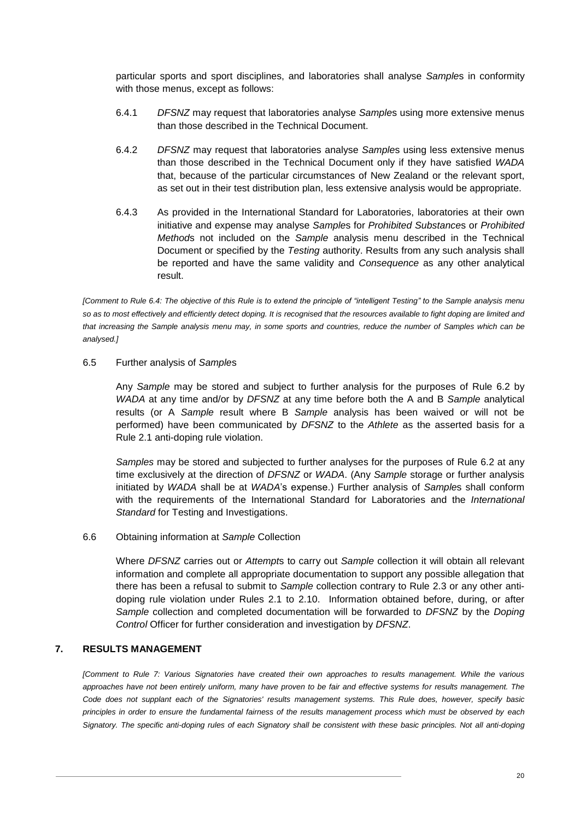particular sports and sport disciplines, and laboratories shall analyse *Sample*s in conformity with those menus, except as follows:

- 6.4.1 *DFSNZ* may request that laboratories analyse *Sample*s using more extensive menus than those described in the Technical Document.
- 6.4.2 *DFSNZ* may request that laboratories analyse *Sample*s using less extensive menus than those described in the Technical Document only if they have satisfied *WADA* that, because of the particular circumstances of New Zealand or the relevant sport, as set out in their test distribution plan, less extensive analysis would be appropriate.
- 6.4.3 As provided in the International Standard for Laboratories, laboratories at their own initiative and expense may analyse *Sample*s for *Prohibited Substance*s or *Prohibited Method*s not included on the *Sample* analysis menu described in the Technical Document or specified by the *Testing* authority. Results from any such analysis shall be reported and have the same validity and *Consequence* as any other analytical result.

*[Comment to Rule [6.4:](#page-19-4) The objective of this Rule is to extend the principle of "intelligent Testing" to the Sample analysis menu so as to most effectively and efficiently detect doping. It is recognised that the resources available to fight doping are limited and that increasing the Sample analysis menu may, in some sports and countries, reduce the number of Samples which can be analysed.]*

### 6.5 Further analysis of *Sample*s

Any *Sample* may be stored and subject to further analysis for the purposes of Rule [6.2](#page-19-2) by *WADA* at any time and/or by *DFSNZ* at any time before both the A and B *Sample* analytical results (or A *Sample* result where B *Sample* analysis has been waived or will not be performed) have been communicated by *DFSNZ* to the *Athlete* as the asserted basis for a Rule [2.1](#page-6-1) anti-doping rule violation.

*Samples* may be stored and subjected to further analyses for the purposes of Rule [6.2](#page-19-2) at any time exclusively at the direction of *DFSNZ* or *WADA*. (Any *Sample* storage or further analysis initiated by *WADA* shall be at *WADA*'s expense.) Further analysis of *Sample*s shall conform with the requirements of the International Standard for Laboratories and the *International Standard* for Testing and Investigations.

#### 6.6 Obtaining information at *Sample* Collection

Where *DFSNZ* carries out or *Attempt*s to carry out *Sample* collection it will obtain all relevant information and complete all appropriate documentation to support any possible allegation that there has been a refusal to submit to *Sample* collection contrary to Rule [2.3](#page-8-0) or any other antidoping rule violation under Rules [2.1](#page-6-1) to [2.10.](#page-9-0) Information obtained before, during, or after *Sample* collection and completed documentation will be forwarded to *DFSNZ* by the *Doping Control* Officer for further consideration and investigation by *DFSNZ*.

# <span id="page-20-0"></span>**7. RESULTS MANAGEMENT**

*[Comment to Rule [7:](#page-20-0) Various Signatories have created their own approaches to results management. While the various approaches have not been entirely uniform, many have proven to be fair and effective systems for results management. The Code does not supplant each of the Signatories' results management systems. This Rule does, however, specify basic principles in order to ensure the fundamental fairness of the results management process which must be observed by each Signatory. The specific anti-doping rules of each Signatory shall be consistent with these basic principles. Not all anti-doping*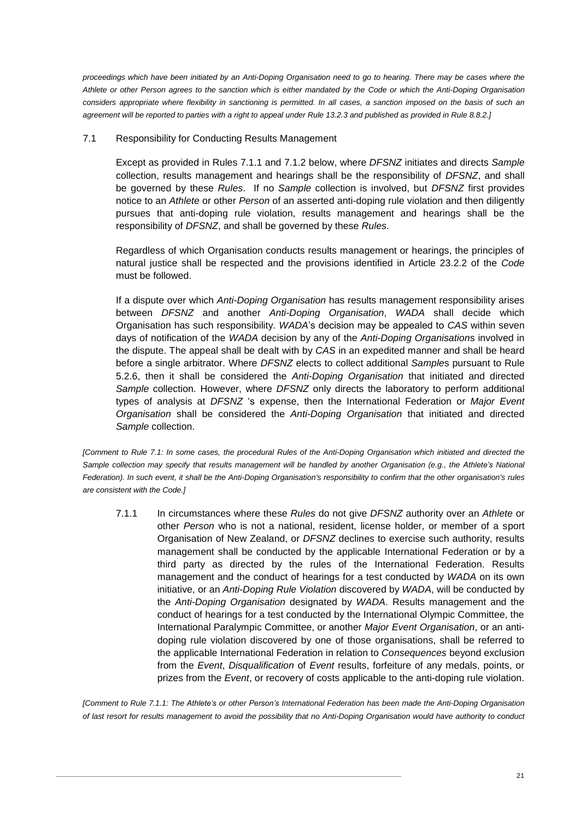*proceedings which have been initiated by an Anti-Doping Organisation need to go to hearing. There may be cases where the Athlete or other Person agrees to the sanction which is either mandated by the Code or which the Anti-Doping Organisation considers appropriate where flexibility in sanctioning is permitted. In all cases, a sanction imposed on the basis of such an agreement will be reported to parties with a right to appeal under Rule [13.2.3](#page-43-0) and published as provided in Rule [8.8.2.\]](#page-31-0)*

# <span id="page-21-1"></span>7.1 Responsibility for Conducting Results Management

Except as provided in Rules [7.1.1](#page-21-0) and [7.1.2](#page-22-1) below, where *DFSNZ* initiates and directs *Sample* collection, results management and hearings shall be the responsibility of *DFSNZ*, and shall be governed by these *Rules*. If no *Sample* collection is involved, but *DFSNZ* first provides notice to an *Athlete* or other *Person* of an asserted anti-doping rule violation and then diligently pursues that anti-doping rule violation, results management and hearings shall be the responsibility of *DFSNZ*, and shall be governed by these *Rules*.

Regardless of which Organisation conducts results management or hearings, the principles of natural justice shall be respected and the provisions identified in Article 23.2.2 of the *Code* must be followed.

If a dispute over which *Anti-Doping Organisation* has results management responsibility arises between *DFSNZ* and another *Anti-Doping Organisation*, *WADA* shall decide which Organisation has such responsibility. *WADA*'s decision may be appealed to *CAS* within seven days of notification of the *WADA* decision by any of the *Anti-Doping Organisation*s involved in the dispute. The appeal shall be dealt with by *CAS* in an expedited manner and shall be heard before a single arbitrator. Where *DFSNZ* elects to collect additional *Sample*s pursuant to Rule [5.2.6,](#page-16-2) then it shall be considered the *Anti-Doping Organisation* that initiated and directed *Sample* collection. However, where *DFSNZ* only directs the laboratory to perform additional types of analysis at *DFSNZ* 's expense, then the International Federation or *Major Event Organisation* shall be considered the *Anti-Doping Organisation* that initiated and directed *Sample* collection.

<span id="page-21-0"></span>*[Comment to Rule [7.1:](#page-21-1) In some cases, the procedural Rules of the Anti-Doping Organisation which initiated and directed the Sample collection may specify that results management will be handled by another Organisation (e.g., the Athlete's National Federation). In such event, it shall be the Anti-Doping Organisation's responsibility to confirm that the other organisation's rules are consistent with the Code.]* 

7.1.1 In circumstances where these *Rules* do not give *DFSNZ* authority over an *Athlete* or other *Person* who is not a national, resident, license holder, or member of a sport Organisation of New Zealand, or *DFSNZ* declines to exercise such authority, results management shall be conducted by the applicable International Federation or by a third party as directed by the rules of the International Federation. Results management and the conduct of hearings for a test conducted by *WADA* on its own initiative, or an *Anti-Doping Rule Violation* discovered by *WADA*, will be conducted by the *Anti-Doping Organisation* designated by *WADA*. Results management and the conduct of hearings for a test conducted by the International Olympic Committee, the International Paralympic Committee, or another *Major Event Organisation*, or an antidoping rule violation discovered by one of those organisations, shall be referred to the applicable International Federation in relation to *Consequences* beyond exclusion from the *Event*, *Disqualification* of *Event* results, forfeiture of any medals, points, or prizes from the *Event*, or recovery of costs applicable to the anti-doping rule violation.

*[Comment to Rule [7.1.1:](#page-21-0) The Athlete's or other Person's International Federation has been made the Anti-Doping Organisation of last resort for results management to avoid the possibility that no Anti-Doping Organisation would have authority to conduct*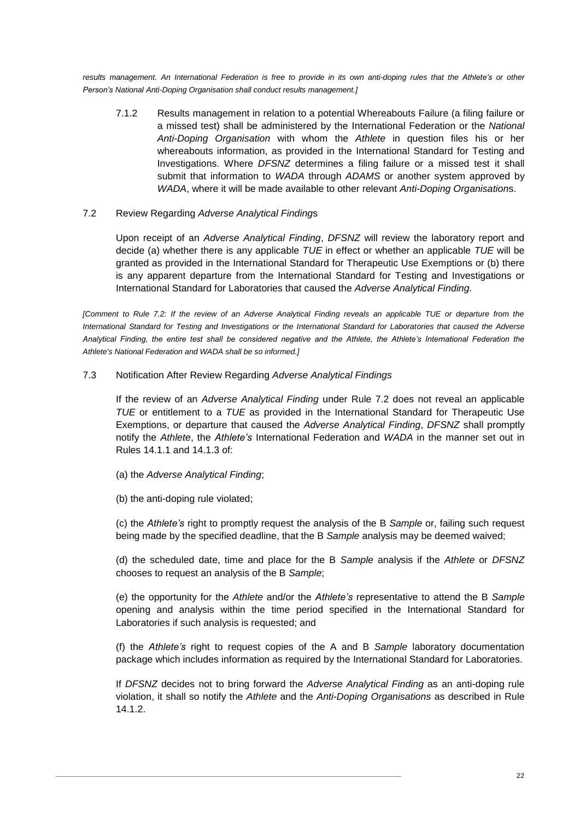<span id="page-22-1"></span>*results management. An International Federation is free to provide in its own anti-doping rules that the Athlete's or other Person's National Anti-Doping Organisation shall conduct results management.]*

7.1.2 Results management in relation to a potential Whereabouts Failure (a filing failure or a missed test) shall be administered by the International Federation or the *National Anti-Doping Organisation* with whom the *Athlete* in question files his or her whereabouts information, as provided in the International Standard for Testing and Investigations. Where *DFSNZ* determines a filing failure or a missed test it shall submit that information to *WADA* through *ADAMS* or another system approved by *WADA*, where it will be made available to other relevant *Anti-Doping Organisation*s.

### <span id="page-22-0"></span>7.2 Review Regarding *Adverse Analytical Finding*s

Upon receipt of an *Adverse Analytical Finding*, *DFSNZ* will review the laboratory report and decide (a) whether there is any applicable *TUE* in effect or whether an applicable *TUE* will be granted as provided in the International Standard for Therapeutic Use Exemptions or (b) there is any apparent departure from the International Standard for Testing and Investigations or International Standard for Laboratories that caused the *Adverse Analytical Finding.*

*[Comment to Rule [7.2:](#page-22-0) If the review of an Adverse Analytical Finding reveals an applicable TUE or departure from the International Standard for Testing and Investigations or the International Standard for Laboratories that caused the Adverse Analytical Finding, the entire test shall be considered negative and the Athlete, the Athlete's International Federation the Athlete's National Federation and WADA shall be so informed.]*

### <span id="page-22-2"></span>7.3 Notification After Review Regarding *Adverse Analytical Findings*

If the review of an *Adverse Analytical Finding* under Rule [7.2](#page-22-0) does not reveal an applicable *TUE* or entitlement to a *TUE* as provided in the International Standard for Therapeutic Use Exemptions, or departure that caused the *Adverse Analytical Finding*, *DFSNZ* shall promptly notify the *Athlete*, the *Athlete's* International Federation and *WADA* in the manner set out in Rules [14.1.1](#page-45-1) and [14.1.3](#page-46-0) of:

- (a) the *Adverse Analytical Finding*;
- (b) the anti-doping rule violated;

(c) the *Athlete's* right to promptly request the analysis of the B *Sample* or, failing such request being made by the specified deadline, that the B *Sample* analysis may be deemed waived;

(d) the scheduled date, time and place for the B *Sample* analysis if the *Athlete* or *DFSNZ* chooses to request an analysis of the B *Sample*;

(e) the opportunity for the *Athlete* and/or the *Athlete's* representative to attend the B *Sample* opening and analysis within the time period specified in the International Standard for Laboratories if such analysis is requested; and

(f) the *Athlete's* right to request copies of the A and B *Sample* laboratory documentation package which includes information as required by the International Standard for Laboratories.

If *DFSNZ* decides not to bring forward the *Adverse Analytical Finding* as an anti-doping rule violation, it shall so notify the *Athlete* and the *Anti-Doping Organisations* as described in Rule [14.1.2.](#page-46-1)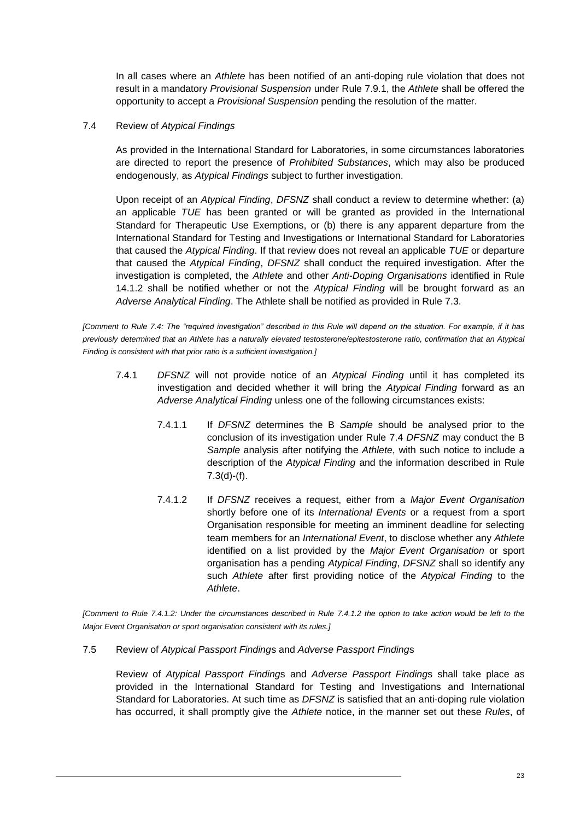In all cases where an *Athlete* has been notified of an anti-doping rule violation that does not result in a mandatory *Provisional Suspension* under Rule [7.9.1,](#page-26-0) the *Athlete* shall be offered the opportunity to accept a *Provisional Suspension* pending the resolution of the matter.

# <span id="page-23-0"></span>7.4 Review of *Atypical Findings*

As provided in the International Standard for Laboratories, in some circumstances laboratories are directed to report the presence of *Prohibited Substances*, which may also be produced endogenously, as *Atypical Findings* subject to further investigation.

Upon receipt of an *Atypical Finding*, *DFSNZ* shall conduct a review to determine whether: (a) an applicable *TUE* has been granted or will be granted as provided in the International Standard for Therapeutic Use Exemptions, or (b) there is any apparent departure from the International Standard for Testing and Investigations or International Standard for Laboratories that caused the *Atypical Finding*. If that review does not reveal an applicable *TUE* or departure that caused the *Atypical Finding*, *DFSNZ* shall conduct the required investigation. After the investigation is completed, the *Athlete* and other *Anti-Doping Organisations* identified in Rule [14.1.2](#page-46-1) shall be notified whether or not the *Atypical Finding* will be brought forward as an *Adverse Analytical Finding*. The Athlete shall be notified as provided in Rule [7.3.](#page-22-2)

*[Comment to Rule [7.4:](#page-23-0) The "required investigation" described in this Rule will depend on the situation. For example, if it has previously determined that an Athlete has a naturally elevated testosterone/epitestosterone ratio, confirmation that an Atypical Finding is consistent with that prior ratio is a sufficient investigation.]*

- <span id="page-23-2"></span>7.4.1 *DFSNZ* will not provide notice of an *Atypical Finding* until it has completed its investigation and decided whether it will bring the *Atypical Finding* forward as an *Adverse Analytical Finding* unless one of the following circumstances exists:
	- 7.4.1.1 If *DFSNZ* determines the B *Sample* should be analysed prior to the conclusion of its investigation under Rule [7.4](#page-23-0) *DFSNZ* may conduct the B *Sample* analysis after notifying the *Athlete*, with such notice to include a description of the *Atypical Finding* and the information described in Rule [7.3\(](#page-22-2)d)-(f).
	- 7.4.1.2 If *DFSNZ* receives a request, either from a *Major Event Organisation* shortly before one of its *International Events* or a request from a sport Organisation responsible for meeting an imminent deadline for selecting team members for an *International Event*, to disclose whether any *Athlete* identified on a list provided by the *Major Event Organisation* or sport organisation has a pending *Atypical Finding*, *DFSNZ* shall so identify any such *Athlete* after first providing notice of the *Atypical Finding* to the *Athlete*.

*[Comment to Rule [7.4.1.2:](#page-23-2) Under the circumstances described in Rule [7.4.1.2](#page-23-2) the option to take action would be left to the Major Event Organisation or sport organisation consistent with its rules.]*

# <span id="page-23-1"></span>7.5 Review of *Atypical Passport Finding*s and *Adverse Passport Finding*s

Review of *Atypical Passport Finding*s and *Adverse Passport Finding*s shall take place as provided in the International Standard for Testing and Investigations and International Standard for Laboratories. At such time as *DFSNZ* is satisfied that an anti-doping rule violation has occurred, it shall promptly give the *Athlete* notice, in the manner set out these *Rules*, of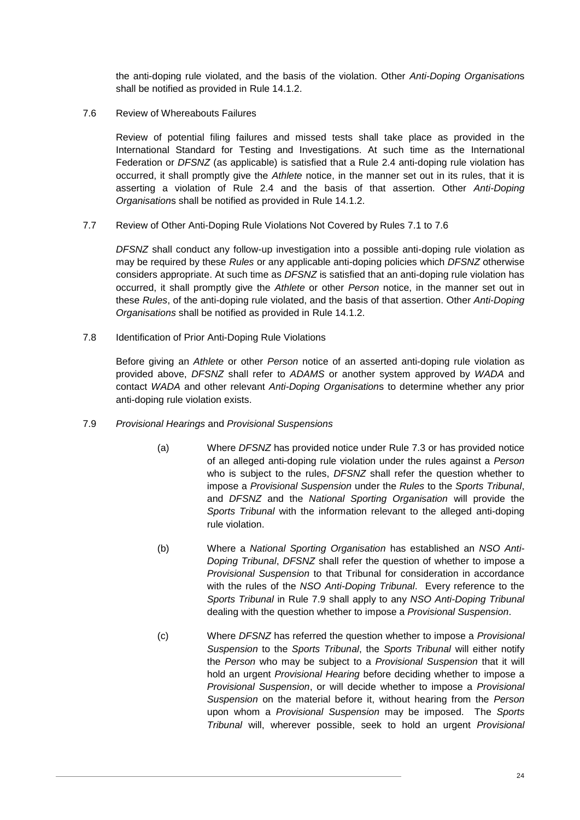the anti-doping rule violated, and the basis of the violation. Other *Anti-Doping Organisation*s shall be notified as provided in Rule [14.1.2.](#page-46-1)

<span id="page-24-0"></span>7.6 Review of Whereabouts Failures

Review of potential filing failures and missed tests shall take place as provided in the International Standard for Testing and Investigations. At such time as the International Federation or *DFSNZ* (as applicable) is satisfied that a Rule [2.4](#page-8-3) anti-doping rule violation has occurred, it shall promptly give the *Athlete* notice, in the manner set out in its rules, that it is asserting a violation of Rule [2.4](#page-8-3) and the basis of that assertion. Other *Anti-Doping Organisation*s shall be notified as provided in Rule [14.1.2.](#page-46-1)

<span id="page-24-1"></span>7.7 Review of Other Anti-Doping Rule Violations Not Covered by Rules [7.1](#page-21-1) to [7.6](#page-24-0)

*DFSNZ* shall conduct any follow-up investigation into a possible anti-doping rule violation as may be required by these *Rules* or any applicable anti-doping policies which *DFSNZ* otherwise considers appropriate. At such time as *DFSNZ* is satisfied that an anti-doping rule violation has occurred, it shall promptly give the *Athlete* or other *Person* notice, in the manner set out in these *Rules*, of the anti-doping rule violated, and the basis of that assertion. Other *Anti-Doping Organisations* shall be notified as provided in Rule [14.1.2.](#page-46-1)

7.8 Identification of Prior Anti-Doping Rule Violations

Before giving an *Athlete* or other *Person* notice of an asserted anti-doping rule violation as provided above, *DFSNZ* shall refer to *ADAMS* or another system approved by *WADA* and contact *WADA* and other relevant *Anti-Doping Organisation*s to determine whether any prior anti-doping rule violation exists.

- <span id="page-24-2"></span>7.9 *Provisional Hearings* and *Provisional Suspensions*
	- (a) Where *DFSNZ* has provided notice under Rule [7.3](#page-22-2) or has provided notice of an alleged anti-doping rule violation under the rules against a *Person* who is subject to the rules, *DFSNZ* shall refer the question whether to impose a *Provisional Suspension* under the *Rules* to the *Sports Tribunal*, and *DFSNZ* and the *National Sporting Organisation* will provide the *Sports Tribunal* with the information relevant to the alleged anti-doping rule violation.
	- (b) Where a *National Sporting Organisation* has established an *NSO Anti-Doping Tribunal*, *DFSNZ* shall refer the question of whether to impose a *Provisional Suspension* to that Tribunal for consideration in accordance with the rules of the *NSO Anti-Doping Tribunal*. Every reference to the *Sports Tribunal* in Rule [7.9](#page-24-2) shall apply to any *NSO Anti-Doping Tribunal* dealing with the question whether to impose a *Provisional Suspension*.
	- (c) Where *DFSNZ* has referred the question whether to impose a *Provisional Suspension* to the *Sports Tribunal*, the *Sports Tribunal* will either notify the *Person* who may be subject to a *Provisional Suspension* that it will hold an urgent *Provisional Hearing* before deciding whether to impose a *Provisional Suspension*, or will decide whether to impose a *Provisional Suspension* on the material before it, without hearing from the *Person* upon whom a *Provisional Suspension* may be imposed. The *Sports Tribunal* will, wherever possible, seek to hold an urgent *Provisional*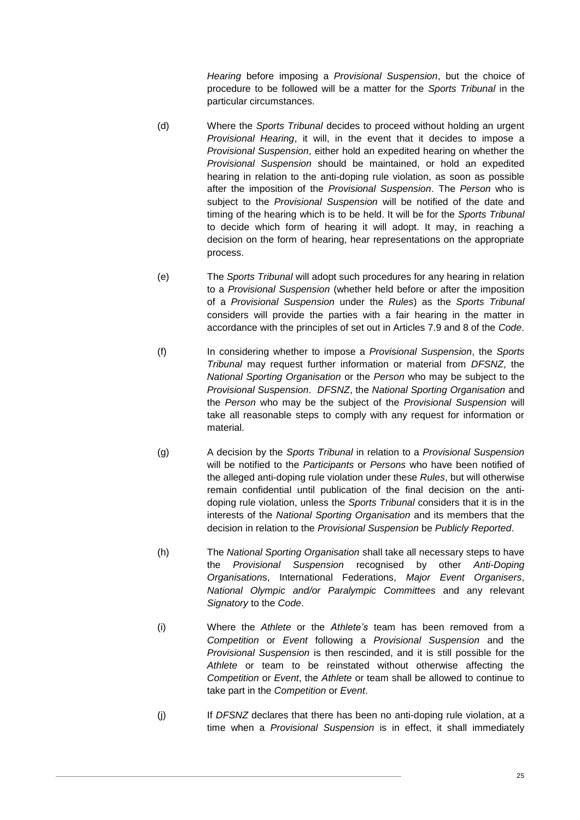*Hearing* before imposing a *Provisional Suspension*, but the choice of procedure to be followed will be a matter for the *Sports Tribunal* in the particular circumstances.

- (d) Where the *Sports Tribunal* decides to proceed without holding an urgent *Provisional Hearing*, it will, in the event that it decides to impose a *Provisional Suspension*, either hold an expedited hearing on whether the *Provisional Suspension* should be maintained, or hold an expedited hearing in relation to the anti-doping rule violation, as soon as possible after the imposition of the *Provisional Suspension*. The *Person* who is subject to the *Provisional Suspension* will be notified of the date and timing of the hearing which is to be held. It will be for the *Sports Tribunal* to decide which form of hearing it will adopt. It may, in reaching a decision on the form of hearing, hear representations on the appropriate process.
- (e) The *Sports Tribunal* will adopt such procedures for any hearing in relation to a *Provisional Suspension* (whether held before or after the imposition of a *Provisional Suspension* under the *Rules*) as the *Sports Tribunal* considers will provide the parties with a fair hearing in the matter in accordance with the principles of set out in Articles 7.9 and 8 of the *Code*.
- (f) In considering whether to impose a *Provisional Suspension*, the *Sports Tribunal* may request further information or material from *DFSNZ*, the *National Sporting Organisation* or the *Person* who may be subject to the *Provisional Suspension*. *DFSNZ*, the *National Sporting Organisation* and the *Person* who may be the subject of the *Provisional Suspension* will take all reasonable steps to comply with any request for information or material.
- (g) A decision by the *Sports Tribunal* in relation to a *Provisional Suspension* will be notified to the *Participants* or *Persons* who have been notified of the alleged anti-doping rule violation under these *Rules*, but will otherwise remain confidential until publication of the final decision on the antidoping rule violation, unless the *Sports Tribunal* considers that it is in the interests of the *National Sporting Organisation* and its members that the decision in relation to the *Provisional Suspension* be *Publicly Reported*.
- (h) The *National Sporting Organisation* shall take all necessary steps to have the *Provisional Suspension* recognised by other *Anti-Doping Organisation*s, International Federations, *Major Event Organisers*, *National Olympic and/or Paralympic Committees* and any relevant *Signatory* to the *Code*.
- (i) Where the *Athlete* or the *Athlete's* team has been removed from a *Competition* or *Event* following a *Provisional Suspension* and the *Provisional Suspension* is then rescinded, and it is still possible for the *Athlete* or team to be reinstated without otherwise affecting the *Competition* or *Event*, the *Athlete* or team shall be allowed to continue to take part in the *Competition* or *Event*.
- (j) If *DFSNZ* declares that there has been no anti-doping rule violation, at a time when a *Provisional Suspension* is in effect, it shall immediately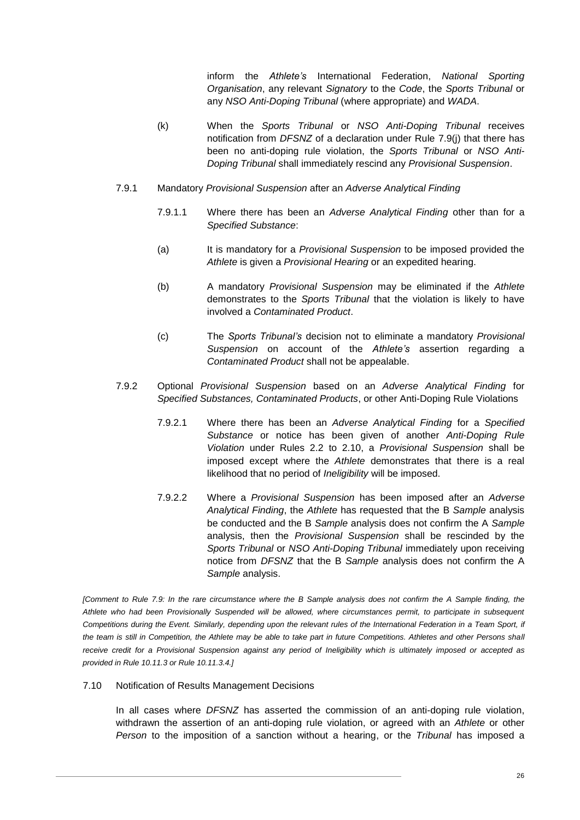inform the *Athlete's* International Federation, *National Sporting Organisation*, any relevant *Signatory* to the *Code*, the *Sports Tribunal* or any *NSO Anti-Doping Tribunal* (where appropriate) and *WADA*.

- (k) When the *Sports Tribunal* or *NSO Anti-Doping Tribunal* receives notification from *DFSNZ* of a declaration under Rule 7.9(j) that there has been no anti-doping rule violation, the *Sports Tribunal* or *NSO Anti-Doping Tribunal* shall immediately rescind any *Provisional Suspension*.
- <span id="page-26-0"></span>7.9.1 Mandatory *Provisional Suspension* after an *Adverse Analytical Finding*
	- 7.9.1.1 Where there has been an *Adverse Analytical Finding* other than for a *Specified Substance*:
	- (a) It is mandatory for a *Provisional Suspension* to be imposed provided the *Athlete* is given a *Provisional Hearing* or an expedited hearing.
	- (b) A mandatory *Provisional Suspension* may be eliminated if the *Athlete* demonstrates to the *Sports Tribunal* that the violation is likely to have involved a *Contaminated Product*.
	- (c) The *Sports Tribunal's* decision not to eliminate a mandatory *Provisional Suspension* on account of the *Athlete's* assertion regarding a *Contaminated Product* shall not be appealable.
- 7.9.2 Optional *Provisional Suspension* based on an *Adverse Analytical Finding* for *Specified Substances, Contaminated Products*, or other Anti-Doping Rule Violations
	- 7.9.2.1 Where there has been an *Adverse Analytical Finding* for a *Specified Substance* or notice has been given of another *Anti-Doping Rule Violation* under Rules [2.2](#page-7-0) to [2.10,](#page-9-0) a *Provisional Suspension* shall be imposed except where the *Athlete* demonstrates that there is a real likelihood that no period of *Ineligibility* will be imposed.
	- 7.9.2.2 Where a *Provisional Suspension* has been imposed after an *Adverse Analytical Finding*, the *Athlete* has requested that the B *Sample* analysis be conducted and the B *Sample* analysis does not confirm the A *Sample* analysis, then the *Provisional Suspension* shall be rescinded by the *Sports Tribunal* or *NSO Anti-Doping Tribunal* immediately upon receiving notice from *DFSNZ* that the B *Sample* analysis does not confirm the A *Sample* analysis.

*[Comment to Rule [7.9:](#page-24-2) In the rare circumstance where the B Sample analysis does not confirm the A Sample finding, the Athlete who had been Provisionally Suspended will be allowed, where circumstances permit, to participate in subsequent Competitions during the Event. Similarly, depending upon the relevant rules of the International Federation in a Team Sport, if*  the team is still in Competition, the Athlete may be able to take part in future Competitions. Athletes and other Persons shall receive credit for a Provisional Suspension against any period of Ineligibility which is ultimately imposed or accepted as *provided in Rule [10.11.3](#page-39-0) or Rule [10.11.3.4.\]](#page-40-1)*

<span id="page-26-1"></span>7.10 Notification of Results Management Decisions

In all cases where *DFSNZ* has asserted the commission of an anti-doping rule violation, withdrawn the assertion of an anti-doping rule violation, or agreed with an *Athlete* or other *Person* to the imposition of a sanction without a hearing, or the *Tribunal* has imposed a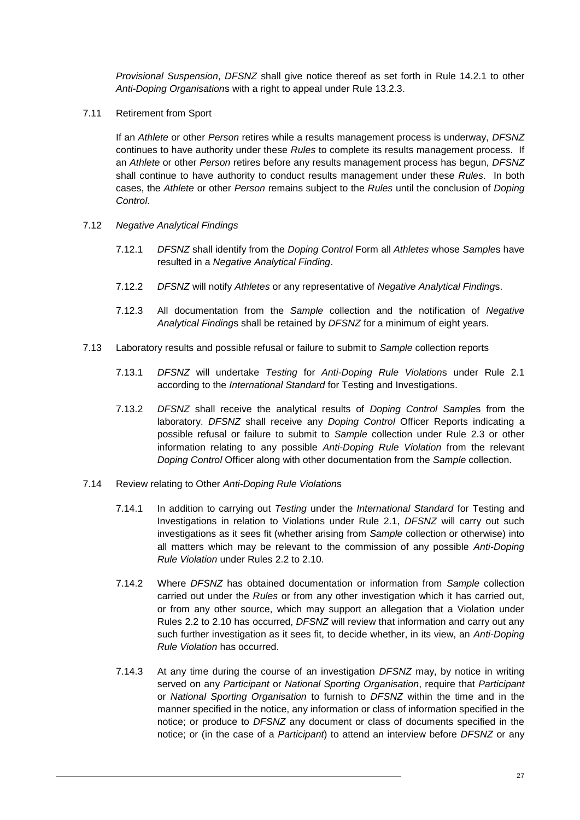*Provisional Suspension*, *DFSNZ* shall give notice thereof as set forth in Rule [14.2.1](#page-47-0) to other *Anti-Doping Organisation*s with a right to appeal under Rule [13.2.3.](#page-43-0)

7.11 Retirement from Sport

If an *Athlete* or other *Person* retires while a results management process is underway, *DFSNZ* continues to have authority under these *Rules* to complete its results management process. If an *Athlete* or other *Person* retires before any results management process has begun, *DFSNZ* shall continue to have authority to conduct results management under these *Rules*. In both cases, the *Athlete* or other *Person* remains subject to the *Rules* until the conclusion of *Doping Control*.

- 7.12 *Negative Analytical Findings*
	- 7.12.1 *DFSNZ* shall identify from the *Doping Control* Form all *Athletes* whose *Sample*s have resulted in a *Negative Analytical Finding*.
	- 7.12.2 *DFSNZ* will notify *Athletes* or any representative of *Negative Analytical Finding*s.
	- 7.12.3 All documentation from the *Sample* collection and the notification of *Negative Analytical Finding*s shall be retained by *DFSNZ* for a minimum of eight years.
- 7.13 Laboratory results and possible refusal or failure to submit to *Sample* collection reports
	- 7.13.1 *DFSNZ* will undertake *Testing* for *Anti-Doping Rule Violation*s under Rule [2.1](#page-6-1) according to the *International Standard* for Testing and Investigations.
	- 7.13.2 *DFSNZ* shall receive the analytical results of *Doping Control Sample*s from the laboratory. *DFSNZ* shall receive any *Doping Control* Officer Reports indicating a possible refusal or failure to submit to *Sample* collection under Rule [2.3](#page-8-0) or other information relating to any possible *Anti-Doping Rule Violation* from the relevant *Doping Control* Officer along with other documentation from the *Sample* collection.
- <span id="page-27-0"></span>7.14 Review relating to Other *Anti-Doping Rule Violation*s
	- 7.14.1 In addition to carrying out *Testing* under the *International Standard* for Testing and Investigations in relation to Violations under Rule [2.1,](#page-6-1) *DFSNZ* will carry out such investigations as it sees fit (whether arising from *Sample* collection or otherwise) into all matters which may be relevant to the commission of any possible *Anti-Doping Rule Violation* under Rules [2.2](#page-7-0) to [2.10.](#page-9-0)
	- 7.14.2 Where *DFSNZ* has obtained documentation or information from *Sample* collection carried out under the *Rules* or from any other investigation which it has carried out, or from any other source, which may support an allegation that a Violation under Rules [2.2](#page-7-0) to [2.10](#page-9-0) has occurred, *DFSNZ* will review that information and carry out any such further investigation as it sees fit, to decide whether, in its view, an *Anti-Doping Rule Violation* has occurred.
	- 7.14.3 At any time during the course of an investigation *DFSNZ* may, by notice in writing served on any *Participant* or *National Sporting Organisation*, require that *Participant* or *National Sporting Organisation* to furnish to *DFSNZ* within the time and in the manner specified in the notice, any information or class of information specified in the notice; or produce to *DFSNZ* any document or class of documents specified in the notice; or (in the case of a *Participant*) to attend an interview before *DFSNZ* or any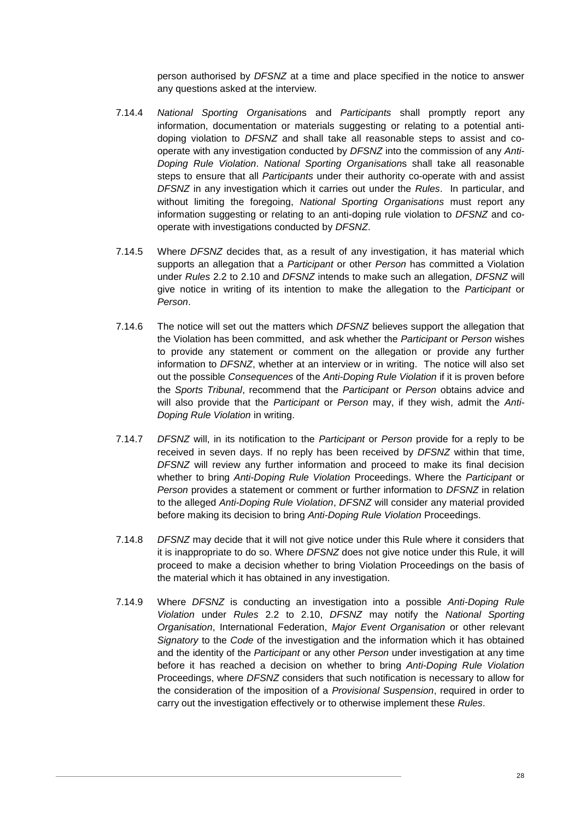<span id="page-28-0"></span>person authorised by *DFSNZ* at a time and place specified in the notice to answer any questions asked at the interview.

- 7.14.4 *National Sporting Organisation*s and *Participants* shall promptly report any information, documentation or materials suggesting or relating to a potential antidoping violation to *DFSNZ* and shall take all reasonable steps to assist and cooperate with any investigation conducted by *DFSNZ* into the commission of any *Anti-Doping Rule Violation*. *National Sporting Organisation*s shall take all reasonable steps to ensure that all *Participants* under their authority co-operate with and assist *DFSNZ* in any investigation which it carries out under the *Rules*. In particular, and without limiting the foregoing, *National Sporting Organisations* must report any information suggesting or relating to an anti-doping rule violation to *DFSNZ* and cooperate with investigations conducted by *DFSNZ*.
- 7.14.5 Where *DFSNZ* decides that, as a result of any investigation, it has material which supports an allegation that a *Participant* or other *Person* has committed a Violation under *Rules* [2.2](#page-7-0) to [2.10](#page-9-0) and *DFSNZ* intends to make such an allegation, *DFSNZ* will give notice in writing of its intention to make the allegation to the *Participant* or *Person*.
- 7.14.6 The notice will set out the matters which *DFSNZ* believes support the allegation that the Violation has been committed, and ask whether the *Participant* or *Person* wishes to provide any statement or comment on the allegation or provide any further information to *DFSNZ*, whether at an interview or in writing. The notice will also set out the possible *Consequences* of the *Anti-Doping Rule Violation* if it is proven before the *Sports Tribunal*, recommend that the *Participant* or *Person* obtains advice and will also provide that the *Participant* or *Person* may, if they wish, admit the *Anti-Doping Rule Violation* in writing.
- 7.14.7 *DFSNZ* will, in its notification to the *Participant* or *Person* provide for a reply to be received in seven days. If no reply has been received by *DFSNZ* within that time, *DFSNZ* will review any further information and proceed to make its final decision whether to bring *Anti-Doping Rule Violation* Proceedings. Where the *Participant* or *Person* provides a statement or comment or further information to *DFSNZ* in relation to the alleged *Anti-Doping Rule Violation*, *DFSNZ* will consider any material provided before making its decision to bring *Anti-Doping Rule Violation* Proceedings.
- 7.14.8 *DFSNZ* may decide that it will not give notice under this Rule where it considers that it is inappropriate to do so. Where *DFSNZ* does not give notice under this Rule, it will proceed to make a decision whether to bring Violation Proceedings on the basis of the material which it has obtained in any investigation.
- 7.14.9 Where *DFSNZ* is conducting an investigation into a possible *Anti-Doping Rule Violation* under *Rules* [2.2](#page-7-0) to [2.10,](#page-9-0) *DFSNZ* may notify the *National Sporting Organisation*, International Federation, *Major Event Organisation* or other relevant *Signatory* to the *Code* of the investigation and the information which it has obtained and the identity of the *Participant* or any other *Person* under investigation at any time before it has reached a decision on whether to bring *Anti-Doping Rule Violation* Proceedings, where *DFSNZ* considers that such notification is necessary to allow for the consideration of the imposition of a *Provisional Suspension*, required in order to carry out the investigation effectively or to otherwise implement these *Rules*.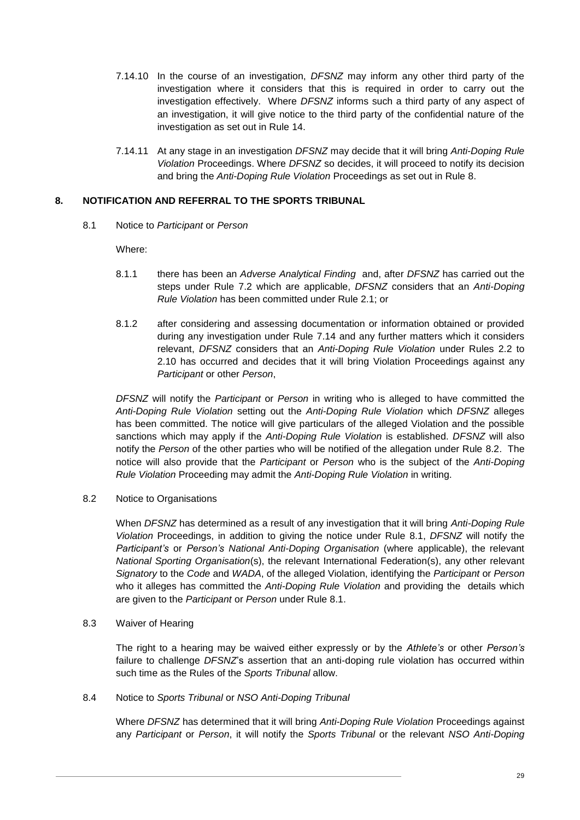- 7.14.10 In the course of an investigation, *DFSNZ* may inform any other third party of the investigation where it considers that this is required in order to carry out the investigation effectively. Where *DFSNZ* informs such a third party of any aspect of an investigation, it will give notice to the third party of the confidential nature of the investigation as set out in Rule [14.](#page-45-0)
- 7.14.11 At any stage in an investigation *DFSNZ* may decide that it will bring *Anti-Doping Rule Violation* Proceedings. Where *DFSNZ* so decides, it will proceed to notify its decision and bring the *Anti-Doping Rule Violation* Proceedings as set out in Rule [8.](#page-29-0)

# <span id="page-29-2"></span><span id="page-29-0"></span>**8. NOTIFICATION AND REFERRAL TO THE SPORTS TRIBUNAL**

8.1 Notice to *Participant* or *Person*

Where:

- 8.1.1 there has been an *Adverse Analytical Finding* and, after *DFSNZ* has carried out the steps under Rule [7.2](#page-22-0) which are applicable, *DFSNZ* considers that an *Anti-Doping Rule Violation* has been committed under Rule [2.1;](#page-6-1) or
- 8.1.2 after considering and assessing documentation or information obtained or provided during any investigation under Rule [7.14](#page-27-0) and any further matters which it considers relevant, *DFSNZ* considers that an *Anti-Doping Rule Violation* under Rules [2.2](#page-7-0) to [2.10](#page-9-0) has occurred and decides that it will bring Violation Proceedings against any *Participant* or other *Person*,

*DFSNZ* will notify the *Participant* or *Person* in writing who is alleged to have committed the *Anti-Doping Rule Violation* setting out the *Anti-Doping Rule Violation* which *DFSNZ* alleges has been committed. The notice will give particulars of the alleged Violation and the possible sanctions which may apply if the *Anti-Doping Rule Violation* is established. *DFSNZ* will also notify the *Person* of the other parties who will be notified of the allegation under Rule [8.2.](#page-29-1) The notice will also provide that the *Participant* or *Person* who is the subject of the *Anti-Doping Rule Violation* Proceeding may admit the *Anti-Doping Rule Violation* in writing.

<span id="page-29-1"></span>8.2 Notice to Organisations

When *DFSNZ* has determined as a result of any investigation that it will bring *Anti-Doping Rule Violation* Proceedings, in addition to giving the notice under Rule [8.1,](#page-29-2) *DFSNZ* will notify the *Participant's* or *Person's National Anti-Doping Organisation* (where applicable), the relevant *National Sporting Organisation*(s), the relevant International Federation(s), any other relevant *Signatory* to the *Code* and *WADA*, of the alleged Violation, identifying the *Participant* or *Person* who it alleges has committed the *Anti-Doping Rule Violation* and providing the details which are given to the *Participant* or *Person* under Rule [8.1.](#page-29-2)

8.3 Waiver of Hearing

The right to a hearing may be waived either expressly or by the *Athlete's* or other *Person's* failure to challenge *DFSNZ*'s assertion that an anti-doping rule violation has occurred within such time as the Rules of the *Sports Tribunal* allow.

<span id="page-29-3"></span>8.4 Notice to *Sports Tribunal* or *NSO Anti-Doping Tribunal*

Where *DFSNZ* has determined that it will bring *Anti-Doping Rule Violation* Proceedings against any *Participant* or *Person*, it will notify the *Sports Tribunal* or the relevant *NSO Anti-Doping*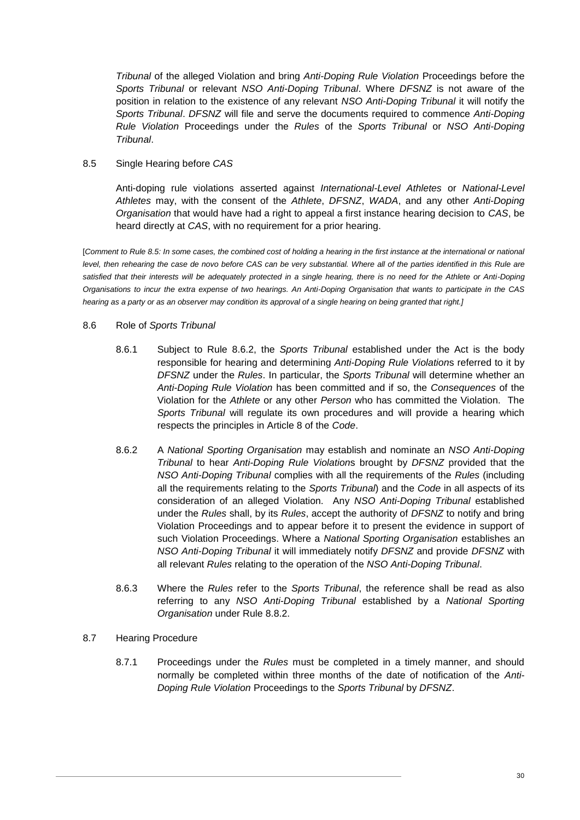*Tribunal* of the alleged Violation and bring *Anti-Doping Rule Violation* Proceedings before the *Sports Tribunal* or relevant *NSO Anti-Doping Tribunal*. Where *DFSNZ* is not aware of the position in relation to the existence of any relevant *NSO Anti-Doping Tribunal* it will notify the *Sports Tribunal*. *DFSNZ* will file and serve the documents required to commence *Anti-Doping Rule Violation* Proceedings under the *Rules* of the *Sports Tribunal* or *NSO Anti-Doping Tribunal*.

# <span id="page-30-0"></span>8.5 Single Hearing before *CAS*

Anti-doping rule violations asserted against *International-Level Athletes* or *National-Level Athletes* may, with the consent of the *Athlete*, *DFSNZ*, *WADA*, and any other *Anti-Doping Organisation* that would have had a right to appeal a first instance hearing decision to *CAS*, be heard directly at *CAS*, with no requirement for a prior hearing.

[*Comment to Rule [8.5:](#page-30-0) In some cases, the combined cost of holding a hearing in the first instance at the international or national*  level, then rehearing the case de novo before CAS can be very substantial. Where all of the parties identified in this Rule are satisfied that their interests will be adequately protected in a single hearing, there is no need for the Athlete or Anti-Doping *Organisations to incur the extra expense of two hearings. An Anti-Doping Organisation that wants to participate in the CAS hearing as a party or as an observer may condition its approval of a single hearing on being granted that right.]*

# 8.6 Role of *Sports Tribunal*

- 8.6.1 Subject to Rule [8.6.2,](#page-30-1) the *Sports Tribunal* established under the Act is the body responsible for hearing and determining *Anti-Doping Rule Violation*s referred to it by *DFSNZ* under the *Rules*. In particular, the *Sports Tribunal* will determine whether an *Anti-Doping Rule Violation* has been committed and if so, the *Consequences* of the Violation for the *Athlete* or any other *Person* who has committed the Violation. The *Sports Tribunal* will regulate its own procedures and will provide a hearing which respects the principles in Article 8 of the *Code*.
- <span id="page-30-1"></span>8.6.2 A *National Sporting Organisation* may establish and nominate an *NSO Anti-Doping Tribunal* to hear *Anti-Doping Rule Violation*s brought by *DFSNZ* provided that the *NSO Anti-Doping Tribunal* complies with all the requirements of the *Rules* (including all the requirements relating to the *Sports Tribunal*) and the *Code* in all aspects of its consideration of an alleged Violation. Any *NSO Anti-Doping Tribunal* established under the *Rules* shall, by its *Rules*, accept the authority of *DFSNZ* to notify and bring Violation Proceedings and to appear before it to present the evidence in support of such Violation Proceedings. Where a *National Sporting Organisation* establishes an *NSO Anti-Doping Tribunal* it will immediately notify *DFSNZ* and provide *DFSNZ* with all relevant *Rules* relating to the operation of the *NSO Anti-Doping Tribunal*.
- 8.6.3 Where the *Rules* refer to the *Sports Tribunal*, the reference shall be read as also referring to any *NSO Anti-Doping Tribunal* established by a *National Sporting Organisation* under Rule [8.8.2.](#page-31-0)
- 8.7 Hearing Procedure
	- 8.7.1 Proceedings under the *Rules* must be completed in a timely manner, and should normally be completed within three months of the date of notification of the *Anti-Doping Rule Violation* Proceedings to the *Sports Tribunal* by *DFSNZ*.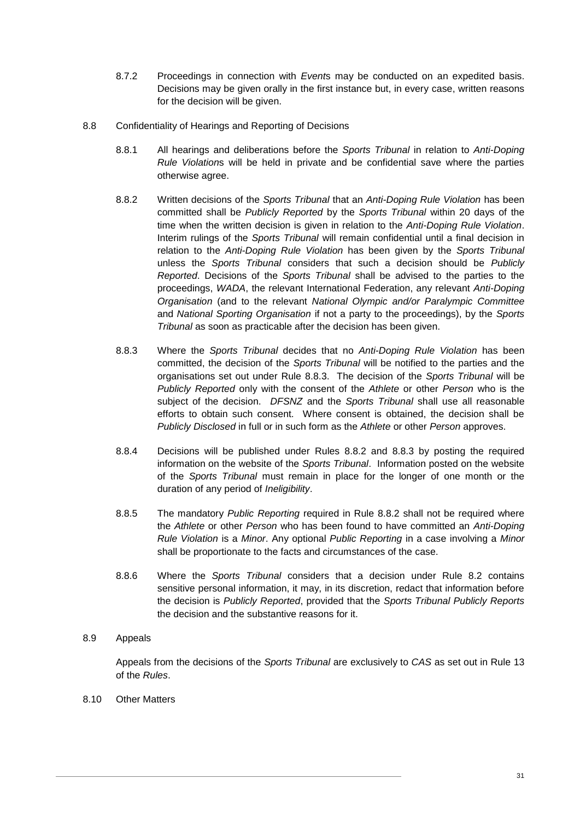- 8.7.2 Proceedings in connection with *Event*s may be conducted on an expedited basis. Decisions may be given orally in the first instance but, in every case, written reasons for the decision will be given.
- <span id="page-31-1"></span><span id="page-31-0"></span>8.8 Confidentiality of Hearings and Reporting of Decisions
	- 8.8.1 All hearings and deliberations before the *Sports Tribunal* in relation to *Anti-Doping Rule Violation*s will be held in private and be confidential save where the parties otherwise agree.
	- 8.8.2 Written decisions of the *Sports Tribunal* that an *Anti-Doping Rule Violation* has been committed shall be *Publicly Reported* by the *Sports Tribunal* within 20 days of the time when the written decision is given in relation to the *Anti-Doping Rule Violation*. Interim rulings of the *Sports Tribunal* will remain confidential until a final decision in relation to the *Anti-Doping Rule Violation* has been given by the *Sports Tribunal* unless the *Sports Tribunal* considers that such a decision should be *Publicly Reported*. Decisions of the *Sports Tribunal* shall be advised to the parties to the proceedings, *WADA*, the relevant International Federation, any relevant *Anti-Doping Organisation* (and to the relevant *National Olympic and/or Paralympic Committee* and *National Sporting Organisation* if not a party to the proceedings), by the *Sports Tribunal* as soon as practicable after the decision has been given.
	- 8.8.3 Where the *Sports Tribunal* decides that no *Anti-Doping Rule Violation* has been committed, the decision of the *Sports Tribunal* will be notified to the parties and the organisations set out under Rule [8.8.3.](#page-31-1) The decision of the *Sports Tribunal* will be *Publicly Reported* only with the consent of the *Athlete* or other *Person* who is the subject of the decision. *DFSNZ* and the *Sports Tribunal* shall use all reasonable efforts to obtain such consent. Where consent is obtained, the decision shall be *Publicly Disclosed* in full or in such form as the *Athlete* or other *Person* approves.
	- 8.8.4 Decisions will be published under Rules [8.8.2](#page-31-0) and [8.8.3](#page-31-1) by posting the required information on the website of the *Sports Tribunal*. Information posted on the website of the *Sports Tribunal* must remain in place for the longer of one month or the duration of any period of *Ineligibility*.
	- 8.8.5 The mandatory *Public Reporting* required in Rule [8.8.2](#page-31-0) shall not be required where the *Athlete* or other *Person* who has been found to have committed an *Anti-Doping Rule Violation* is a *Minor*. Any optional *Public Reporting* in a case involving a *Minor* shall be proportionate to the facts and circumstances of the case.
	- 8.8.6 Where the *Sports Tribunal* considers that a decision under Rule 8.2 contains sensitive personal information, it may, in its discretion, redact that information before the decision is *Publicly Reported*, provided that the *Sports Tribunal Publicly Reports* the decision and the substantive reasons for it.
- 8.9 Appeals

Appeals from the decisions of the *Sports Tribunal* are exclusively to *CAS* as set out in Rule [13](#page-42-2) of the *Rules*.

8.10 Other Matters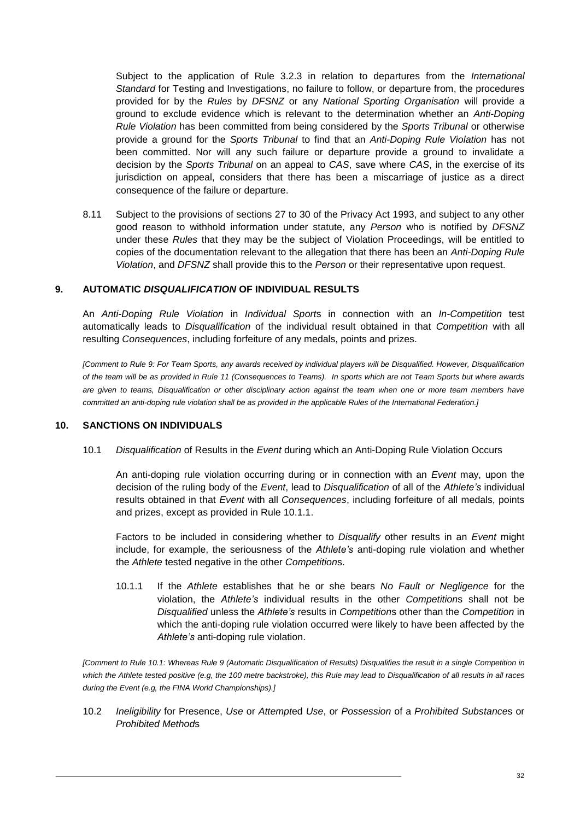Subject to the application of Rule [3.2.3](#page-11-2) in relation to departures from the *International Standard* for Testing and Investigations, no failure to follow, or departure from, the procedures provided for by the *Rules* by *DFSNZ* or any *National Sporting Organisation* will provide a ground to exclude evidence which is relevant to the determination whether an *Anti-Doping Rule Violation* has been committed from being considered by the *Sports Tribunal* or otherwise provide a ground for the *Sports Tribunal* to find that an *Anti-Doping Rule Violation* has not been committed. Nor will any such failure or departure provide a ground to invalidate a decision by the *Sports Tribunal* on an appeal to *CAS*, save where *CAS*, in the exercise of its jurisdiction on appeal, considers that there has been a miscarriage of justice as a direct consequence of the failure or departure.

8.11 Subject to the provisions of sections 27 to 30 of the Privacy Act 1993, and subject to any other good reason to withhold information under statute, any *Person* who is notified by *DFSNZ* under these *Rules* that they may be the subject of Violation Proceedings, will be entitled to copies of the documentation relevant to the allegation that there has been an *Anti-Doping Rule Violation*, and *DFSNZ* shall provide this to the *Person* or their representative upon request.

# <span id="page-32-0"></span>**9. AUTOMATIC** *DISQUALIFICATION* **OF INDIVIDUAL RESULTS**

An *Anti-Doping Rule Violation* in *Individual Sport*s in connection with an *In-Competition* test automatically leads to *Disqualification* of the individual result obtained in that *Competition* with all resulting *Consequences*, including forfeiture of any medals, points and prizes.

*[Comment to Rule [9:](#page-32-0) For Team Sports, any awards received by individual players will be Disqualified. However, Disqualification of the team will be as provided in Rule [11](#page-42-0) (Consequences to Teams). In sports which are not Team Sports but where awards are given to teams, Disqualification or other disciplinary action against the team when one or more team members have committed an anti-doping rule violation shall be as provided in the applicable Rules of the International Federation.]*

#### <span id="page-32-3"></span><span id="page-32-1"></span>**10. SANCTIONS ON INDIVIDUALS**

10.1 *Disqualification* of Results in the *Event* during which an Anti-Doping Rule Violation Occurs

An anti-doping rule violation occurring during or in connection with an *Event* may, upon the decision of the ruling body of the *Event*, lead to *Disqualification* of all of the *Athlete's* individual results obtained in that *Event* with all *Consequences*, including forfeiture of all medals, points and prizes, except as provided in Rule [10.1.1.](#page-32-2)

Factors to be included in considering whether to *Disqualify* other results in an *Event* might include, for example, the seriousness of the *Athlete's* anti-doping rule violation and whether the *Athlete* tested negative in the other *Competition*s.

<span id="page-32-2"></span>10.1.1 If the *Athlete* establishes that he or she bears *No Fault or Negligence* for the violation, the *Athlete's* individual results in the other *Competition*s shall not be *Disqualified* unless the *Athlete's* results in *Competition*s other than the *Competition* in which the anti-doping rule violation occurred were likely to have been affected by the *Athlete's* anti-doping rule violation.

*[Comment to Rule [10.1:](#page-32-3) Whereas Rule 9 (Automatic Disqualification of Results) Disqualifies the result in a single Competition in which the Athlete tested positive (e.g, the 100 metre backstroke), this Rule may lead to Disqualification of all results in all races during the Event (e.g, the FINA World Championships).]*

<span id="page-32-4"></span>10.2 *Ineligibility* for Presence, *Use* or *Attempt*ed *Use*, or *Possession* of a *Prohibited Substance*s or *Prohibited Method*s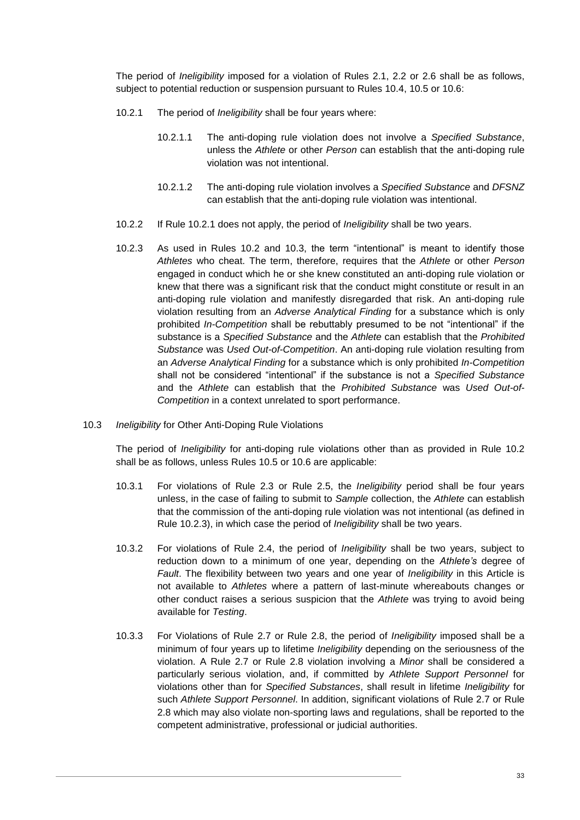The period of *Ineligibility* imposed for a violation of Rules [2.1,](#page-6-1) [2.2](#page-7-0) or [2.6](#page-8-4) shall be as follows, subject to potential reduction or suspension pursuant to Rules [10.4,](#page-34-0) [10.5](#page-34-1) or [10.6:](#page-35-0)

- <span id="page-33-0"></span>10.2.1 The period of *Ineligibility* shall be four years where:
	- 10.2.1.1 The anti-doping rule violation does not involve a *Specified Substance*, unless the *Athlete* or other *Person* can establish that the anti-doping rule violation was not intentional.
	- 10.2.1.2 The anti-doping rule violation involves a *Specified Substance* and *DFSNZ* can establish that the anti-doping rule violation was intentional.
- <span id="page-33-2"></span>10.2.2 If Rule [10.2.1](#page-33-0) does not apply, the period of *Ineligibility* shall be two years.
- 10.2.3 As used in Rules [10.2](#page-32-4) and [10.3,](#page-33-1) the term "intentional" is meant to identify those *Athletes* who cheat. The term, therefore, requires that the *Athlete* or other *Person* engaged in conduct which he or she knew constituted an anti-doping rule violation or knew that there was a significant risk that the conduct might constitute or result in an anti-doping rule violation and manifestly disregarded that risk. An anti-doping rule violation resulting from an *Adverse Analytical Finding* for a substance which is only prohibited *In-Competition* shall be rebuttably presumed to be not "intentional" if the substance is a *Specified Substance* and the *Athlete* can establish that the *Prohibited Substance* was *Used Out-of-Competition*. An anti-doping rule violation resulting from an *Adverse Analytical Finding* for a substance which is only prohibited *In-Competition* shall not be considered "intentional" if the substance is not a *Specified Substance* and the *Athlete* can establish that the *Prohibited Substance* was *Used Out-of-Competition* in a context unrelated to sport performance.
- <span id="page-33-4"></span><span id="page-33-1"></span>10.3 *Ineligibility* for Other Anti-Doping Rule Violations

The period of *Ineligibility* for anti-doping rule violations other than as provided in Rule [10.2](#page-32-4) shall be as follows, unless Rules [10.5](#page-34-1) or [10.6](#page-35-0) are applicable:

- 10.3.1 For violations of Rule [2.3](#page-8-0) or Rule [2.5,](#page-8-5) the *Ineligibility* period shall be four years unless, in the case of failing to submit to *Sample* collection, the *Athlete* can establish that the commission of the anti-doping rule violation was not intentional (as defined in Rule [10.2.3\)](#page-33-2), in which case the period of *Ineligibility* shall be two years.
- 10.3.2 For violations of Rule [2.4,](#page-8-3) the period of *Ineligibility* shall be two years, subject to reduction down to a minimum of one year, depending on the *Athlete's* degree of *Fault*. The flexibility between two years and one year of *Ineligibility* in this Article is not available to *Athletes* where a pattern of last-minute whereabouts changes or other conduct raises a serious suspicion that the *Athlete* was trying to avoid being available for *Testing*.
- <span id="page-33-3"></span>10.3.3 For Violations of Rule [2.7](#page-9-4) or Rule [2.8,](#page-9-5) the period of *Ineligibility* imposed shall be a minimum of four years up to lifetime *Ineligibility* depending on the seriousness of the violation. A Rule [2.7](#page-9-4) or Rule [2.8](#page-9-5) violation involving a *Minor* shall be considered a particularly serious violation, and, if committed by *Athlete Support Personnel* for violations other than for *Specified Substances*, shall result in lifetime *Ineligibility* for such *Athlete Support Personnel*. In addition, significant violations of Rule [2.7](#page-9-4) or Rule [2.8](#page-9-5) which may also violate non-sporting laws and regulations, shall be reported to the competent administrative, professional or judicial authorities.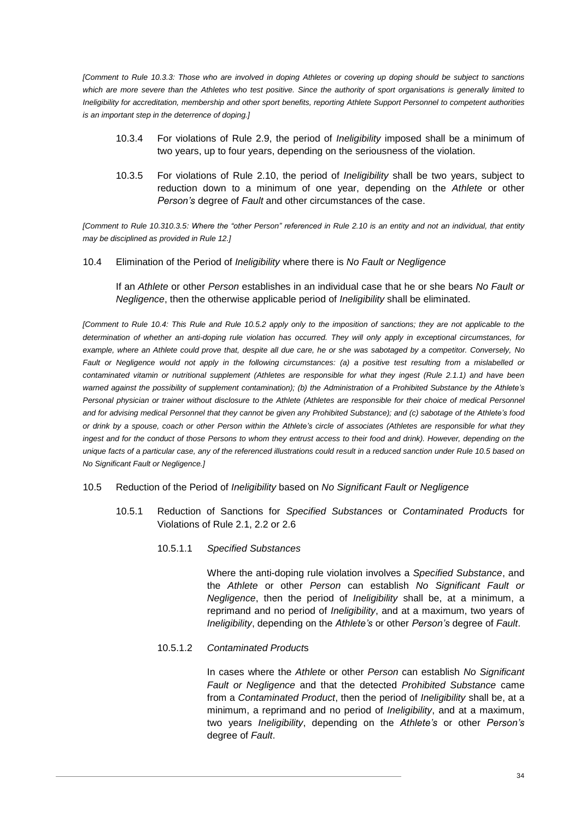*[Comment to Rule [10.3.3:](#page-33-3) Those who are involved in doping Athletes or covering up doping should be subject to sanctions which are more severe than the Athletes who test positive. Since the authority of sport organisations is generally limited to Ineligibility for accreditation, membership and other sport benefits, reporting Athlete Support Personnel to competent authorities is an important step in the deterrence of doping.]*

- 10.3.4 For violations of Rule [2.9,](#page-9-6) the period of *Ineligibility* imposed shall be a minimum of two years, up to four years, depending on the seriousness of the violation.
- 10.3.5 For violations of Rule [2.10,](#page-9-0) the period of *Ineligibility* shall be two years, subject to reduction down to a minimum of one year, depending on the *Athlete* or other *Person's* degree of *Fault* and other circumstances of the case.

*[Comment to Rule [10.310.3.5:](#page-33-1) Where the "other Person" referenced in Rule [2.10](#page-9-0) is an entity and not an individual, that entity may be disciplined as provided in Rule [12.](#page-42-1)]*

<span id="page-34-0"></span>10.4 Elimination of the Period of *Ineligibility* where there is *No Fault or Negligence*

If an *Athlete* or other *Person* establishes in an individual case that he or she bears *No Fault or Negligence*, then the otherwise applicable period of *Ineligibility* shall be eliminated.

*[Comment to Rule [10.4:](#page-34-0) This Rule and Rule [10.5.2](#page-35-1) apply only to the imposition of sanctions; they are not applicable to the determination of whether an anti-doping rule violation has occurred. They will only apply in exceptional circumstances, for example, where an Athlete could prove that, despite all due care, he or she was sabotaged by a competitor. Conversely, No Fault or Negligence would not apply in the following circumstances: (a) a positive test resulting from a mislabelled or contaminated vitamin or nutritional supplement (Athletes are responsible for what they ingest (Rule [2.1.1\)](#page-6-2) and have been warned against the possibility of supplement contamination); (b) the Administration of a Prohibited Substance by the Athlete's Personal physician or trainer without disclosure to the Athlete (Athletes are responsible for their choice of medical Personnel and for advising medical Personnel that they cannot be given any Prohibited Substance); and (c) sabotage of the Athlete's food or drink by a spouse, coach or other Person within the Athlete's circle of associates (Athletes are responsible for what they*  ingest and for the conduct of those Persons to whom they entrust access to their food and drink). However, depending on the *unique facts of a particular case, any of the referenced illustrations could result in a reduced sanction under Rul[e 10.5](#page-34-1) based on No Significant Fault or Negligence.]*

#### <span id="page-34-3"></span><span id="page-34-1"></span>10.5 Reduction of the Period of *Ineligibility* based on *No Significant Fault or Negligence*

- 10.5.1 Reduction of Sanctions for *Specified Substances* or *Contaminated Product*s for Violations of Rule [2.1,](#page-6-1) [2.2](#page-7-0) or [2.6](#page-8-4)
	- 10.5.1.1 *Specified Substances*

Where the anti-doping rule violation involves a *Specified Substance*, and the *Athlete* or other *Person* can establish *No Significant Fault or Negligence*, then the period of *Ineligibility* shall be, at a minimum, a reprimand and no period of *Ineligibility*, and at a maximum, two years of *Ineligibility*, depending on the *Athlete's* or other *Person's* degree of *Fault*.

#### <span id="page-34-2"></span>10.5.1.2 *Contaminated Product*s

In cases where the *Athlete* or other *Person* can establish *No Significant Fault or Negligence* and that the detected *Prohibited Substance* came from a *Contaminated Product*, then the period of *Ineligibility* shall be, at a minimum, a reprimand and no period of *Ineligibility*, and at a maximum, two years *Ineligibility*, depending on the *Athlete's* or other *Person's* degree of *Fault*.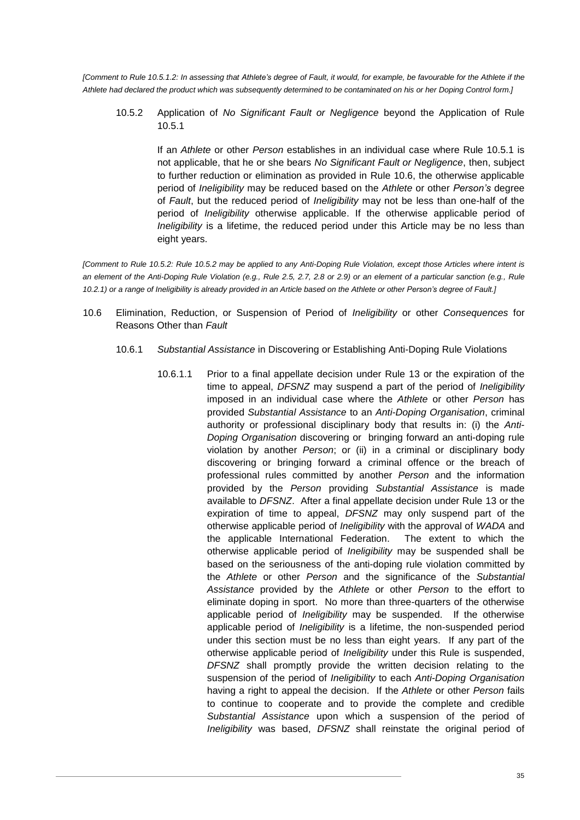<span id="page-35-1"></span>*[Comment to Rule [10.5.1.2:](#page-34-2) In assessing that Athlete's degree of Fault, it would, for example, be favourable for the Athlete if the Athlete had declared the product which was subsequently determined to be contaminated on his or her Doping Control form.]*

10.5.2 Application of *No Significant Fault or Negligence* beyond the Application of Rule [10.5.1](#page-34-3)

If an *Athlete* or other *Person* establishes in an individual case where Rule [10.5.1](#page-34-3) is not applicable, that he or she bears *No Significant Fault or Negligence*, then, subject to further reduction or elimination as provided in Rule [10.6,](#page-35-0) the otherwise applicable period of *Ineligibility* may be reduced based on the *Athlete* or other *Person's* degree of *Fault*, but the reduced period of *Ineligibility* may not be less than one-half of the period of *Ineligibility* otherwise applicable. If the otherwise applicable period of *Ineligibility* is a lifetime, the reduced period under this Article may be no less than eight years.

*[Comment to Rule [10.5.2:](#page-35-1) Rule [10.5.2](#page-35-1) may be applied to any Anti-Doping Rule Violation, except those Articles where intent is an element of the Anti-Doping Rule Violation (e.g., Rule [2.5,](#page-8-5) [2.7,](#page-9-4) [2.8](#page-9-5) or [2.9\)](#page-9-6) or an element of a particular sanction (e.g., Rule [10.2.1\)](#page-33-0) or a range of Ineligibility is already provided in an Article based on the Athlete or other Person's degree of Fault.]*

- <span id="page-35-2"></span><span id="page-35-0"></span>10.6 Elimination, Reduction, or Suspension of Period of *Ineligibility* or other *Consequences* for Reasons Other than *Fault*
	- 10.6.1 *Substantial Assistance* in Discovering or Establishing Anti-Doping Rule Violations
		- 10.6.1.1 Prior to a final appellate decision under Rule [13](#page-42-2) or the expiration of the time to appeal, *DFSNZ* may suspend a part of the period of *Ineligibility* imposed in an individual case where the *Athlete* or other *Person* has provided *Substantial Assistance* to an *Anti-Doping Organisation*, criminal authority or professional disciplinary body that results in: (i) the *Anti-Doping Organisation* discovering or bringing forward an anti-doping rule violation by another *Person*; or (ii) in a criminal or disciplinary body discovering or bringing forward a criminal offence or the breach of professional rules committed by another *Person* and the information provided by the *Person* providing *Substantial Assistance* is made available to *DFSNZ*. After a final appellate decision under Rule [13](#page-42-2) or the expiration of time to appeal, *DFSNZ* may only suspend part of the otherwise applicable period of *Ineligibility* with the approval of *WADA* and the applicable International Federation. The extent to which the otherwise applicable period of *Ineligibility* may be suspended shall be based on the seriousness of the anti-doping rule violation committed by the *Athlete* or other *Person* and the significance of the *Substantial Assistance* provided by the *Athlete* or other *Person* to the effort to eliminate doping in sport. No more than three-quarters of the otherwise applicable period of *Ineligibility* may be suspended. If the otherwise applicable period of *Ineligibility* is a lifetime, the non-suspended period under this section must be no less than eight years. If any part of the otherwise applicable period of *Ineligibility* under this Rule is suspended, *DFSNZ* shall promptly provide the written decision relating to the suspension of the period of *Ineligibility* to each *Anti-Doping Organisation* having a right to appeal the decision. If the *Athlete* or other *Person* fails to continue to cooperate and to provide the complete and credible *Substantial Assistance* upon which a suspension of the period of *Ineligibility* was based, *DFSNZ* shall reinstate the original period of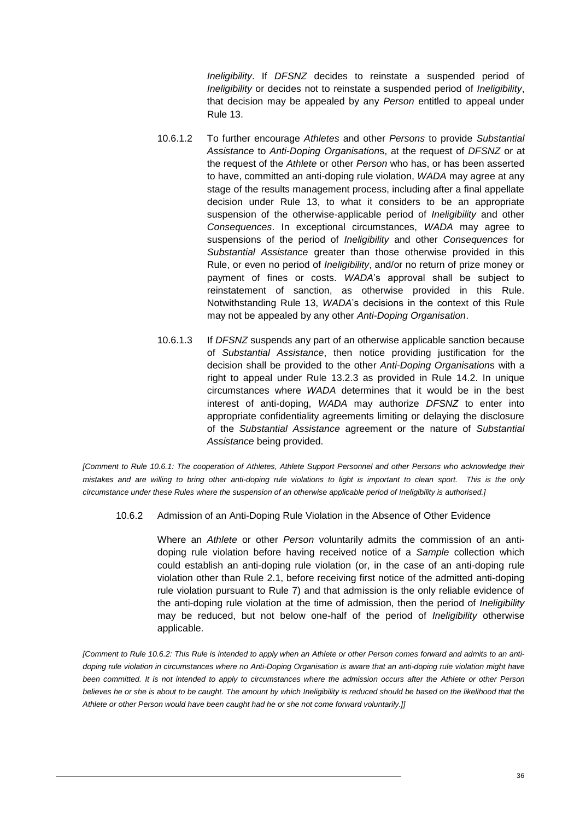*Ineligibility*. If *DFSNZ* decides to reinstate a suspended period of *Ineligibility* or decides not to reinstate a suspended period of *Ineligibility*, that decision may be appealed by any *Person* entitled to appeal under Rule [13.](#page-42-2)

- 10.6.1.2 To further encourage *Athletes* and other *Persons* to provide *Substantial Assistance* to *Anti-Doping Organisation*s, at the request of *DFSNZ* or at the request of the *Athlete* or other *Person* who has, or has been asserted to have, committed an anti-doping rule violation, *WADA* may agree at any stage of the results management process, including after a final appellate decision under Rule [13,](#page-42-2) to what it considers to be an appropriate suspension of the otherwise-applicable period of *Ineligibility* and other *Consequences*. In exceptional circumstances, *WADA* may agree to suspensions of the period of *Ineligibility* and other *Consequences* for *Substantial Assistance* greater than those otherwise provided in this Rule, or even no period of *Ineligibility*, and/or no return of prize money or payment of fines or costs. *WADA*'s approval shall be subject to reinstatement of sanction, as otherwise provided in this Rule. Notwithstanding Rule [13,](#page-42-2) *WADA*'s decisions in the context of this Rule may not be appealed by any other *Anti-Doping Organisation*.
- 10.6.1.3 If *DFSNZ* suspends any part of an otherwise applicable sanction because of *Substantial Assistance*, then notice providing justification for the decision shall be provided to the other *Anti-Doping Organisation*s with a right to appeal under Rule [13.2.3](#page-43-0) as provided in Rule [14.2.](#page-47-1) In unique circumstances where *WADA* determines that it would be in the best interest of anti-doping, *WADA* may authorize *DFSNZ* to enter into appropriate confidentiality agreements limiting or delaying the disclosure of the *Substantial Assistance* agreement or the nature of *Substantial Assistance* being provided.

*[Comment to Rule [10.6.1:](#page-35-2) The cooperation of Athletes, Athlete Support Personnel and other Persons who acknowledge their mistakes and are willing to bring other anti-doping rule violations to light is important to clean sport. This is the only circumstance under these Rules where the suspension of an otherwise applicable period of Ineligibility is authorised.]*

10.6.2 Admission of an Anti-Doping Rule Violation in the Absence of Other Evidence

Where an *Athlete* or other *Person* voluntarily admits the commission of an antidoping rule violation before having received notice of a *Sample* collection which could establish an anti-doping rule violation (or, in the case of an anti-doping rule violation other than Rule [2.1,](#page-6-1) before receiving first notice of the admitted anti-doping rule violation pursuant to Rule [7\)](#page-20-0) and that admission is the only reliable evidence of the anti-doping rule violation at the time of admission, then the period of *Ineligibility* may be reduced, but not below one-half of the period of *Ineligibility* otherwise applicable.

*[Comment to Rule 10.6.2: This Rule is intended to apply when an Athlete or other Person comes forward and admits to an antidoping rule violation in circumstances where no Anti-Doping Organisation is aware that an anti-doping rule violation might have been committed. It is not intended to apply to circumstances where the admission occurs after the Athlete or other Person* believes he or she is about to be caught. The amount by which Ineligibility is reduced should be based on the likelihood that the *Athlete or other Person would have been caught had he or she not come forward voluntarily.]]*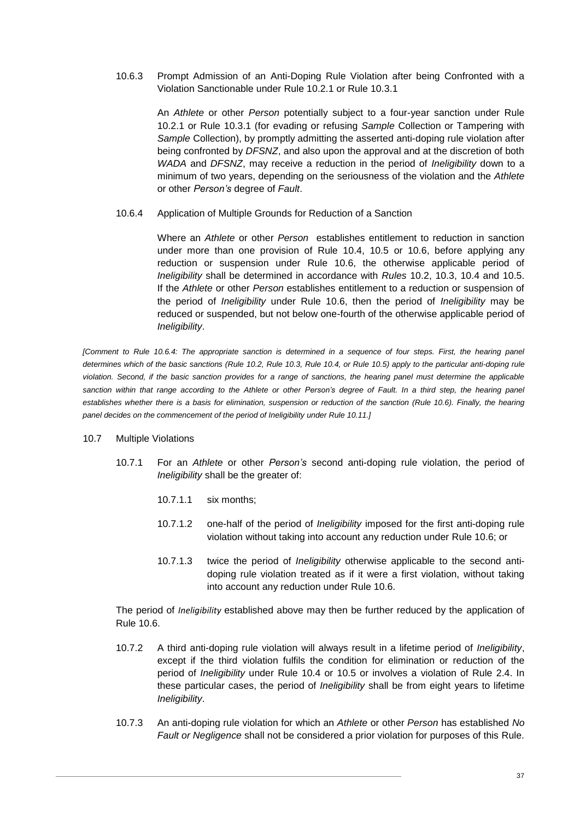<span id="page-37-1"></span>10.6.3 Prompt Admission of an Anti-Doping Rule Violation after being Confronted with a Violation Sanctionable under Rule [10.2.1](#page-33-0) or Rule [10.3.1](#page-33-4)

An *Athlete* or other *Person* potentially subject to a four-year sanction under Rule [10.2.1](#page-33-0) or Rule [10.3.1](#page-33-4) (for evading or refusing *Sample* Collection or Tampering with *Sample* Collection), by promptly admitting the asserted anti-doping rule violation after being confronted by *DFSNZ*, and also upon the approval and at the discretion of both *WADA* and *DFSNZ*, may receive a reduction in the period of *Ineligibility* down to a minimum of two years, depending on the seriousness of the violation and the *Athlete* or other *Person's* degree of *Fault*.

10.6.4 Application of Multiple Grounds for Reduction of a Sanction

Where an *Athlete* or other *Person* establishes entitlement to reduction in sanction under more than one provision of Rule [10.4,](#page-34-0) [10.5](#page-34-1) or [10.6,](#page-35-0) before applying any reduction or suspension under Rule [10.6,](#page-35-0) the otherwise applicable period of *Ineligibility* shall be determined in accordance with *Rules* [10.2,](#page-32-4) [10.3,](#page-33-1) [10.4](#page-34-0) and [10.5.](#page-34-1) If the *Athlete* or other *Person* establishes entitlement to a reduction or suspension of the period of *Ineligibility* under Rule [10.6,](#page-35-0) then the period of *Ineligibility* may be reduced or suspended, but not below one-fourth of the otherwise applicable period of *Ineligibility*.

*[Comment to Rule 10.6.4: The appropriate sanction is determined in a sequence of four steps. First, the hearing panel determines which of the basic sanctions (Rule [10.2,](#page-32-4) Rul[e 10.3,](#page-33-1) Rule [10.4,](#page-34-0) or Rule [10.5\)](#page-34-1) apply to the particular anti-doping rule*  violation. Second, if the basic sanction provides for a range of sanctions, the hearing panel must determine the applicable *sanction within that range according to the Athlete or other Person's degree of Fault. In a third step, the hearing panel establishes whether there is a basis for elimination, suspension or reduction of the sanction (Rule [10.6\)](#page-35-0). Finally, the hearing panel decides on the commencement of the period of Ineligibility under Rul[e 10.11.\]](#page-38-0)*

#### <span id="page-37-2"></span><span id="page-37-0"></span>10.7 Multiple Violations

- 10.7.1 For an *Athlete* or other *Person's* second anti-doping rule violation, the period of *Ineligibility* shall be the greater of:
	- 10.7.1.1 six months;
	- 10.7.1.2 one-half of the period of *Ineligibility* imposed for the first anti-doping rule violation without taking into account any reduction under Rule [10.6;](#page-35-0) or
	- 10.7.1.3 twice the period of *Ineligibility* otherwise applicable to the second antidoping rule violation treated as if it were a first violation, without taking into account any reduction under Rule [10.6.](#page-35-0)

The period of *Ineligibility* established above may then be further reduced by the application of Rule [10.6.](#page-35-0)

- 10.7.2 A third anti-doping rule violation will always result in a lifetime period of *Ineligibility*, except if the third violation fulfils the condition for elimination or reduction of the period of *Ineligibility* under Rule [10.4](#page-34-0) or [10.5](#page-34-1) or involves a violation of Rule [2.4.](#page-8-3) In these particular cases, the period of *Ineligibility* shall be from eight years to lifetime *Ineligibility*.
- 10.7.3 An anti-doping rule violation for which an *Athlete* or other *Person* has established *No Fault or Negligence* shall not be considered a prior violation for purposes of this Rule.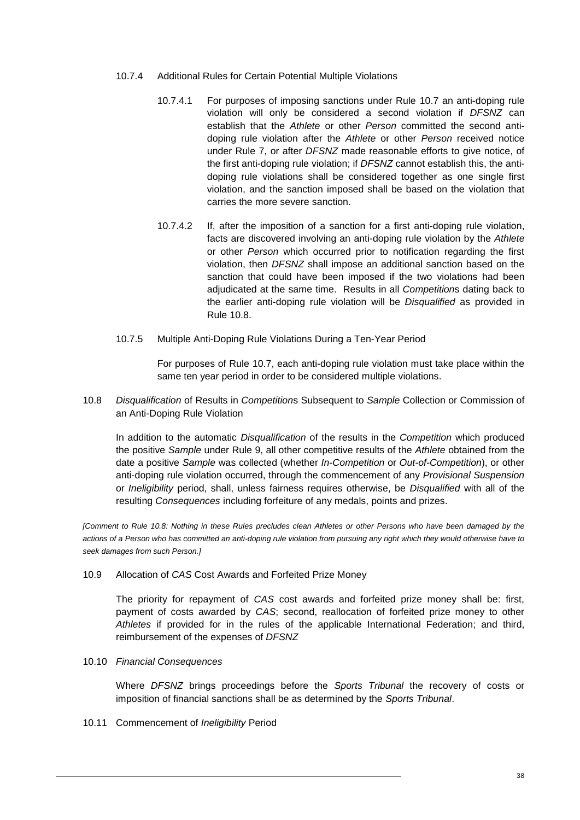- 10.7.4 Additional Rules for Certain Potential Multiple Violations
	- 10.7.4.1 For purposes of imposing sanctions under Rule [10.7](#page-37-0) an anti-doping rule violation will only be considered a second violation if *DFSNZ* can establish that the *Athlete* or other *Person* committed the second antidoping rule violation after the *Athlete* or other *Person* received notice under Rule [7,](#page-20-0) or after *DFSNZ* made reasonable efforts to give notice, of the first anti-doping rule violation; if *DFSNZ* cannot establish this, the antidoping rule violations shall be considered together as one single first violation, and the sanction imposed shall be based on the violation that carries the more severe sanction.
	- 10.7.4.2 If, after the imposition of a sanction for a first anti-doping rule violation, facts are discovered involving an anti-doping rule violation by the *Athlete* or other *Person* which occurred prior to notification regarding the first violation, then *DFSNZ* shall impose an additional sanction based on the sanction that could have been imposed if the two violations had been adjudicated at the same time. Results in all *Competition*s dating back to the earlier anti-doping rule violation will be *Disqualified* as provided in Rule [10.8.](#page-38-1)
- <span id="page-38-2"></span>10.7.5 Multiple Anti-Doping Rule Violations During a Ten-Year Period

For purposes of Rule [10.7,](#page-37-0) each anti-doping rule violation must take place within the same ten year period in order to be considered multiple violations.

<span id="page-38-1"></span>10.8 *Disqualification* of Results in *Competition*s Subsequent to *Sample* Collection or Commission of an Anti-Doping Rule Violation

In addition to the automatic *Disqualification* of the results in the *Competition* which produced the positive *Sample* under Rule [9,](#page-32-0) all other competitive results of the *Athlete* obtained from the date a positive *Sample* was collected (whether *In-Competition* or *Out-of-Competition*), or other anti-doping rule violation occurred, through the commencement of any *Provisional Suspension* or *Ineligibility* period, shall, unless fairness requires otherwise, be *Disqualified* with all of the resulting *Consequences* including forfeiture of any medals, points and prizes.

*[Comment to Rule [10.8:](#page-38-1) Nothing in these Rules precludes clean Athletes or other Persons who have been damaged by the actions of a Person who has committed an anti-doping rule violation from pursuing any right which they would otherwise have to seek damages from such Person.]*

10.9 Allocation of *CAS* Cost Awards and Forfeited Prize Money

The priority for repayment of *CAS* cost awards and forfeited prize money shall be: first, payment of costs awarded by *CAS*; second, reallocation of forfeited prize money to other *Athletes* if provided for in the rules of the applicable International Federation; and third, reimbursement of the expenses of *DFSNZ*

10.10 *Financial Consequences*

Where *DFSNZ* brings proceedings before the *Sports Tribunal* the recovery of costs or imposition of financial sanctions shall be as determined by the *Sports Tribunal*.

<span id="page-38-0"></span>10.11 Commencement of *Ineligibility* Period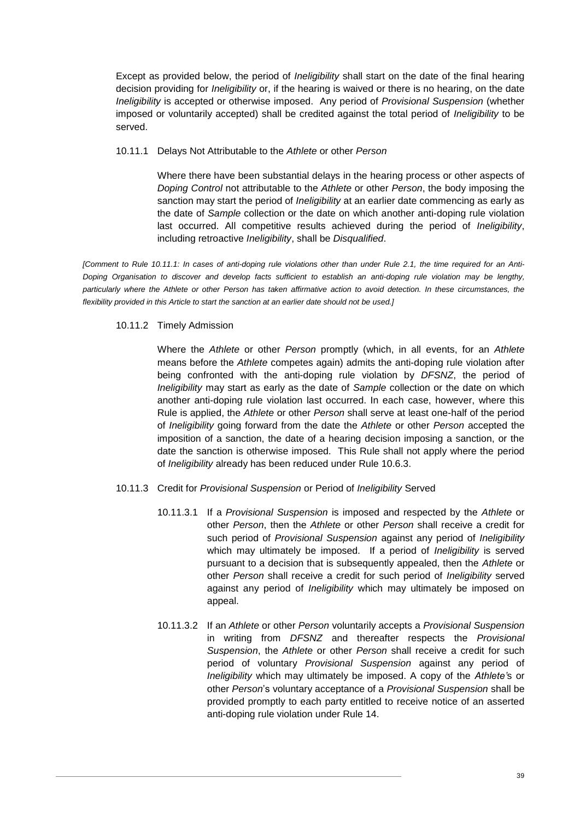Except as provided below, the period of *Ineligibility* shall start on the date of the final hearing decision providing for *Ineligibility* or, if the hearing is waived or there is no hearing, on the date *Ineligibility* is accepted or otherwise imposed. Any period of *Provisional Suspension* (whether imposed or voluntarily accepted) shall be credited against the total period of *Ineligibility* to be served.

### 10.11.1 Delays Not Attributable to the *Athlete* or other *Person*

Where there have been substantial delays in the hearing process or other aspects of *Doping Control* not attributable to the *Athlete* or other *Person*, the body imposing the sanction may start the period of *Ineligibility* at an earlier date commencing as early as the date of *Sample* collection or the date on which another anti-doping rule violation last occurred. All competitive results achieved during the period of *Ineligibility*, including retroactive *Ineligibility*, shall be *Disqualified*.

*[Comment to Rule 10.11.1: In cases of anti-doping rule violations other than under Rule [2.1,](#page-6-1) the time required for an Anti-Doping Organisation to discover and develop facts sufficient to establish an anti-doping rule violation may be lengthy, particularly where the Athlete or other Person has taken affirmative action to avoid detection. In these circumstances, the flexibility provided in this Article to start the sanction at an earlier date should not be used.]*

# 10.11.2 Timely Admission

Where the *Athlete* or other *Person* promptly (which, in all events, for an *Athlete* means before the *Athlete* competes again) admits the anti-doping rule violation after being confronted with the anti-doping rule violation by *DFSNZ*, the period of *Ineligibility* may start as early as the date of *Sample* collection or the date on which another anti-doping rule violation last occurred. In each case, however, where this Rule is applied, the *Athlete* or other *Person* shall serve at least one-half of the period of *Ineligibility* going forward from the date the *Athlete* or other *Person* accepted the imposition of a sanction, the date of a hearing decision imposing a sanction, or the date the sanction is otherwise imposed. This Rule shall not apply where the period of *Ineligibility* already has been reduced under Rule [10.6.3.](#page-37-1)

# <span id="page-39-0"></span>10.11.3 Credit for *Provisional Suspension* or Period of *Ineligibility* Served

- 10.11.3.1 If a *Provisional Suspension* is imposed and respected by the *Athlete* or other *Person*, then the *Athlete* or other *Person* shall receive a credit for such period of *Provisional Suspension* against any period of *Ineligibility* which may ultimately be imposed. If a period of *Ineligibility* is served pursuant to a decision that is subsequently appealed, then the *Athlete* or other *Person* shall receive a credit for such period of *Ineligibility* served against any period of *Ineligibility* which may ultimately be imposed on appeal.
- 10.11.3.2 If an *Athlete* or other *Person* voluntarily accepts a *Provisional Suspension* in writing from *DFSNZ* and thereafter respects the *Provisional Suspension*, the *Athlete* or other *Person* shall receive a credit for such period of voluntary *Provisional Suspension* against any period of *Ineligibility* which may ultimately be imposed. A copy of the *Athlete'*s or other *Person*'s voluntary acceptance of a *Provisional Suspension* shall be provided promptly to each party entitled to receive notice of an asserted anti-doping rule violation under Rule [14.](#page-45-0)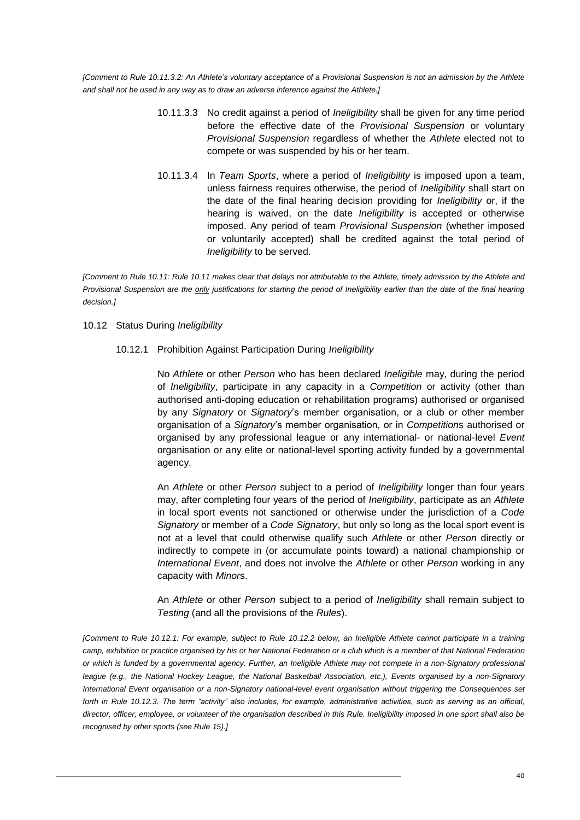<span id="page-40-1"></span>*[Comment to Rule 10.11.3.2: An Athlete's voluntary acceptance of a Provisional Suspension is not an admission by the Athlete and shall not be used in any way as to draw an adverse inference against the Athlete.]*

- 10.11.3.3 No credit against a period of *Ineligibility* shall be given for any time period before the effective date of the *Provisional Suspension* or voluntary *Provisional Suspension* regardless of whether the *Athlete* elected not to compete or was suspended by his or her team.
- 10.11.3.4 In *Team Sports*, where a period of *Ineligibility* is imposed upon a team, unless fairness requires otherwise, the period of *Ineligibility* shall start on the date of the final hearing decision providing for *Ineligibility* or, if the hearing is waived, on the date *Ineligibility* is accepted or otherwise imposed. Any period of team *Provisional Suspension* (whether imposed or voluntarily accepted) shall be credited against the total period of *Ineligibility* to be served.

*[Comment to Rule 10.11: Rul[e 10.11](#page-38-0) makes clear that delays not attributable to the Athlete, timely admission by the Athlete and Provisional Suspension are the only justifications for starting the period of Ineligibility earlier than the date of the final hearing decision.]*

#### <span id="page-40-2"></span><span id="page-40-0"></span>10.12 Status During *Ineligibility*

### 10.12.1 Prohibition Against Participation During *Ineligibility*

No *Athlete* or other *Person* who has been declared *Ineligible* may, during the period of *Ineligibility*, participate in any capacity in a *Competition* or activity (other than authorised anti-doping education or rehabilitation programs) authorised or organised by any *Signatory* or *Signatory*'s member organisation, or a club or other member organisation of a *Signatory*'s member organisation, or in *Competition*s authorised or organised by any professional league or any international- or national-level *Event* organisation or any elite or national-level sporting activity funded by a governmental agency.

An *Athlete* or other *Person* subject to a period of *Ineligibility* longer than four years may, after completing four years of the period of *Ineligibility*, participate as an *Athlete* in local sport events not sanctioned or otherwise under the jurisdiction of a *Code Signatory* or member of a *Code Signatory*, but only so long as the local sport event is not at a level that could otherwise qualify such *Athlete* or other *Person* directly or indirectly to compete in (or accumulate points toward) a national championship or *International Event*, and does not involve the *Athlete* or other *Person* working in any capacity with *Minor*s.

An *Athlete* or other *Person* subject to a period of *Ineligibility* shall remain subject to *Testing* (and all the provisions of the *Rules*).

*[Comment to Rule 10.12.1: For example, subject to Rule [10.12.2](#page-41-0) below, an Ineligible Athlete cannot participate in a training camp, exhibition or practice organised by his or her National Federation or a club which is a member of that National Federation or which is funded by a governmental agency. Further, an Ineligible Athlete may not compete in a non-Signatory professional league (e.g., the National Hockey League, the National Basketball Association, etc.), Events organised by a non-Signatory International Event organisation or a non-Signatory national-level event organisation without triggering the Consequences set forth in Rule [10.12.3.](#page-41-1) The term "activity" also includes, for example, administrative activities, such as serving as an official, director, officer, employee, or volunteer of the organisation described in this Rule. Ineligibility imposed in one sport shall also be recognised by other sports (see Rule [15\)](#page-48-0).]*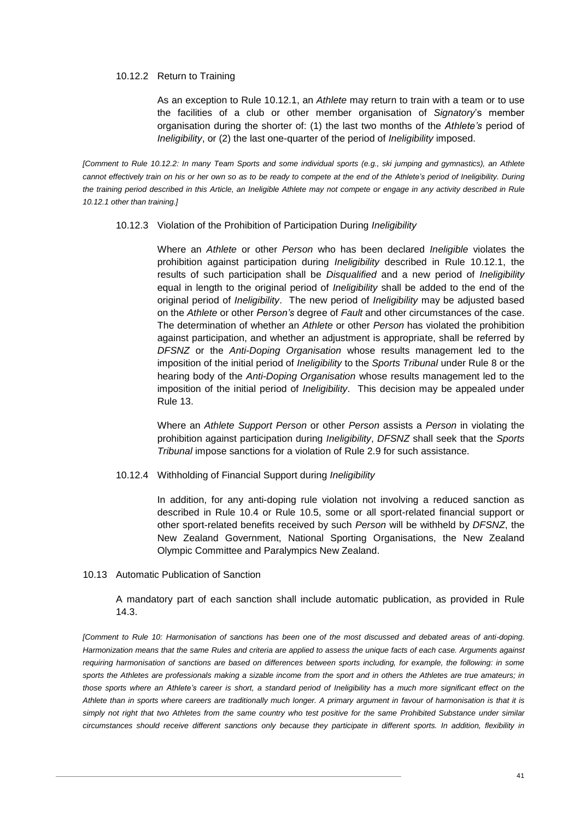#### <span id="page-41-0"></span>10.12.2 Return to Training

As an exception to Rule [10.12.1,](#page-40-0) an *Athlete* may return to train with a team or to use the facilities of a club or other member organisation of *Signatory*'s member organisation during the shorter of: (1) the last two months of the *Athlete's* period of *Ineligibility*, or (2) the last one-quarter of the period of *Ineligibility* imposed.

<span id="page-41-1"></span>*[Comment to Rule 10.12.2: In many Team Sports and some individual sports (e.g., ski jumping and gymnastics), an Athlete cannot effectively train on his or her own so as to be ready to compete at the end of the Athlete's period of Ineligibility. During*  the training period described in this Article, an Ineligible Athlete may not compete or engage in any activity described in Rule *[10.12.1](#page-40-0) other than training.]*

#### 10.12.3 Violation of the Prohibition of Participation During *Ineligibility*

Where an *Athlete* or other *Person* who has been declared *Ineligible* violates the prohibition against participation during *Ineligibility* described in Rule [10.12.1,](#page-40-0) the results of such participation shall be *Disqualified* and a new period of *Ineligibility* equal in length to the original period of *Ineligibility* shall be added to the end of the original period of *Ineligibility*. The new period of *Ineligibility* may be adjusted based on the *Athlete* or other *Person's* degree of *Fault* and other circumstances of the case. The determination of whether an *Athlete* or other *Person* has violated the prohibition against participation, and whether an adjustment is appropriate, shall be referred by *DFSNZ* or the *Anti-Doping Organisation* whose results management led to the imposition of the initial period of *Ineligibility* to the *Sports Tribunal* under Rule [8](#page-29-0) or the hearing body of the *Anti-Doping Organisation* whose results management led to the imposition of the initial period of *Ineligibility*. This decision may be appealed under Rule [13.](#page-42-2)

Where an *Athlete Support Person* or other *Person* assists a *Person* in violating the prohibition against participation during *Ineligibility*, *DFSNZ* shall seek that the *Sports Tribunal* impose sanctions for a violation of Rule [2.9](#page-9-6) for such assistance.

#### 10.12.4 Withholding of Financial Support during *Ineligibility*

In addition, for any anti-doping rule violation not involving a reduced sanction as described in Rule [10.4](#page-34-0) or Rule [10.5,](#page-34-1) some or all sport-related financial support or other sport-related benefits received by such *Person* will be withheld by *DFSNZ*, the New Zealand Government, National Sporting Organisations, the New Zealand Olympic Committee and Paralympics New Zealand.

# 10.13 Automatic Publication of Sanction

A mandatory part of each sanction shall include automatic publication, as provided in Rule [14.3.](#page-47-2)

*[Comment to Rule 10: Harmonisation of sanctions has been one of the most discussed and debated areas of anti-doping. Harmonization means that the same Rules and criteria are applied to assess the unique facts of each case. Arguments against requiring harmonisation of sanctions are based on differences between sports including, for example, the following: in some sports the Athletes are professionals making a sizable income from the sport and in others the Athletes are true amateurs; in those sports where an Athlete's career is short, a standard period of Ineligibility has a much more significant effect on the Athlete than in sports where careers are traditionally much longer. A primary argument in favour of harmonisation is that it is simply not right that two Athletes from the same country who test positive for the same Prohibited Substance under similar circumstances should receive different sanctions only because they participate in different sports. In addition, flexibility in*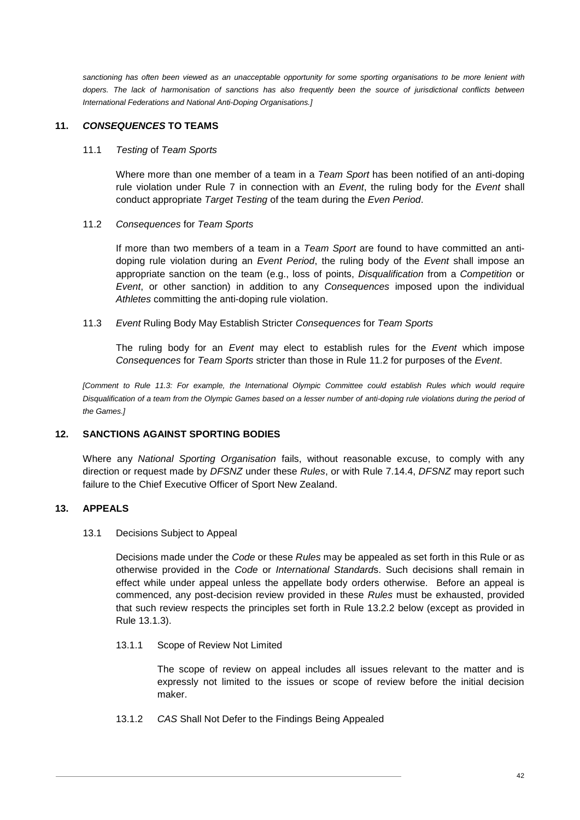*sanctioning has often been viewed as an unacceptable opportunity for some sporting organisations to be more lenient with dopers. The lack of harmonisation of sanctions has also frequently been the source of jurisdictional conflicts between International Federations and National Anti-Doping Organisations.]*

# <span id="page-42-0"></span>**11.** *CONSEQUENCES* **TO TEAMS**

#### 11.1 *Testing* of *Team Sports*

Where more than one member of a team in a *Team Sport* has been notified of an anti-doping rule violation under Rule [7](#page-20-0) in connection with an *Event*, the ruling body for the *Event* shall conduct appropriate *Target Testing* of the team during the *Even Period*.

#### <span id="page-42-3"></span>11.2 *Consequences* for *Team Sports*

If more than two members of a team in a *Team Sport* are found to have committed an antidoping rule violation during an *Event Period*, the ruling body of the *Event* shall impose an appropriate sanction on the team (e.g., loss of points, *Disqualification* from a *Competition* or *Event*, or other sanction) in addition to any *Consequences* imposed upon the individual *Athletes* committing the anti-doping rule violation.

### <span id="page-42-4"></span>11.3 *Event* Ruling Body May Establish Stricter *Consequences* for *Team Sports*

The ruling body for an *Event* may elect to establish rules for the *Event* which impose *Consequences* for *Team Sports* stricter than those in Rule [11.2](#page-42-3) for purposes of the *Event*.

*[Comment to Rule [11.3:](#page-42-4) For example, the International Olympic Committee could establish Rules which would require Disqualification of a team from the Olympic Games based on a lesser number of anti-doping rule violations during the period of the Games.]*

# <span id="page-42-1"></span>**12. SANCTIONS AGAINST SPORTING BODIES**

Where any *National Sporting Organisation* fails, without reasonable excuse, to comply with any direction or request made by *DFSNZ* under these *Rules*, or with Rule [7.14.4,](#page-28-0) *DFSNZ* may report such failure to the Chief Executive Officer of Sport New Zealand.

# <span id="page-42-2"></span>**13. APPEALS**

#### 13.1 Decisions Subject to Appeal

Decisions made under the *Code* or these *Rules* may be appealed as set forth in this Rule or as otherwise provided in the *Code* or *International Standard*s. Such decisions shall remain in effect while under appeal unless the appellate body orders otherwise. Before an appeal is commenced, any post-decision review provided in these *Rules* must be exhausted, provided that such review respects the principles set forth in Rule [13.2.2](#page-43-1) below (except as provided in Rule [13.1.3\)](#page-43-2).

#### 13.1.1 Scope of Review Not Limited

The scope of review on appeal includes all issues relevant to the matter and is expressly not limited to the issues or scope of review before the initial decision maker.

13.1.2 *CAS* Shall Not Defer to the Findings Being Appealed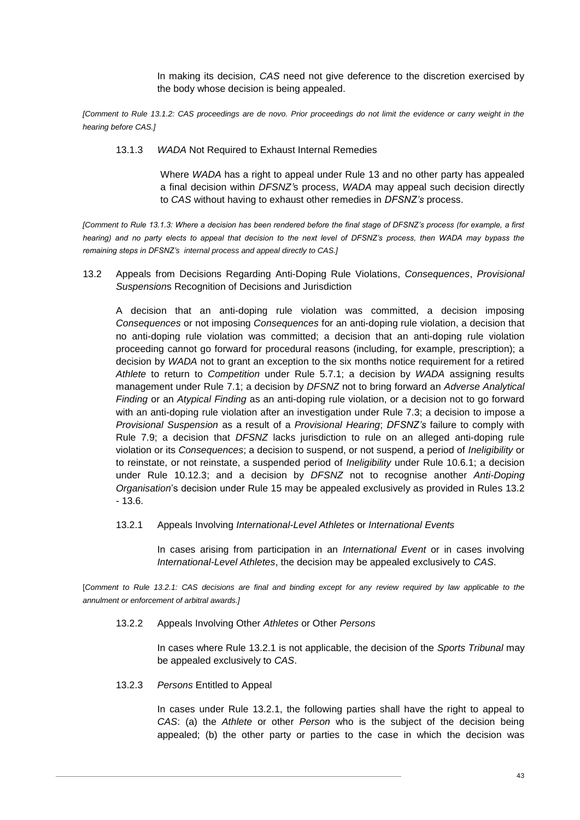In making its decision, *CAS* need not give deference to the discretion exercised by the body whose decision is being appealed.

<span id="page-43-2"></span>*[Comment to Rule 13.1.2: CAS proceedings are de novo. Prior proceedings do not limit the evidence or carry weight in the hearing before CAS.]*

13.1.3 *WADA* Not Required to Exhaust Internal Remedies

Where *WADA* has a right to appeal under Rule [13](#page-42-2) and no other party has appealed a final decision within *DFSNZ'*s process, *WADA* may appeal such decision directly to *CAS* without having to exhaust other remedies in *DFSNZ's* process.

*[Comment to Rule 13.1.3: Where a decision has been rendered before the final stage of DFSNZ's process (for example, a first hearing*) and no party elects to appeal that decision to the next level of DFSNZ's process, then WADA may bypass the *remaining steps in DFSNZ's internal process and appeal directly to CAS.]*

<span id="page-43-3"></span>13.2 Appeals from Decisions Regarding Anti-Doping Rule Violations, *Consequences*, *Provisional Suspension*s Recognition of Decisions and Jurisdiction

A decision that an anti-doping rule violation was committed, a decision imposing *Consequences* or not imposing *Consequences* for an anti-doping rule violation, a decision that no anti-doping rule violation was committed; a decision that an anti-doping rule violation proceeding cannot go forward for procedural reasons (including, for example, prescription); a decision by *WADA* not to grant an exception to the six months notice requirement for a retired *Athlete* to return to *Competition* under Rule [5.7.1;](#page-18-0) a decision by *WADA* assigning results management under Rule [7.1;](#page-21-1) a decision by *DFSNZ* not to bring forward an *Adverse Analytical Finding* or an *Atypical Finding* as an anti-doping rule violation, or a decision not to go forward with an anti-doping rule violation after an investigation under Rule [7.3;](#page-22-2) a decision to impose a *Provisional Suspension* as a result of a *Provisional Hearing*; *DFSNZ's* failure to comply with Rule [7.9;](#page-24-2) a decision that *DFSNZ* lacks jurisdiction to rule on an alleged anti-doping rule violation or its *Consequences*; a decision to suspend, or not suspend, a period of *Ineligibility* or to reinstate, or not reinstate, a suspended period of *Ineligibility* under Rule [10.6.1;](#page-35-2) a decision under Rule [10.12.3;](#page-41-1) and a decision by *DFSNZ* not to recognise another *Anti-Doping Organisation*'s decision under Rule 15 may be appealed exclusively as provided in Rules [13.2](#page-43-3) - [13.6.](#page-45-2)

<span id="page-43-4"></span>13.2.1 Appeals Involving *International-Level Athletes* or *International Events* 

In cases arising from participation in an *International Event* or in cases involving *International-Level Athletes*, the decision may be appealed exclusively to *CAS*.

<span id="page-43-1"></span>[*Comment to Rule 13.2.1: CAS decisions are final and binding except for any review required by law applicable to the annulment or enforcement of arbitral awards.]*

13.2.2 Appeals Involving Other *Athletes* or Other *Persons*

In cases where Rule [13.2.1](#page-43-4) is not applicable, the decision of the *Sports Tribunal* may be appealed exclusively to *CAS*.

<span id="page-43-0"></span>13.2.3 *Persons* Entitled to Appeal

In cases under Rule [13.2.1,](#page-43-4) the following parties shall have the right to appeal to *CAS*: (a) the *Athlete* or other *Person* who is the subject of the decision being appealed; (b) the other party or parties to the case in which the decision was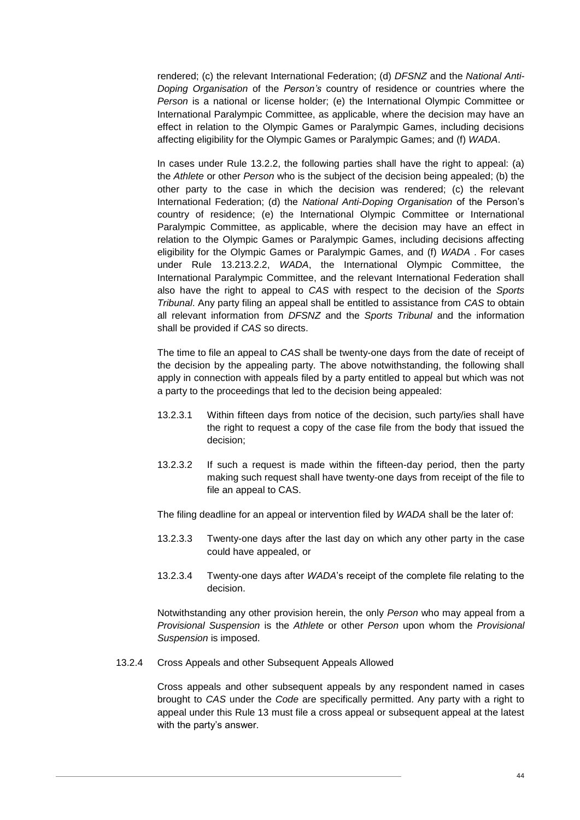rendered; (c) the relevant International Federation; (d) *DFSNZ* and the *National Anti-Doping Organisation* of the *Person's* country of residence or countries where the *Person* is a national or license holder; (e) the International Olympic Committee or International Paralympic Committee, as applicable, where the decision may have an effect in relation to the Olympic Games or Paralympic Games, including decisions affecting eligibility for the Olympic Games or Paralympic Games; and (f) *WADA*.

In cases under Rule [13.2.2,](#page-43-1) the following parties shall have the right to appeal: (a) the *Athlete* or other *Person* who is the subject of the decision being appealed; (b) the other party to the case in which the decision was rendered; (c) the relevant International Federation; (d) the *National Anti-Doping Organisation* of the Person's country of residence; (e) the International Olympic Committee or International Paralympic Committee, as applicable, where the decision may have an effect in relation to the Olympic Games or Paralympic Games, including decisions affecting eligibility for the Olympic Games or Paralympic Games, and (f) *WADA* . For cases under Rule [13.213.2.2,](#page-43-3) *WADA*, the International Olympic Committee, the International Paralympic Committee, and the relevant International Federation shall also have the right to appeal to *CAS* with respect to the decision of the *Sports Tribunal*. Any party filing an appeal shall be entitled to assistance from *CAS* to obtain all relevant information from *DFSNZ* and the *Sports Tribunal* and the information shall be provided if *CAS* so directs.

The time to file an appeal to *CAS* shall be twenty-one days from the date of receipt of the decision by the appealing party. The above notwithstanding, the following shall apply in connection with appeals filed by a party entitled to appeal but which was not a party to the proceedings that led to the decision being appealed:

- 13.2.3.1 Within fifteen days from notice of the decision, such party/ies shall have the right to request a copy of the case file from the body that issued the decision;
- 13.2.3.2 If such a request is made within the fifteen-day period, then the party making such request shall have twenty-one days from receipt of the file to file an appeal to CAS.

The filing deadline for an appeal or intervention filed by *WADA* shall be the later of:

- 13.2.3.3 Twenty-one days after the last day on which any other party in the case could have appealed, or
- 13.2.3.4 Twenty-one days after *WADA*'s receipt of the complete file relating to the decision.

Notwithstanding any other provision herein, the only *Person* who may appeal from a *Provisional Suspension* is the *Athlete* or other *Person* upon whom the *Provisional Suspension* is imposed.

13.2.4 Cross Appeals and other Subsequent Appeals Allowed

Cross appeals and other subsequent appeals by any respondent named in cases brought to *CAS* under the *Code* are specifically permitted. Any party with a right to appeal under this Rule 13 must file a cross appeal or subsequent appeal at the latest with the party's answer.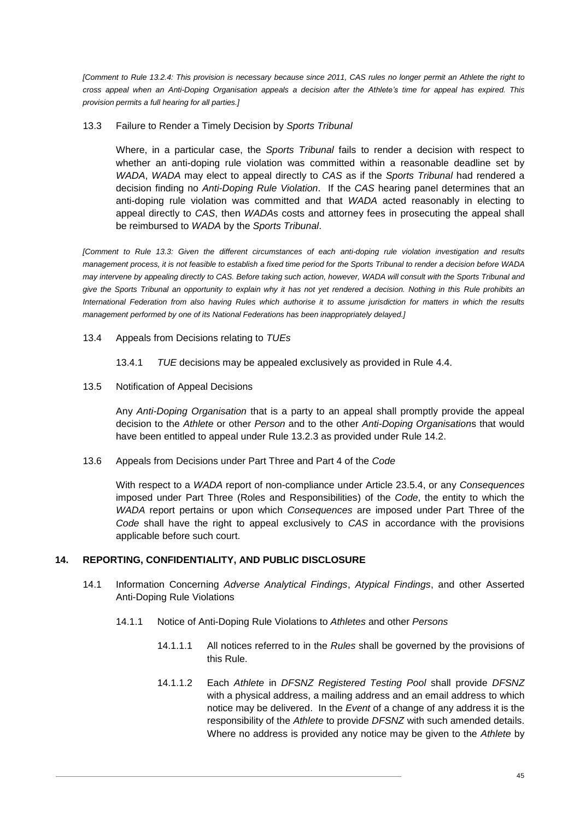*[Comment to Rule 13.2.4: This provision is necessary because since 2011, CAS rules no longer permit an Athlete the right to cross appeal when an Anti-Doping Organisation appeals a decision after the Athlete's time for appeal has expired. This provision permits a full hearing for all parties.]*

13.3 Failure to Render a Timely Decision by *Sports Tribunal*

Where, in a particular case, the *Sports Tribunal* fails to render a decision with respect to whether an anti-doping rule violation was committed within a reasonable deadline set by *WADA*, *WADA* may elect to appeal directly to *CAS* as if the *Sports Tribunal* had rendered a decision finding no *Anti-Doping Rule Violation*. If the *CAS* hearing panel determines that an anti-doping rule violation was committed and that *WADA* acted reasonably in electing to appeal directly to *CAS*, then *WADA*s costs and attorney fees in prosecuting the appeal shall be reimbursed to *WADA* by the *Sports Tribunal*.

*[Comment to Rule 13.3: Given the different circumstances of each anti-doping rule violation investigation and results management process, it is not feasible to establish a fixed time period for the Sports Tribunal to render a decision before WADA may intervene by appealing directly to CAS. Before taking such action, however, WADA will consult with the Sports Tribunal and give the Sports Tribunal an opportunity to explain why it has not yet rendered a decision. Nothing in this Rule prohibits an International Federation from also having Rules which authorise it to assume jurisdiction for matters in which the results management performed by one of its National Federations has been inappropriately delayed.]*

13.4 Appeals from Decisions relating to *TUEs*

13.4.1 *TUE* decisions may be appealed exclusively as provided in Rule [4.4.](#page-12-0)

<span id="page-45-4"></span>13.5 Notification of Appeal Decisions

Any *Anti-Doping Organisation* that is a party to an appeal shall promptly provide the appeal decision to the *Athlete* or other *Person* and to the other *Anti-Doping Organisation*s that would have been entitled to appeal under Rule [13.2.3](#page-43-0) as provided under Rule [14.2.](#page-47-1)

<span id="page-45-2"></span>13.6 Appeals from Decisions under Part Three and Part 4 of the *Code*

With respect to a *WADA* report of non-compliance under Article 23.5.4, or any *Consequences* imposed under Part Three (Roles and Responsibilities) of the *Code*, the entity to which the *WADA* report pertains or upon which *Consequences* are imposed under Part Three of the *Code* shall have the right to appeal exclusively to *CAS* in accordance with the provisions applicable before such court.

# <span id="page-45-0"></span>**14. REPORTING, CONFIDENTIALITY, AND PUBLIC DISCLOSURE**

- <span id="page-45-3"></span><span id="page-45-1"></span>14.1 Information Concerning *Adverse Analytical Findings*, *Atypical Findings*, and other Asserted Anti-Doping Rule Violations
	- 14.1.1 Notice of Anti-Doping Rule Violations to *Athletes* and other *Persons*
		- 14.1.1.1 All notices referred to in the *Rules* shall be governed by the provisions of this Rule.
		- 14.1.1.2 Each *Athlete* in *DFSNZ Registered Testing Pool* shall provide *DFSNZ* with a physical address, a mailing address and an email address to which notice may be delivered. In the *Event* of a change of any address it is the responsibility of the *Athlete* to provide *DFSNZ* with such amended details. Where no address is provided any notice may be given to the *Athlete* by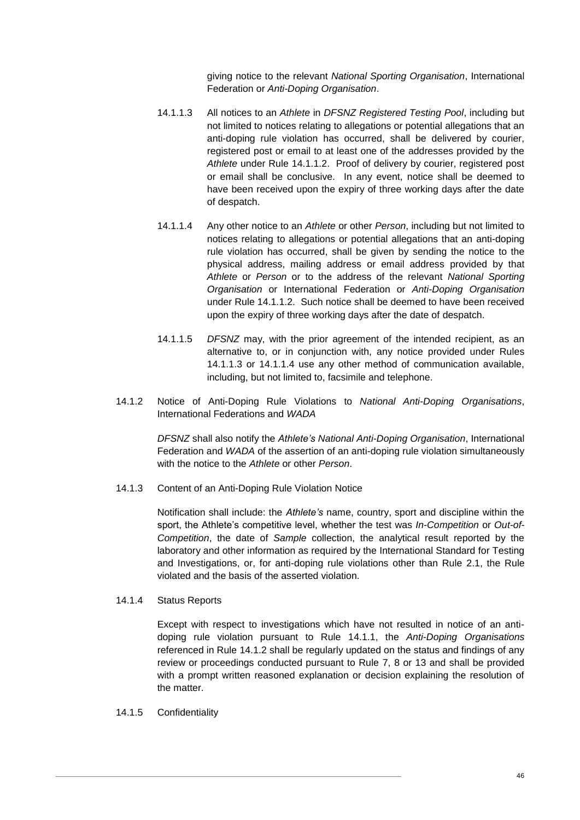giving notice to the relevant *National Sporting Organisation*, International Federation or *Anti-Doping Organisation*.

- <span id="page-46-2"></span>14.1.1.3 All notices to an *Athlete* in *DFSNZ Registered Testing Pool*, including but not limited to notices relating to allegations or potential allegations that an anti-doping rule violation has occurred, shall be delivered by courier, registered post or email to at least one of the addresses provided by the *Athlete* under Rule [14.1.1.2.](#page-45-3) Proof of delivery by courier, registered post or email shall be conclusive. In any event, notice shall be deemed to have been received upon the expiry of three working days after the date of despatch.
- <span id="page-46-3"></span>14.1.1.4 Any other notice to an *Athlete* or other *Person*, including but not limited to notices relating to allegations or potential allegations that an anti-doping rule violation has occurred, shall be given by sending the notice to the physical address, mailing address or email address provided by that *Athlete* or *Person* or to the address of the relevant *National Sporting Organisation* or International Federation or *Anti-Doping Organisation* under Rule [14.1.1.2.](#page-45-3) Such notice shall be deemed to have been received upon the expiry of three working days after the date of despatch.
- 14.1.1.5 *DFSNZ* may, with the prior agreement of the intended recipient, as an alternative to, or in conjunction with, any notice provided under Rules [14.1.1.3](#page-46-2) or [14.1.1.4](#page-46-3) use any other method of communication available, including, but not limited to, facsimile and telephone.
- <span id="page-46-1"></span>14.1.2 Notice of Anti-Doping Rule Violations to *National Anti-Doping Organisations*, International Federations and *WADA*

*DFSNZ* shall also notify the *Athlete's National Anti-Doping Organisation*, International Federation and *WADA* of the assertion of an anti-doping rule violation simultaneously with the notice to the *Athlete* or other *Person*.

<span id="page-46-0"></span>14.1.3 Content of an Anti-Doping Rule Violation Notice

Notification shall include: the *Athlete's* name, country, sport and discipline within the sport, the Athlete's competitive level, whether the test was *In-Competition* or *Out-of-Competition*, the date of *Sample* collection, the analytical result reported by the laboratory and other information as required by the International Standard for Testing and Investigations, or, for anti-doping rule violations other than Rule [2.1,](#page-6-1) the Rule violated and the basis of the asserted violation.

14.1.4 Status Reports

Except with respect to investigations which have not resulted in notice of an antidoping rule violation pursuant to Rule [14.1.1,](#page-45-1) the *Anti-Doping Organisations* referenced in Rule [14.1.2](#page-46-1) shall be regularly updated on the status and findings of any review or proceedings conducted pursuant to Rule [7,](#page-20-0) [8](#page-29-0) or [13](#page-42-2) and shall be provided with a prompt written reasoned explanation or decision explaining the resolution of the matter.

14.1.5 Confidentiality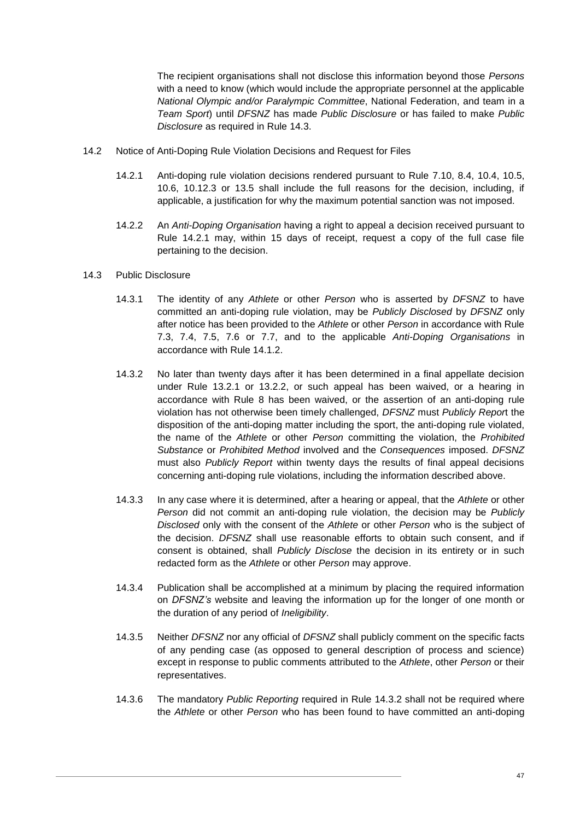The recipient organisations shall not disclose this information beyond those *Persons* with a need to know (which would include the appropriate personnel at the applicable *National Olympic and/or Paralympic Committee*, National Federation, and team in a *Team Sport*) until *DFSNZ* has made *Public Disclosure* or has failed to make *Public Disclosure* as required in Rule [14.3.](#page-47-2)

- <span id="page-47-1"></span><span id="page-47-0"></span>14.2 Notice of Anti-Doping Rule Violation Decisions and Request for Files
	- 14.2.1 Anti-doping rule violation decisions rendered pursuant to Rule [7.10,](#page-26-1) [8.4,](#page-29-3) [10.4,](#page-34-0) [10.5,](#page-34-1) [10.6,](#page-35-0) [10.12.3](#page-41-1) or [13.5](#page-45-4) shall include the full reasons for the decision, including, if applicable, a justification for why the maximum potential sanction was not imposed.
	- 14.2.2 An *Anti-Doping Organisation* having a right to appeal a decision received pursuant to Rule [14.2.1](#page-47-0) may, within 15 days of receipt, request a copy of the full case file pertaining to the decision.
- <span id="page-47-3"></span><span id="page-47-2"></span>14.3 Public Disclosure
	- 14.3.1 The identity of any *Athlete* or other *Person* who is asserted by *DFSNZ* to have committed an anti-doping rule violation, may be *Publicly Disclosed* by *DFSNZ* only after notice has been provided to the *Athlete* or other *Person* in accordance with Rule [7.3,](#page-22-2) [7.4,](#page-23-0) [7.5,](#page-23-1) [7.6](#page-24-0) or [7.7,](#page-24-1) and to the applicable *Anti-Doping Organisations* in accordance with Rule [14.1.2.](#page-46-1)
	- 14.3.2 No later than twenty days after it has been determined in a final appellate decision under Rule [13.2.1](#page-43-4) or [13.2.2,](#page-43-1) or such appeal has been waived, or a hearing in accordance with Rule [8](#page-29-0) has been waived, or the assertion of an anti-doping rule violation has not otherwise been timely challenged, *DFSNZ* must *Publicly Repor*t the disposition of the anti-doping matter including the sport, the anti-doping rule violated, the name of the *Athlete* or other *Person* committing the violation, the *Prohibited Substance* or *Prohibited Method* involved and the *Consequences* imposed. *DFSNZ* must also *Publicly Report* within twenty days the results of final appeal decisions concerning anti-doping rule violations, including the information described above.
	- 14.3.3 In any case where it is determined, after a hearing or appeal, that the *Athlete* or other *Person* did not commit an anti-doping rule violation, the decision may be *Publicly Disclosed* only with the consent of the *Athlete* or other *Person* who is the subject of the decision. *DFSNZ* shall use reasonable efforts to obtain such consent, and if consent is obtained, shall *Publicly Disclose* the decision in its entirety or in such redacted form as the *Athlete* or other *Person* may approve.
	- 14.3.4 Publication shall be accomplished at a minimum by placing the required information on *DFSNZ's* website and leaving the information up for the longer of one month or the duration of any period of *Ineligibility*.
	- 14.3.5 Neither *DFSNZ* nor any official of *DFSNZ* shall publicly comment on the specific facts of any pending case (as opposed to general description of process and science) except in response to public comments attributed to the *Athlete*, other *Person* or their representatives.
	- 14.3.6 The mandatory *Public Reporting* required in Rule [14.3.2](#page-47-3) shall not be required where the *Athlete* or other *Person* who has been found to have committed an anti-doping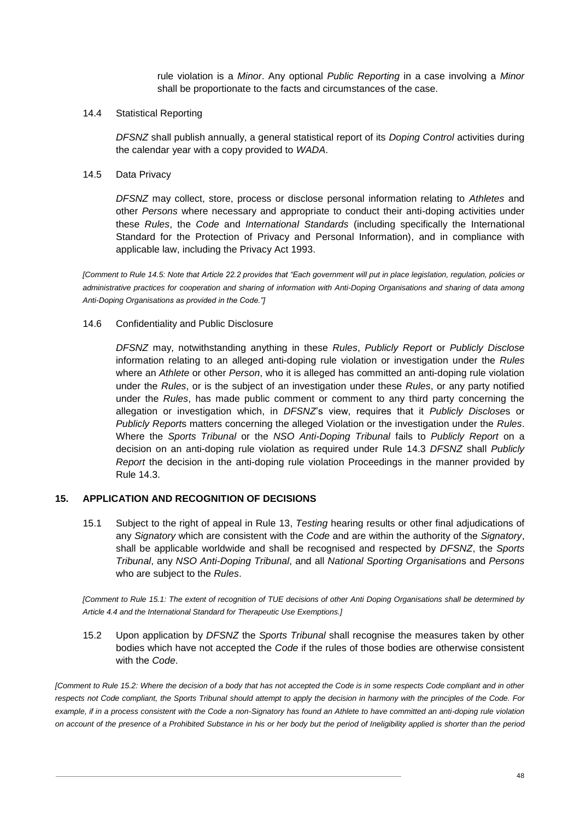rule violation is a *Minor*. Any optional *Public Reporting* in a case involving a *Minor* shall be proportionate to the facts and circumstances of the case.

### 14.4 Statistical Reporting

*DFSNZ* shall publish annually, a general statistical report of its *Doping Control* activities during the calendar year with a copy provided to *WADA*.

### <span id="page-48-1"></span>14.5 Data Privacy

*DFSNZ* may collect, store, process or disclose personal information relating to *Athletes* and other *Persons* where necessary and appropriate to conduct their anti-doping activities under these *Rules*, the *Code* and *International Standards* (including specifically the International Standard for the Protection of Privacy and Personal Information), and in compliance with applicable law, including the Privacy Act 1993.

*[Comment to Rule [14.5:](#page-48-1) Note that Article 22.2 provides that "Each government will put in place legislation, regulation, policies or administrative practices for cooperation and sharing of information with Anti-Doping Organisations and sharing of data among Anti-Doping Organisations as provided in the Code."]*

### 14.6 Confidentiality and Public Disclosure

*DFSNZ* may, notwithstanding anything in these *Rules*, *Publicly Report* or *Publicly Disclose* information relating to an alleged anti-doping rule violation or investigation under the *Rules* where an *Athlete* or other *Person*, who it is alleged has committed an anti-doping rule violation under the *Rules*, or is the subject of an investigation under these *Rules*, or any party notified under the *Rules*, has made public comment or comment to any third party concerning the allegation or investigation which, in *DFSNZ*'s view, requires that it *Publicly Disclose*s or *Publicly Report*s matters concerning the alleged Violation or the investigation under the *Rules*. Where the *Sports Tribunal* or the *NSO Anti-Doping Tribunal* fails to *Publicly Report* on a decision on an anti-doping rule violation as required under Rule [14.3](#page-47-2) *DFSNZ* shall *Publicly Report* the decision in the anti-doping rule violation Proceedings in the manner provided by Rule [14.3.](#page-47-2)

# <span id="page-48-2"></span><span id="page-48-0"></span>**15. APPLICATION AND RECOGNITION OF DECISIONS**

15.1 Subject to the right of appeal in Rule [13,](#page-42-2) *Testing* hearing results or other final adjudications of any *Signatory* which are consistent with the *Code* and are within the authority of the *Signatory*, shall be applicable worldwide and shall be recognised and respected by *DFSNZ*, the *Sports Tribunal*, any *NSO Anti-Doping Tribunal*, and all *National Sporting Organisation*s and *Persons* who are subject to the *Rules*.

*[Comment to Rule [15.1:](#page-48-2) The extent of recognition of TUE decisions of other Anti Doping Organisations shall be determined by Article 4.4 and the International Standard for Therapeutic Use Exemptions.]*

15.2 Upon application by *DFSNZ* the *Sports Tribunal* shall recognise the measures taken by other bodies which have not accepted the *Code* if the rules of those bodies are otherwise consistent with the *Code*.

*[Comment to Rule 15.2: Where the decision of a body that has not accepted the Code is in some respects Code compliant and in other respects not Code compliant, the Sports Tribunal should attempt to apply the decision in harmony with the principles of the Code. For*  example, if in a process consistent with the Code a non-Signatory has found an Athlete to have committed an anti-doping rule violation *on account of the presence of a Prohibited Substance in his or her body but the period of Ineligibility applied is shorter than the period*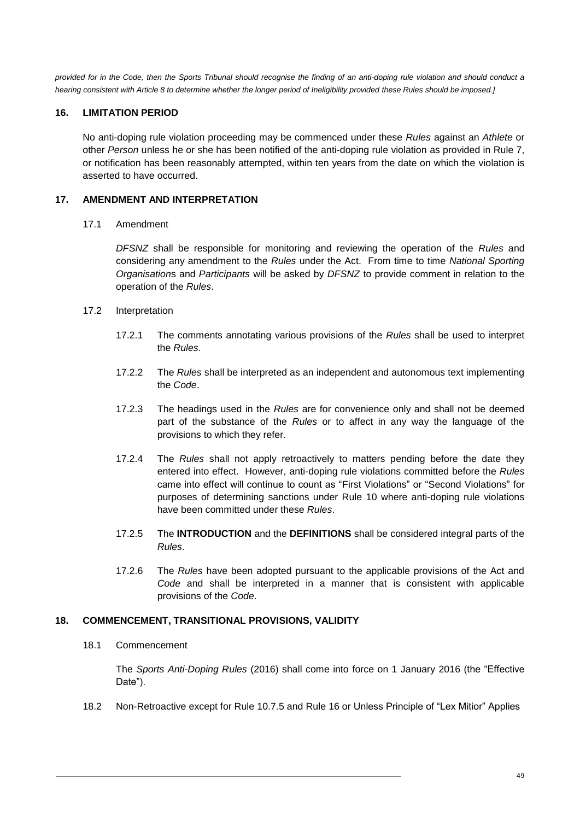*provided for in the Code, then the Sports Tribunal should recognise the finding of an anti-doping rule violation and should conduct a hearing consistent with Article 8 to determine whether the longer period of Ineligibility provided these Rules should be imposed.]*

# <span id="page-49-0"></span>**16. LIMITATION PERIOD**

No anti-doping rule violation proceeding may be commenced under these *Rules* against an *Athlete* or other *Person* unless he or she has been notified of the anti-doping rule violation as provided in Rule [7,](#page-20-0) or notification has been reasonably attempted, within ten years from the date on which the violation is asserted to have occurred.

# <span id="page-49-1"></span>**17. AMENDMENT AND INTERPRETATION**

17.1 Amendment

*DFSNZ* shall be responsible for monitoring and reviewing the operation of the *Rules* and considering any amendment to the *Rules* under the Act. From time to time *National Sporting Organisation*s and *Participants* will be asked by *DFSNZ* to provide comment in relation to the operation of the *Rules*.

- 17.2 Interpretation
	- 17.2.1 The comments annotating various provisions of the *Rules* shall be used to interpret the *Rules*.
	- 17.2.2 The *Rules* shall be interpreted as an independent and autonomous text implementing the *Code*.
	- 17.2.3 The headings used in the *Rules* are for convenience only and shall not be deemed part of the substance of the *Rules* or to affect in any way the language of the provisions to which they refer.
	- 17.2.4 The *Rules* shall not apply retroactively to matters pending before the date they entered into effect. However, anti-doping rule violations committed before the *Rules* came into effect will continue to count as "First Violations" or "Second Violations" for purposes of determining sanctions under Rule [10](#page-32-1) where anti-doping rule violations have been committed under these *Rules*.
	- 17.2.5 The **INTRODUCTION** and the **DEFINITIONS** shall be considered integral parts of the *Rules*.
	- 17.2.6 The *Rules* have been adopted pursuant to the applicable provisions of the Act and *Code* and shall be interpreted in a manner that is consistent with applicable provisions of the *Code*.

# <span id="page-49-2"></span>**18. COMMENCEMENT, TRANSITIONAL PROVISIONS, VALIDITY**

#### 18.1 Commencement

The *Sports Anti-Doping Rules* (2016) shall come into force on 1 January 2016 (the "Effective Date").

18.2 Non-Retroactive except for Rule [10.7.5](#page-38-2) and Rule [16](#page-49-0) or Unless Principle of "Lex Mitior" Applies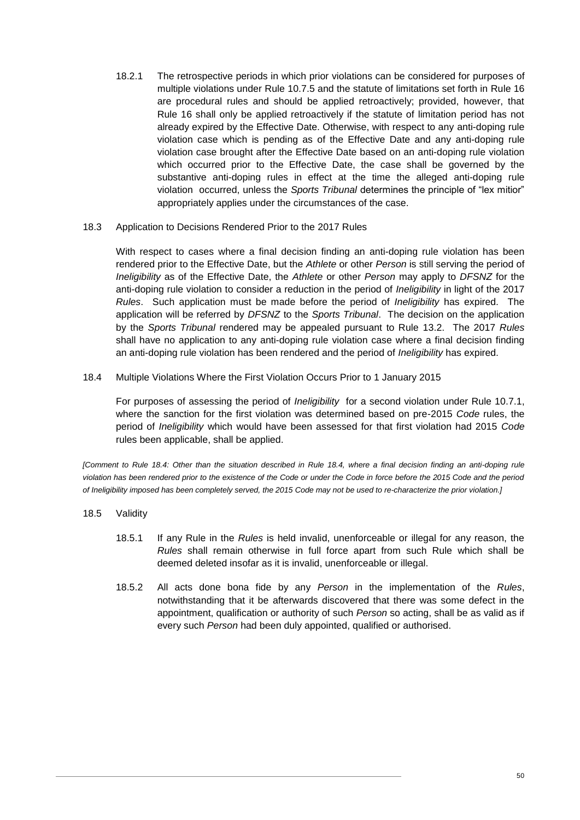- 18.2.1 The retrospective periods in which prior violations can be considered for purposes of multiple violations under Rule [10.7.5](#page-38-2) and the statute of limitations set forth in Rule [16](#page-49-0) are procedural rules and should be applied retroactively; provided, however, that Rule [16](#page-49-0) shall only be applied retroactively if the statute of limitation period has not already expired by the Effective Date. Otherwise, with respect to any anti-doping rule violation case which is pending as of the Effective Date and any anti-doping rule violation case brought after the Effective Date based on an anti-doping rule violation which occurred prior to the Effective Date, the case shall be governed by the substantive anti-doping rules in effect at the time the alleged anti-doping rule violation occurred, unless the *Sports Tribunal* determines the principle of "lex mitior" appropriately applies under the circumstances of the case.
- 18.3 Application to Decisions Rendered Prior to the 2017 Rules

With respect to cases where a final decision finding an anti-doping rule violation has been rendered prior to the Effective Date, but the *Athlete* or other *Person* is still serving the period of *Ineligibility* as of the Effective Date, the *Athlete* or other *Person* may apply to *DFSNZ* for the anti-doping rule violation to consider a reduction in the period of *Ineligibility* in light of the 2017 *Rules*. Such application must be made before the period of *Ineligibility* has expired. The application will be referred by *DFSNZ* to the *Sports Tribunal*. The decision on the application by the *Sports Tribunal* rendered may be appealed pursuant to Rule [13.2.](#page-43-3) The 2017 *Rules* shall have no application to any anti-doping rule violation case where a final decision finding an anti-doping rule violation has been rendered and the period of *Ineligibility* has expired.

<span id="page-50-0"></span>18.4 Multiple Violations Where the First Violation Occurs Prior to 1 January 2015

For purposes of assessing the period of *Ineligibility* for a second violation under Rule [10.7.1,](#page-37-2) where the sanction for the first violation was determined based on pre-2015 *Code* rules, the period of *Ineligibility* which would have been assessed for that first violation had 2015 *Code* rules been applicable, shall be applied.

*[Comment to Rule [18.4:](#page-50-0) Other than the situation described in Rule [18.4,](#page-50-0) where a final decision finding an anti-doping rule violation has been rendered prior to the existence of the Code or under the Code in force before the 2015 Code and the period of Ineligibility imposed has been completely served, the 2015 Code may not be used to re-characterize the prior violation.]*

- 18.5 Validity
	- 18.5.1 If any Rule in the *Rules* is held invalid, unenforceable or illegal for any reason, the *Rules* shall remain otherwise in full force apart from such Rule which shall be deemed deleted insofar as it is invalid, unenforceable or illegal.
	- 18.5.2 All acts done bona fide by any *Person* in the implementation of the *Rules*, notwithstanding that it be afterwards discovered that there was some defect in the appointment, qualification or authority of such *Person* so acting, shall be as valid as if every such *Person* had been duly appointed, qualified or authorised.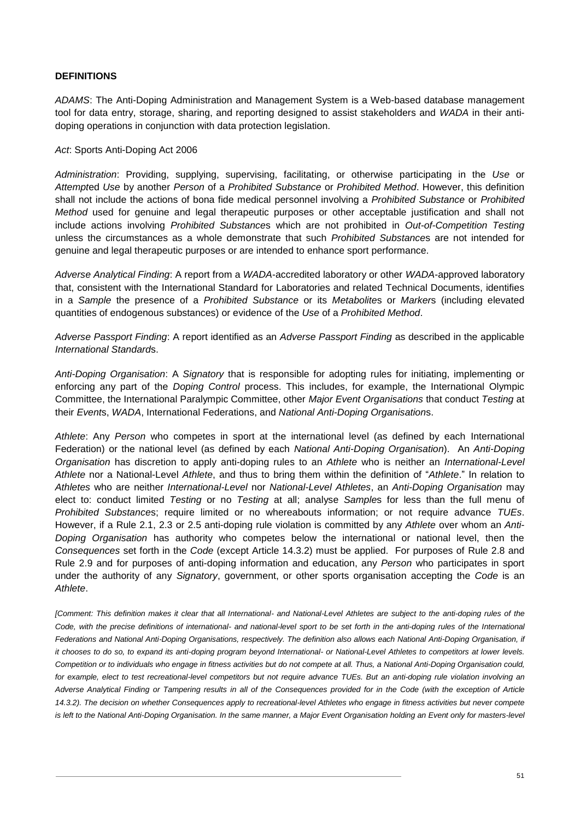# <span id="page-51-0"></span>**DEFINITIONS**

*ADAMS*: The Anti-Doping Administration and Management System is a Web-based database management tool for data entry, storage, sharing, and reporting designed to assist stakeholders and *WADA* in their antidoping operations in conjunction with data protection legislation.

### *Act*: Sports Anti-Doping Act 2006

*Administration*: Providing, supplying, supervising, facilitating, or otherwise participating in the *Use* or *Attempt*ed *Use* by another *Person* of a *Prohibited Substance* or *Prohibited Method*. However, this definition shall not include the actions of bona fide medical personnel involving a *Prohibited Substance* or *Prohibited Method* used for genuine and legal therapeutic purposes or other acceptable justification and shall not include actions involving *Prohibited Substance*s which are not prohibited in *Out-of-Competition Testing* unless the circumstances as a whole demonstrate that such *Prohibited Substance*s are not intended for genuine and legal therapeutic purposes or are intended to enhance sport performance.

*Adverse Analytical Finding*: A report from a *WADA*-accredited laboratory or other *WADA*-approved laboratory that, consistent with the International Standard for Laboratories and related Technical Documents, identifies in a *Sample* the presence of a *Prohibited Substance* or its *Metabolite*s or *Marker*s (including elevated quantities of endogenous substances) or evidence of the *Use* of a *Prohibited Method*.

*Adverse Passport Finding*: A report identified as an *Adverse Passport Finding* as described in the applicable *International Standard*s.

*Anti-Doping Organisation*: A *Signatory* that is responsible for adopting rules for initiating, implementing or enforcing any part of the *Doping Control* process. This includes, for example, the International Olympic Committee, the International Paralympic Committee, other *Major Event Organisations* that conduct *Testing* at their *Event*s, *WADA*, International Federations, and *National Anti-Doping Organisation*s.

*Athlete*: Any *Person* who competes in sport at the international level (as defined by each International Federation) or the national level (as defined by each *National Anti-Doping Organisation*). An *Anti-Doping Organisation* has discretion to apply anti-doping rules to an *Athlete* who is neither an *International-Level Athlete* nor a National-Level *Athlete*, and thus to bring them within the definition of "*Athlete*." In relation to *Athletes* who are neither *International-Level* nor *National-Level Athletes*, an *Anti-Doping Organisation* may elect to: conduct limited *Testing* or no *Testing* at all; analyse *Sample*s for less than the full menu of *Prohibited Substance*s; require limited or no whereabouts information; or not require advance *TUEs*. However, if a Rule [2.1,](#page-6-1) [2.3](#page-8-0) or [2.5](#page-8-5) anti-doping rule violation is committed by any *Athlete* over whom an *Anti-Doping Organisation* has authority who competes below the international or national level, then the *Consequences* set forth in the *Code* (except Article 14.3.2) must be applied. For purposes of Rule [2.8](#page-9-5) and Rule [2.9](#page-9-6) and for purposes of anti-doping information and education, any *Person* who participates in sport under the authority of any *Signatory*, government, or other sports organisation accepting the *Code* is an *Athlete*.

*[Comment: This definition makes it clear that all International- and National-Level Athletes are subject to the anti-doping rules of the Code, with the precise definitions of international- and national-level sport to be set forth in the anti-doping rules of the International Federations and National Anti-Doping Organisations, respectively. The definition also allows each National Anti-Doping Organisation, if it chooses to do so, to expand its anti-doping program beyond International- or National-Level Athletes to competitors at lower levels. Competition or to individuals who engage in fitness activities but do not compete at all. Thus, a National Anti-Doping Organisation could,*  for example, elect to test recreational-level competitors but not require advance TUEs. But an anti-doping rule violation involving an *Adverse Analytical Finding or Tampering results in all of the Consequences provided for in the Code (with the exception of Article 14.3.2). The decision on whether Consequences apply to recreational-level Athletes who engage in fitness activities but never compete is left to the National Anti-Doping Organisation. In the same manner, a Major Event Organisation holding an Event only for masters-level*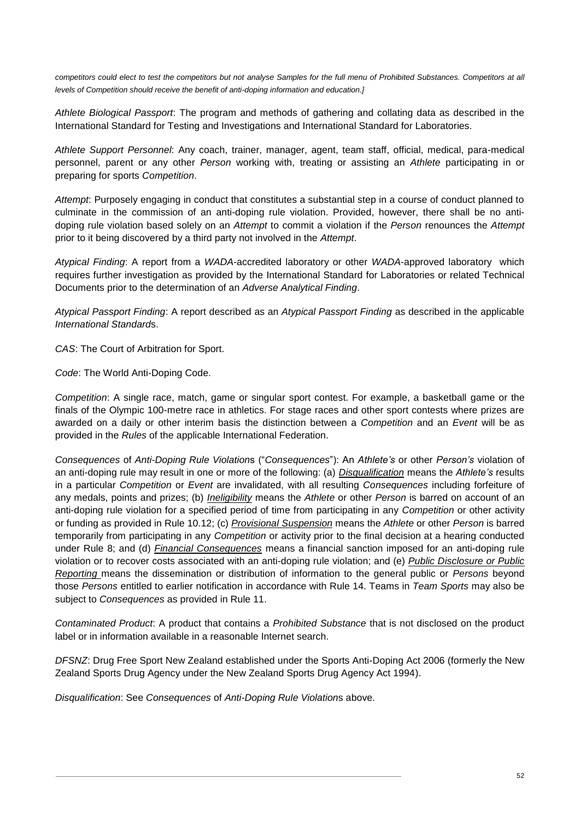*competitors could elect to test the competitors but not analyse Samples for the full menu of Prohibited Substances. Competitors at all levels of Competition should receive the benefit of anti-doping information and education.]* 

*Athlete Biological Passport*: The program and methods of gathering and collating data as described in the International Standard for Testing and Investigations and International Standard for Laboratories.

*Athlete Support Personnel*: Any coach, trainer, manager, agent, team staff, official, medical, para-medical personnel, parent or any other *Person* working with, treating or assisting an *Athlete* participating in or preparing for sports *Competition*.

*Attempt*: Purposely engaging in conduct that constitutes a substantial step in a course of conduct planned to culminate in the commission of an anti-doping rule violation. Provided, however, there shall be no antidoping rule violation based solely on an *Attempt* to commit a violation if the *Person* renounces the *Attempt* prior to it being discovered by a third party not involved in the *Attempt*.

*Atypical Finding*: A report from a *WADA*-accredited laboratory or other *WADA*-approved laboratory which requires further investigation as provided by the International Standard for Laboratories or related Technical Documents prior to the determination of an *Adverse Analytical Finding*.

*Atypical Passport Finding*: A report described as an *Atypical Passport Finding* as described in the applicable *International Standard*s.

*CAS*: The Court of Arbitration for Sport.

*Code*: The World Anti-Doping Code.

*Competition*: A single race, match, game or singular sport contest. For example, a basketball game or the finals of the Olympic 100-metre race in athletics. For stage races and other sport contests where prizes are awarded on a daily or other interim basis the distinction between a *Competition* and an *Event* will be as provided in the *Rules* of the applicable International Federation.

*Consequences* of *Anti-Doping Rule Violation*s ("*Consequences*"): An *Athlete's* or other *Person's* violation of an anti-doping rule may result in one or more of the following: (a) *Disqualification* means the *Athlete's* results in a particular *Competition* or *Event* are invalidated, with all resulting *Consequences* including forfeiture of any medals, points and prizes; (b) *Ineligibility* means the *Athlete* or other *Person* is barred on account of an anti-doping rule violation for a specified period of time from participating in any *Competition* or other activity or funding as provided in Rule [10.12;](#page-40-2) (c) *Provisional Suspension* means the *Athlete* or other *Person* is barred temporarily from participating in any *Competition* or activity prior to the final decision at a hearing conducted under Rule [8;](#page-29-0) and (d) *Financial Consequences* means a financial sanction imposed for an anti-doping rule violation or to recover costs associated with an anti-doping rule violation; and (e) *Public Disclosure or Public Reporting* means the dissemination or distribution of information to the general public or *Persons* beyond those *Persons* entitled to earlier notification in accordance with Rule [14.](#page-45-0) Teams in *Team Sports* may also be subject to *Consequences* as provided in Rule [11.](#page-42-0)

*Contaminated Product*: A product that contains a *Prohibited Substance* that is not disclosed on the product label or in information available in a reasonable Internet search.

*DFSNZ*: Drug Free Sport New Zealand established under the Sports Anti-Doping Act 2006 (formerly the New Zealand Sports Drug Agency under the New Zealand Sports Drug Agency Act 1994).

*Disqualification*: See *Consequences* of *Anti-Doping Rule Violation*s above.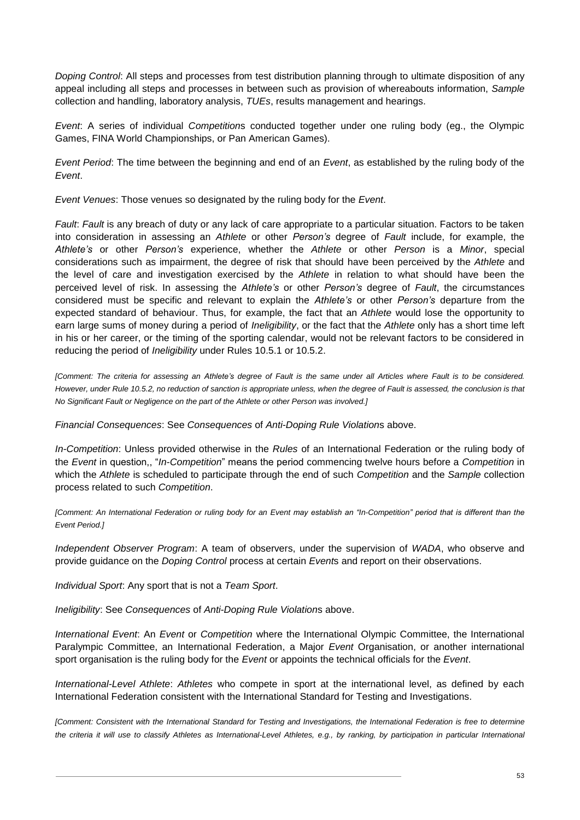*Doping Control*: All steps and processes from test distribution planning through to ultimate disposition of any appeal including all steps and processes in between such as provision of whereabouts information, *Sample* collection and handling, laboratory analysis, *TUEs*, results management and hearings.

*Event*: A series of individual *Competition*s conducted together under one ruling body (eg., the Olympic Games, FINA World Championships, or Pan American Games).

*Event Period*: The time between the beginning and end of an *Event*, as established by the ruling body of the *Event*.

*Event Venues*: Those venues so designated by the ruling body for the *Event*.

*Fault*: *Fault* is any breach of duty or any lack of care appropriate to a particular situation. Factors to be taken into consideration in assessing an *Athlete* or other *Person's* degree of *Fault* include, for example, the *Athlete's* or other *Person's* experience, whether the *Athlete* or other *Person* is a *Minor*, special considerations such as impairment, the degree of risk that should have been perceived by the *Athlete* and the level of care and investigation exercised by the *Athlete* in relation to what should have been the perceived level of risk. In assessing the *Athlete's* or other *Person's* degree of *Fault*, the circumstances considered must be specific and relevant to explain the *Athlete's* or other *Person's* departure from the expected standard of behaviour. Thus, for example, the fact that an *Athlete* would lose the opportunity to earn large sums of money during a period of *Ineligibility*, or the fact that the *Athlete* only has a short time left in his or her career, or the timing of the sporting calendar, would not be relevant factors to be considered in reducing the period of *Ineligibility* under Rules [10.5.1](#page-34-3) or [10.5.2.](#page-35-1)

*[Comment: The criteria for assessing an Athlete's degree of Fault is the same under all Articles where Fault is to be considered. However, under Rule [10.5.2,](#page-35-1) no reduction of sanction is appropriate unless, when the degree of Fault is assessed, the conclusion is that No Significant Fault or Negligence on the part of the Athlete or other Person was involved.]*

*Financial Consequences*: See *Consequences* of *Anti-Doping Rule Violation*s above.

*In-Competition*: Unless provided otherwise in the *Rules* of an International Federation or the ruling body of the *Event* in question,, "*In-Competition*" means the period commencing twelve hours before a *Competition* in which the *Athlete* is scheduled to participate through the end of such *Competition* and the *Sample* collection process related to such *Competition*.

*[Comment: An International Federation or ruling body for an Event may establish an "In-Competition" period that is different than the Event Period.]*

*Independent Observer Program*: A team of observers, under the supervision of *WADA*, who observe and provide guidance on the *Doping Control* process at certain *Event*s and report on their observations.

*Individual Sport*: Any sport that is not a *Team Sport*.

*Ineligibility*: See *Consequences* of *Anti-Doping Rule Violation*s above.

*International Event*: An *Event* or *Competition* where the International Olympic Committee, the International Paralympic Committee, an International Federation, a Major *Event* Organisation, or another international sport organisation is the ruling body for the *Event* or appoints the technical officials for the *Event*.

*International-Level Athlete*: *Athletes* who compete in sport at the international level, as defined by each International Federation consistent with the International Standard for Testing and Investigations.

*[Comment: Consistent with the International Standard for Testing and Investigations, the International Federation is free to determine the criteria it will use to classify Athletes as International-Level Athletes, e.g., by ranking, by participation in particular International*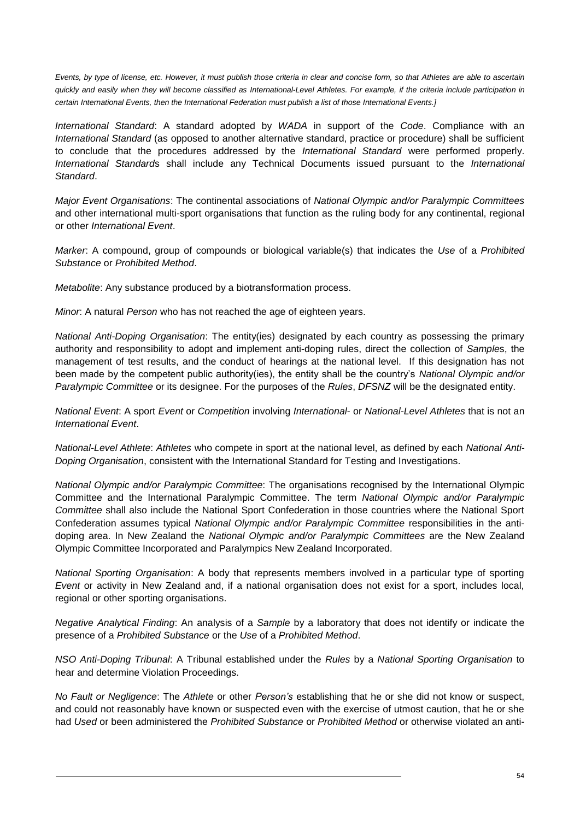*Events, by type of license, etc. However, it must publish those criteria in clear and concise form, so that Athletes are able to ascertain quickly and easily when they will become classified as International-Level Athletes. For example, if the criteria include participation in certain International Events, then the International Federation must publish a list of those International Events.]*

*International Standard*: A standard adopted by *WADA* in support of the *Code*. Compliance with an *International Standard* (as opposed to another alternative standard, practice or procedure) shall be sufficient to conclude that the procedures addressed by the *International Standard* were performed properly. *International Standard*s shall include any Technical Documents issued pursuant to the *International Standard*.

*Major Event Organisations*: The continental associations of *National Olympic and/or Paralympic Committees* and other international multi-sport organisations that function as the ruling body for any continental, regional or other *International Event*.

*Marker*: A compound, group of compounds or biological variable(s) that indicates the *Use* of a *Prohibited Substance* or *Prohibited Method*.

*Metabolite*: Any substance produced by a biotransformation process.

*Minor*: A natural *Person* who has not reached the age of eighteen years.

*National Anti-Doping Organisation*: The entity(ies) designated by each country as possessing the primary authority and responsibility to adopt and implement anti-doping rules, direct the collection of *Sample*s, the management of test results, and the conduct of hearings at the national level. If this designation has not been made by the competent public authority(ies), the entity shall be the country's *National Olympic and/or Paralympic Committee* or its designee. For the purposes of the *Rules*, *DFSNZ* will be the designated entity.

*National Event*: A sport *Event* or *Competition* involving *International*- or *National-Level Athletes* that is not an *International Event*.

*National-Level Athlete*: *Athletes* who compete in sport at the national level, as defined by each *National Anti-Doping Organisation*, consistent with the International Standard for Testing and Investigations.

*National Olympic and/or Paralympic Committee*: The organisations recognised by the International Olympic Committee and the International Paralympic Committee. The term *National Olympic and/or Paralympic Committee* shall also include the National Sport Confederation in those countries where the National Sport Confederation assumes typical *National Olympic and/or Paralympic Committee* responsibilities in the antidoping area. In New Zealand the *National Olympic and/or Paralympic Committees* are the New Zealand Olympic Committee Incorporated and Paralympics New Zealand Incorporated.

*National Sporting Organisation*: A body that represents members involved in a particular type of sporting *Event* or activity in New Zealand and, if a national organisation does not exist for a sport, includes local, regional or other sporting organisations.

*Negative Analytical Finding*: An analysis of a *Sample* by a laboratory that does not identify or indicate the presence of a *Prohibited Substance* or the *Use* of a *Prohibited Method*.

*NSO Anti-Doping Tribunal*: A Tribunal established under the *Rules* by a *National Sporting Organisation* to hear and determine Violation Proceedings.

*No Fault or Negligence*: The *Athlete* or other *Person's* establishing that he or she did not know or suspect, and could not reasonably have known or suspected even with the exercise of utmost caution, that he or she had *Used* or been administered the *Prohibited Substance* or *Prohibited Method* or otherwise violated an anti-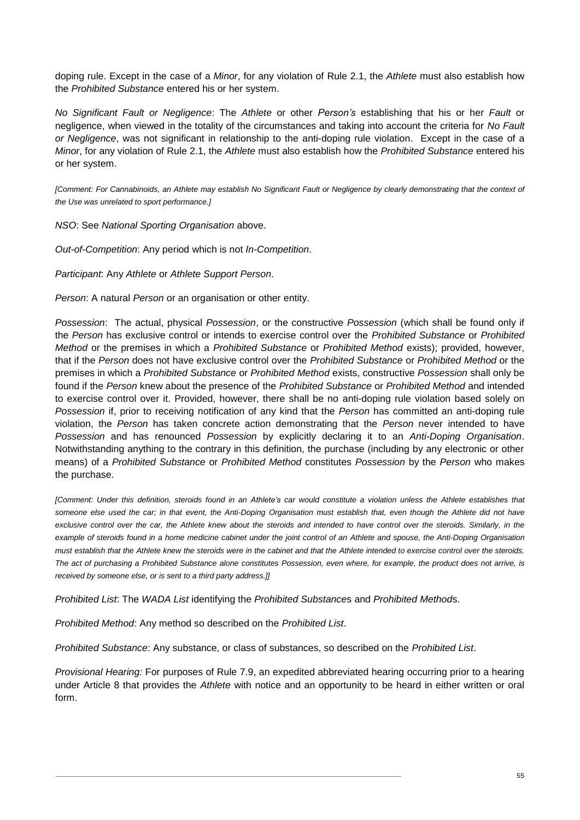doping rule. Except in the case of a *Minor*, for any violation of Rule [2.1,](#page-6-1) the *Athlete* must also establish how the *Prohibited Substance* entered his or her system.

*No Significant Fault or Negligence*: The *Athlete* or other *Person's* establishing that his or her *Fault* or negligence, when viewed in the totality of the circumstances and taking into account the criteria for *No Fault or Negligence*, was not significant in relationship to the anti-doping rule violation. Except in the case of a *Minor*, for any violation of Rule [2.1,](#page-6-1) the *Athlete* must also establish how the *Prohibited Substance* entered his or her system.

*[Comment: For Cannabinoids, an Athlete may establish No Significant Fault or Negligence by clearly demonstrating that the context of the Use was unrelated to sport performance.]*

*NSO*: See *National Sporting Organisation* above.

*Out-of-Competition*: Any period which is not *In-Competition*.

*Participant*: Any *Athlete* or *Athlete Support Person*.

*Person*: A natural *Person* or an organisation or other entity.

*Possession*: The actual, physical *Possession*, or the constructive *Possession* (which shall be found only if the *Person* has exclusive control or intends to exercise control over the *Prohibited Substance* or *Prohibited Method* or the premises in which a *Prohibited Substance* or *Prohibited Method* exists); provided, however, that if the *Person* does not have exclusive control over the *Prohibited Substance* or *Prohibited Method* or the premises in which a *Prohibited Substance* or *Prohibited Method* exists, constructive *Possession* shall only be found if the *Person* knew about the presence of the *Prohibited Substance* or *Prohibited Method* and intended to exercise control over it. Provided, however, there shall be no anti-doping rule violation based solely on *Possession* if, prior to receiving notification of any kind that the *Person* has committed an anti-doping rule violation, the *Person* has taken concrete action demonstrating that the *Person* never intended to have *Possession* and has renounced *Possession* by explicitly declaring it to an *Anti-Doping Organisation*. Notwithstanding anything to the contrary in this definition, the purchase (including by any electronic or other means) of a *Prohibited Substance* or *Prohibited Method* constitutes *Possession* by the *Person* who makes the purchase.

*[Comment: Under this definition, steroids found in an Athlete's car would constitute a violation unless the Athlete establishes that someone else used the car; in that event, the Anti-Doping Organisation must establish that, even though the Athlete did not have exclusive control over the car, the Athlete knew about the steroids and intended to have control over the steroids. Similarly, in the example of steroids found in a home medicine cabinet under the joint control of an Athlete and spouse, the Anti-Doping Organisation must establish that the Athlete knew the steroids were in the cabinet and that the Athlete intended to exercise control over the steroids. The act of purchasing a Prohibited Substance alone constitutes Possession, even where, for example, the product does not arrive, is received by someone else, or is sent to a third party address.]]*

*Prohibited List*: The *WADA List* identifying the *Prohibited Substance*s and *Prohibited Method*s.

*Prohibited Method*: Any method so described on the *Prohibited List*.

*Prohibited Substance*: Any substance, or class of substances, so described on the *Prohibited List*.

*Provisional Hearing:* For purposes of Rule [7.9,](#page-24-2) an expedited abbreviated hearing occurring prior to a hearing under Article 8 that provides the *Athlete* with notice and an opportunity to be heard in either written or oral form.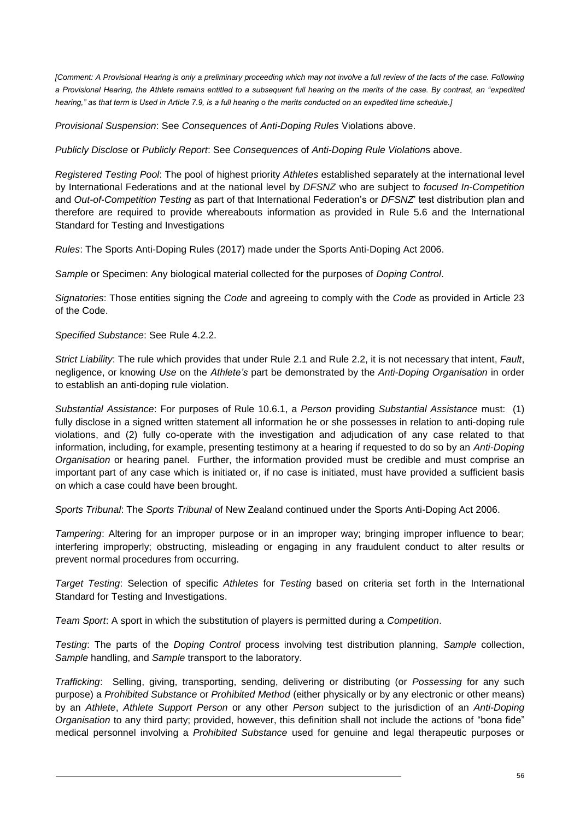*[Comment: A Provisional Hearing is only a preliminary proceeding which may not involve a full review of the facts of the case. Following a Provisional Hearing, the Athlete remains entitled to a subsequent full hearing on the merits of the case. By contrast, an "expedited hearing," as that term is Used in Article 7.9, is a full hearing o the merits conducted on an expedited time schedule.]*

*Provisional Suspension*: See *Consequences* of *Anti-Doping Rules* Violations above.

*Publicly Disclose* or *Publicly Report*: See *Consequences* of *Anti-Doping Rule Violation*s above.

*Registered Testing Pool*: The pool of highest priority *Athletes* established separately at the international level by International Federations and at the national level by *DFSNZ* who are subject to *focused In-Competition* and *Out-of-Competition Testing* as part of that International Federation's or *DFSNZ*' test distribution plan and therefore are required to provide whereabouts information as provided in Rule [5.6](#page-17-2) and the International Standard for Testing and Investigations

*Rules*: The Sports Anti-Doping Rules (2017) made under the Sports Anti-Doping Act 2006.

*Sample* or Specimen: Any biological material collected for the purposes of *Doping Control*.

*Signatories*: Those entities signing the *Code* and agreeing to comply with the *Code* as provided in Article 23 of the Code.

*Specified Substance*: See Rule [4.2.2.](#page-12-1)

*Strict Liability*: The rule which provides that under Rule [2.1](#page-6-1) and Rule [2.2,](#page-7-0) it is not necessary that intent, *Fault*, negligence, or knowing *Use* on the *Athlete's* part be demonstrated by the *Anti-Doping Organisation* in order to establish an anti-doping rule violation.

*Substantial Assistance*: For purposes of Rule [10.6.1,](#page-35-2) a *Person* providing *Substantial Assistance* must: (1) fully disclose in a signed written statement all information he or she possesses in relation to anti-doping rule violations, and (2) fully co-operate with the investigation and adjudication of any case related to that information, including, for example, presenting testimony at a hearing if requested to do so by an *Anti-Doping Organisation* or hearing panel. Further, the information provided must be credible and must comprise an important part of any case which is initiated or, if no case is initiated, must have provided a sufficient basis on which a case could have been brought.

*Sports Tribunal*: The *Sports Tribunal* of New Zealand continued under the Sports Anti-Doping Act 2006.

*Tampering*: Altering for an improper purpose or in an improper way; bringing improper influence to bear; interfering improperly; obstructing, misleading or engaging in any fraudulent conduct to alter results or prevent normal procedures from occurring.

*Target Testing*: Selection of specific *Athletes* for *Testing* based on criteria set forth in the International Standard for Testing and Investigations.

*Team Sport*: A sport in which the substitution of players is permitted during a *Competition*.

*Testing*: The parts of the *Doping Control* process involving test distribution planning, *Sample* collection, *Sample* handling, and *Sample* transport to the laboratory.

*Trafficking*: Selling, giving, transporting, sending, delivering or distributing (or *Possessing* for any such purpose) a *Prohibited Substance* or *Prohibited Method* (either physically or by any electronic or other means) by an *Athlete*, *Athlete Support Person* or any other *Person* subject to the jurisdiction of an *Anti-Doping Organisation* to any third party; provided, however, this definition shall not include the actions of "bona fide" medical personnel involving a *Prohibited Substance* used for genuine and legal therapeutic purposes or